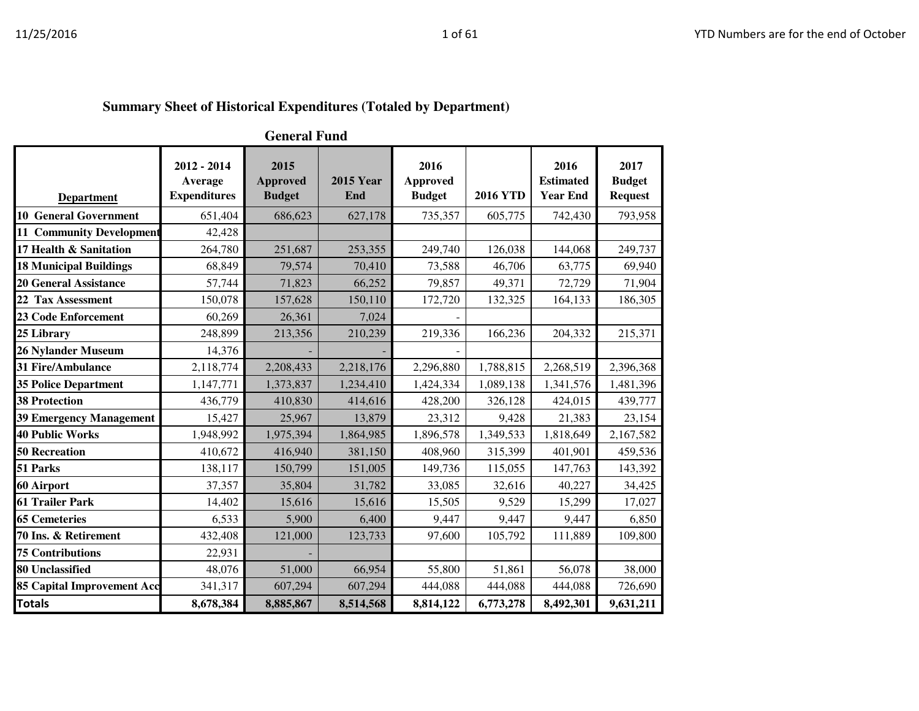|                                   |                                               | <b>General Fund</b>                      |                         |                                          |                 |                                             |                                         |
|-----------------------------------|-----------------------------------------------|------------------------------------------|-------------------------|------------------------------------------|-----------------|---------------------------------------------|-----------------------------------------|
| <b>Department</b>                 | 2012 - 2014<br>Average<br><b>Expenditures</b> | 2015<br><b>Approved</b><br><b>Budget</b> | <b>2015 Year</b><br>End | 2016<br><b>Approved</b><br><b>Budget</b> | <b>2016 YTD</b> | 2016<br><b>Estimated</b><br><b>Year End</b> | 2017<br><b>Budget</b><br><b>Request</b> |
| <b>10 General Government</b>      | 651,404                                       | 686,623                                  | 627,178                 | 735,357                                  | 605,775         | 742,430                                     | 793,958                                 |
| <b>11 Community Development</b>   | 42,428                                        |                                          |                         |                                          |                 |                                             |                                         |
| 17 Health & Sanitation            | 264,780                                       | 251,687                                  | 253,355                 | 249,740                                  | 126,038         | 144,068                                     | 249,737                                 |
| <b>18 Municipal Buildings</b>     | 68,849                                        | 79,574                                   | 70,410                  | 73,588                                   | 46,706          | 63,775                                      | 69,940                                  |
| <b>20 General Assistance</b>      | 57,744                                        | 71,823                                   | 66,252                  | 79,857                                   | 49,371          | 72,729                                      | 71,904                                  |
| 22 Tax Assessment                 | 150,078                                       | 157,628                                  | 150,110                 | 172,720                                  | 132,325         | 164,133                                     | 186,305                                 |
| <b>23 Code Enforcement</b>        | 60,269                                        | 26,361                                   | 7,024                   |                                          |                 |                                             |                                         |
| 25 Library                        | 248,899                                       | 213,356                                  | 210,239                 | 219,336                                  | 166,236         | 204,332                                     | 215,371                                 |
| 26 Nylander Museum                | 14,376                                        |                                          |                         |                                          |                 |                                             |                                         |
| 31 Fire/Ambulance                 | 2,118,774                                     | 2,208,433                                | 2,218,176               | 2,296,880                                | 1,788,815       | 2,268,519                                   | 2,396,368                               |
| <b>35 Police Department</b>       | 1,147,771                                     | 1,373,837                                | 1,234,410               | 1,424,334                                | 1,089,138       | 1,341,576                                   | 1,481,396                               |
| <b>38 Protection</b>              | 436,779                                       | 410,830                                  | 414,616                 | 428,200                                  | 326,128         | 424,015                                     | 439,777                                 |
| 39 Emergency Management           | 15,427                                        | 25,967                                   | 13,879                  | 23,312                                   | 9,428           | 21,383                                      | 23,154                                  |
| <b>40 Public Works</b>            | 1,948,992                                     | 1,975,394                                | 1,864,985               | 1,896,578                                | 1,349,533       | 1,818,649                                   | 2,167,582                               |
| <b>50 Recreation</b>              | 410,672                                       | 416,940                                  | 381,150                 | 408,960                                  | 315,399         | 401,901                                     | 459,536                                 |
| 51 Parks                          | 138,117                                       | 150,799                                  | 151,005                 | 149,736                                  | 115,055         | 147,763                                     | 143,392                                 |
| 60 Airport                        | 37,357                                        | 35,804                                   | 31,782                  | 33,085                                   | 32,616          | 40,227                                      | 34,425                                  |
| 61 Trailer Park                   | 14,402                                        | 15,616                                   | 15,616                  | 15,505                                   | 9,529           | 15,299                                      | 17,027                                  |
| <b>65 Cemeteries</b>              | 6,533                                         | 5,900                                    | 6,400                   | 9,447                                    | 9,447           | 9,447                                       | 6,850                                   |
| 70 Ins. & Retirement              | 432,408                                       | 121,000                                  | 123,733                 | 97,600                                   | 105,792         | 111,889                                     | 109,800                                 |
| <b>75 Contributions</b>           | 22,931                                        |                                          |                         |                                          |                 |                                             |                                         |
| 80 Unclassified                   | 48,076                                        | 51,000                                   | 66,954                  | 55,800                                   | 51,861          | 56,078                                      | 38,000                                  |
| <b>85 Capital Improvement Acc</b> | 341,317                                       | 607,294                                  | 607,294                 | 444,088                                  | 444,088         | 444,088                                     | 726,690                                 |
| <b>Totals</b>                     | 8,678,384                                     | 8,885,867                                | 8,514,568               | 8,814,122                                | 6,773,278       | 8,492,301                                   | 9,631,211                               |

## **Summary Sheet of Historical Expenditures (Totaled by Department)**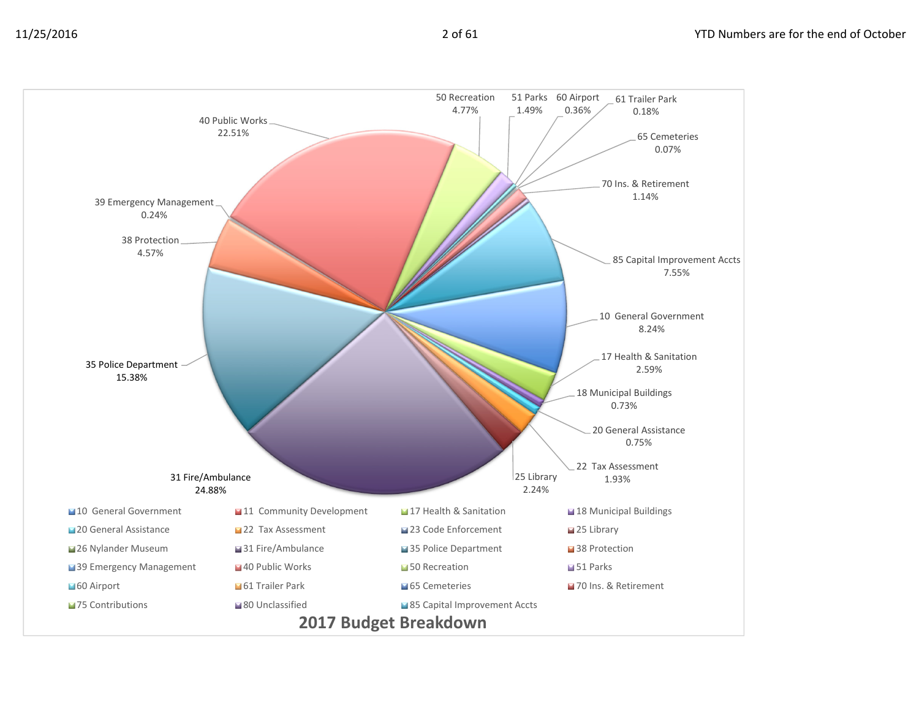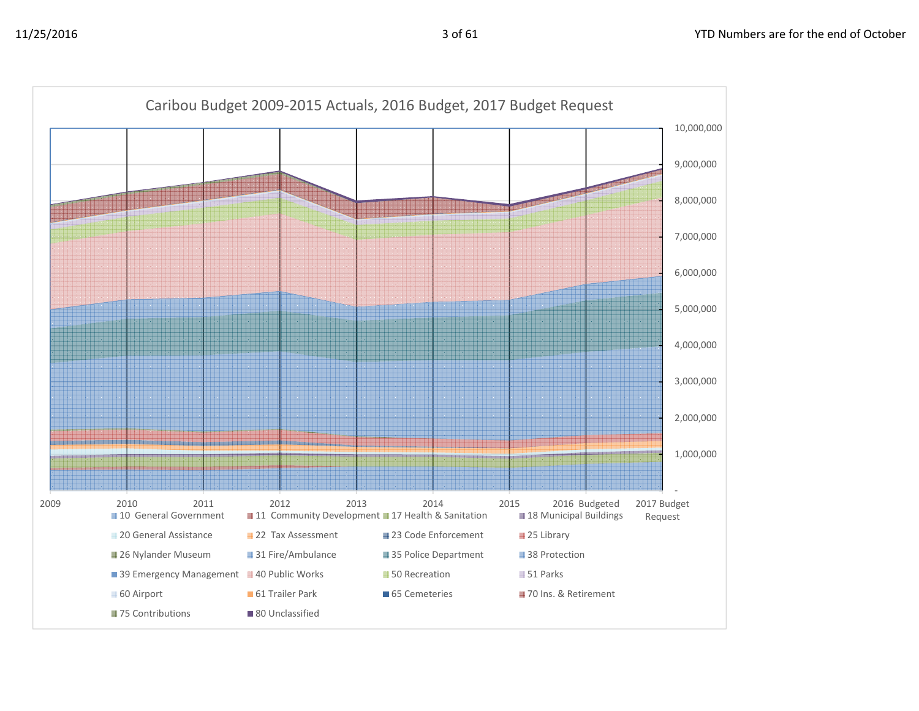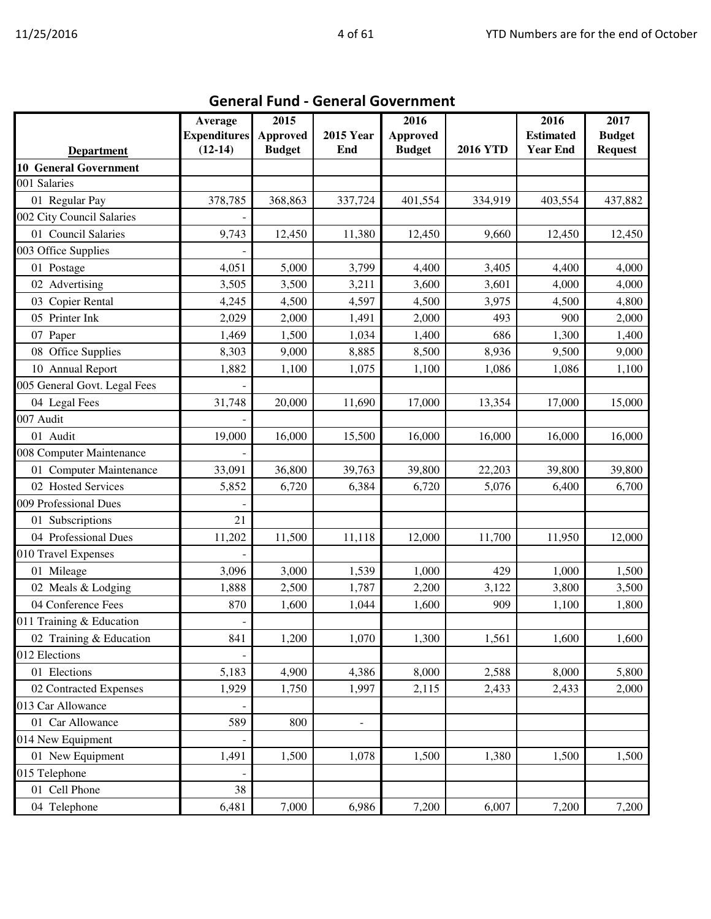|                              | Average             | 2015            |                  | 2016            |                 | 2016             | 2017           |
|------------------------------|---------------------|-----------------|------------------|-----------------|-----------------|------------------|----------------|
|                              | <b>Expenditures</b> | <b>Approved</b> | <b>2015 Year</b> | <b>Approved</b> |                 | <b>Estimated</b> | <b>Budget</b>  |
| <b>Department</b>            | $(12-14)$           | <b>Budget</b>   | End              | <b>Budget</b>   | <b>2016 YTD</b> | <b>Year End</b>  | <b>Request</b> |
| <b>10 General Government</b> |                     |                 |                  |                 |                 |                  |                |
| 001 Salaries                 |                     |                 |                  |                 |                 |                  |                |
| 01 Regular Pay               | 378,785             | 368,863         | 337,724          | 401,554         | 334,919         | 403,554          | 437,882        |
| 002 City Council Salaries    |                     |                 |                  |                 |                 |                  |                |
| 01 Council Salaries          | 9,743               | 12,450          | 11,380           | 12,450          | 9,660           | 12,450           | 12,450         |
| 003 Office Supplies          |                     |                 |                  |                 |                 |                  |                |
| 01 Postage                   | 4,051               | 5,000           | 3,799            | 4,400           | 3,405           | 4,400            | 4,000          |
| 02 Advertising               | 3,505               | 3,500           | 3,211            | 3,600           | 3,601           | 4,000            | 4,000          |
| 03 Copier Rental             | 4,245               | 4,500           | 4,597            | 4,500           | 3,975           | 4,500            | 4,800          |
| 05 Printer Ink               | 2,029               | 2,000           | 1,491            | 2,000           | 493             | 900              | 2,000          |
| 07 Paper                     | 1,469               | 1,500           | 1,034            | 1,400           | 686             | 1,300            | 1,400          |
| 08 Office Supplies           | 8,303               | 9,000           | 8,885            | 8,500           | 8,936           | 9,500            | 9,000          |
| 10 Annual Report             | 1,882               | 1,100           | 1,075            | 1,100           | 1,086           | 1,086            | 1,100          |
| 005 General Govt. Legal Fees |                     |                 |                  |                 |                 |                  |                |
| 04 Legal Fees                | 31,748              | 20,000          | 11,690           | 17,000          | 13,354          | 17,000           | 15,000         |
| 007 Audit                    |                     |                 |                  |                 |                 |                  |                |
| 01 Audit                     | 19,000              | 16,000          | 15,500           | 16,000          | 16,000          | 16,000           | 16,000         |
| 008 Computer Maintenance     |                     |                 |                  |                 |                 |                  |                |
| 01 Computer Maintenance      | 33,091              | 36,800          | 39,763           | 39,800          | 22,203          | 39,800           | 39,800         |
| 02 Hosted Services           | 5,852               | 6,720           | 6,384            | 6,720           | 5,076           | 6,400            | 6,700          |
| 009 Professional Dues        |                     |                 |                  |                 |                 |                  |                |
| 01 Subscriptions             | 21                  |                 |                  |                 |                 |                  |                |
| 04 Professional Dues         | 11,202              | 11,500          | 11,118           | 12,000          | 11,700          | 11,950           | 12,000         |
| 010 Travel Expenses          |                     |                 |                  |                 |                 |                  |                |
| 01 Mileage                   | 3,096               | 3,000           | 1,539            | 1,000           | 429             | 1,000            | 1,500          |
| 02 Meals & Lodging           | 1,888               | 2,500           | 1,787            | 2,200           | 3,122           | 3,800            | 3,500          |
| 04 Conference Fees           | 870                 | 1,600           | 1,044            | 1,600           | 909             | 1,100            | 1,800          |
| 011 Training & Education     |                     |                 |                  |                 |                 |                  |                |
| 02 Training & Education      | 841                 | 1,200           | 1,070            | 1,300           | 1,561           | 1,600            | 1,600          |
| 012 Elections                |                     |                 |                  |                 |                 |                  |                |
| 01 Elections                 | 5,183               | 4,900           | 4,386            | 8,000           | 2,588           | 8,000            | 5,800          |
| 02 Contracted Expenses       | 1,929               | 1,750           | 1,997            | 2,115           | 2,433           | 2,433            | 2,000          |
| 013 Car Allowance            |                     |                 |                  |                 |                 |                  |                |
| 01 Car Allowance             | 589                 | 800             | $\mathbb{L}^2$   |                 |                 |                  |                |
| 014 New Equipment            |                     |                 |                  |                 |                 |                  |                |
| 01 New Equipment             | 1,491               | 1,500           | 1,078            | 1,500           | 1,380           | 1,500            | 1,500          |
| 015 Telephone                |                     |                 |                  |                 |                 |                  |                |
| 01 Cell Phone                | 38                  |                 |                  |                 |                 |                  |                |
| 04 Telephone                 | 6,481               | 7,000           | 6,986            | 7,200           | 6,007           | 7,200            | 7,200          |

## General Fund - General Government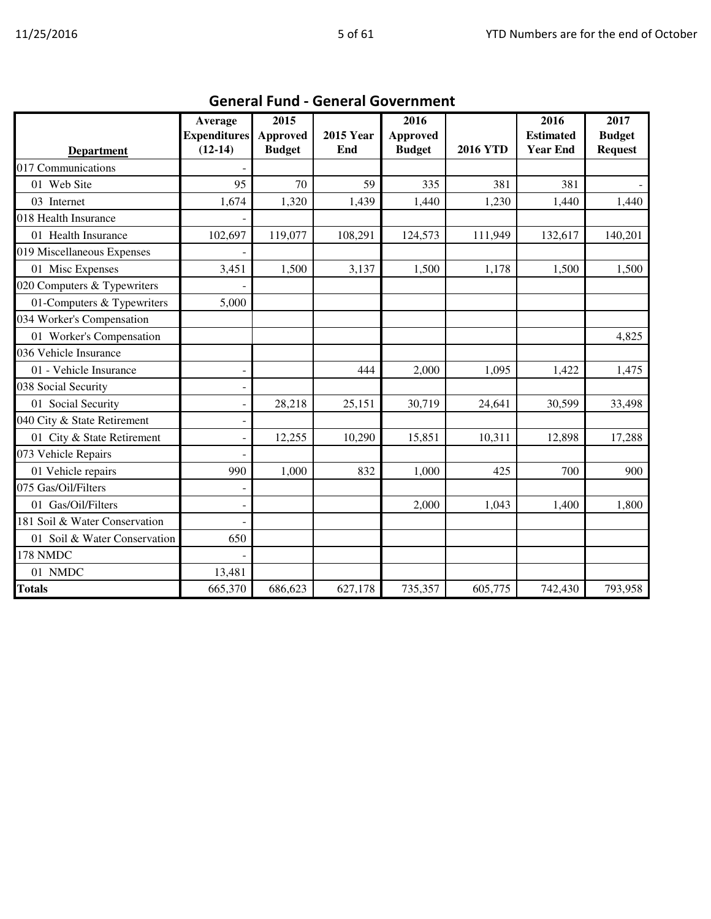|                               | Average             | 2015            |                  | 2016            |                 | 2016             | 2017           |
|-------------------------------|---------------------|-----------------|------------------|-----------------|-----------------|------------------|----------------|
|                               | <b>Expenditures</b> | <b>Approved</b> | <b>2015 Year</b> | <b>Approved</b> |                 | <b>Estimated</b> | <b>Budget</b>  |
| <b>Department</b>             | $(12-14)$           | <b>Budget</b>   | End              | <b>Budget</b>   | <b>2016 YTD</b> | <b>Year End</b>  | <b>Request</b> |
| 017 Communications            |                     |                 |                  |                 |                 |                  |                |
| 01 Web Site                   | 95                  | 70              | 59               | 335             | 381             | 381              |                |
| 03 Internet                   | 1,674               | 1,320           | 1,439            | 1,440           | 1,230           | 1,440            | 1,440          |
| 018 Health Insurance          |                     |                 |                  |                 |                 |                  |                |
| 01 Health Insurance           | 102,697             | 119,077         | 108,291          | 124,573         | 111,949         | 132,617          | 140,201        |
| 019 Miscellaneous Expenses    |                     |                 |                  |                 |                 |                  |                |
| 01 Misc Expenses              | 3,451               | 1,500           | 3,137            | 1,500           | 1,178           | 1,500            | 1,500          |
| 020 Computers & Typewriters   |                     |                 |                  |                 |                 |                  |                |
| 01-Computers & Typewriters    | 5,000               |                 |                  |                 |                 |                  |                |
| 034 Worker's Compensation     |                     |                 |                  |                 |                 |                  |                |
| 01 Worker's Compensation      |                     |                 |                  |                 |                 |                  | 4,825          |
| 036 Vehicle Insurance         |                     |                 |                  |                 |                 |                  |                |
| 01 - Vehicle Insurance        |                     |                 | 444              | 2,000           | 1,095           | 1,422            | 1,475          |
| 038 Social Security           |                     |                 |                  |                 |                 |                  |                |
| 01 Social Security            |                     | 28,218          | 25,151           | 30,719          | 24,641          | 30,599           | 33,498         |
| 040 City & State Retirement   |                     |                 |                  |                 |                 |                  |                |
| 01 City & State Retirement    | ۰                   | 12,255          | 10,290           | 15,851          | 10,311          | 12,898           | 17,288         |
| 073 Vehicle Repairs           |                     |                 |                  |                 |                 |                  |                |
| 01 Vehicle repairs            | 990                 | 1,000           | 832              | 1,000           | 425             | 700              | 900            |
| 075 Gas/Oil/Filters           |                     |                 |                  |                 |                 |                  |                |
| 01 Gas/Oil/Filters            |                     |                 |                  | 2,000           | 1,043           | 1,400            | 1,800          |
| 181 Soil & Water Conservation |                     |                 |                  |                 |                 |                  |                |
| 01 Soil & Water Conservation  | 650                 |                 |                  |                 |                 |                  |                |
| 178 NMDC                      |                     |                 |                  |                 |                 |                  |                |
| 01 NMDC                       | 13,481              |                 |                  |                 |                 |                  |                |
| <b>Totals</b>                 | 665,370             | 686,623         | 627,178          | 735,357         | 605,775         | 742,430          | 793,958        |

## General Fund - General Government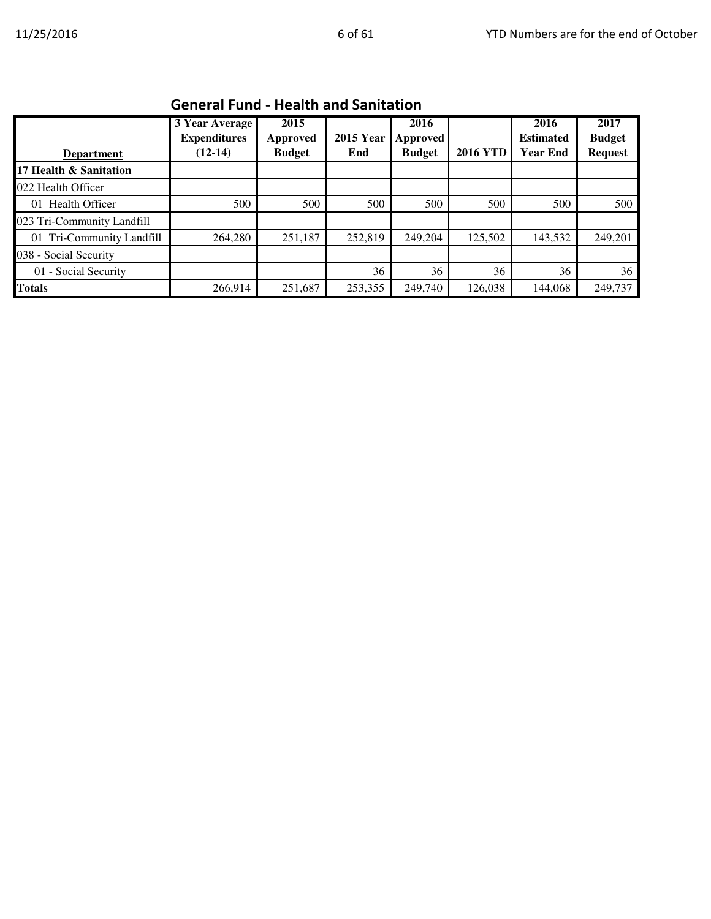|                            | 9999999999                                         |                                   |                         |                                   |                 |                                             |                                         |  |  |  |
|----------------------------|----------------------------------------------------|-----------------------------------|-------------------------|-----------------------------------|-----------------|---------------------------------------------|-----------------------------------------|--|--|--|
| <b>Department</b>          | 3 Year Average<br><b>Expenditures</b><br>$(12-14)$ | 2015<br>Approved<br><b>Budget</b> | <b>2015 Year</b><br>End | 2016<br>Approved<br><b>Budget</b> | <b>2016 YTD</b> | 2016<br><b>Estimated</b><br><b>Year End</b> | 2017<br><b>Budget</b><br><b>Request</b> |  |  |  |
| 17 Health & Sanitation     |                                                    |                                   |                         |                                   |                 |                                             |                                         |  |  |  |
| 022 Health Officer         |                                                    |                                   |                         |                                   |                 |                                             |                                         |  |  |  |
| 01 Health Officer          | 500                                                | 500                               | 500                     | 500                               | 500             | 500                                         | 500                                     |  |  |  |
| 023 Tri-Community Landfill |                                                    |                                   |                         |                                   |                 |                                             |                                         |  |  |  |
| 01 Tri-Community Landfill  | 264,280                                            | 251,187                           | 252,819                 | 249,204                           | 125,502         | 143,532                                     | 249,201                                 |  |  |  |
| 038 - Social Security      |                                                    |                                   |                         |                                   |                 |                                             |                                         |  |  |  |
| 01 - Social Security       |                                                    |                                   | 36                      | 36                                | 36              | 36                                          | 36                                      |  |  |  |
| <b>Totals</b>              | 266,914                                            | 251,687                           | 253,355                 | 249,740                           | 126,038         | 144,068                                     | 249,737                                 |  |  |  |

#### General Fund - Health and Sanitation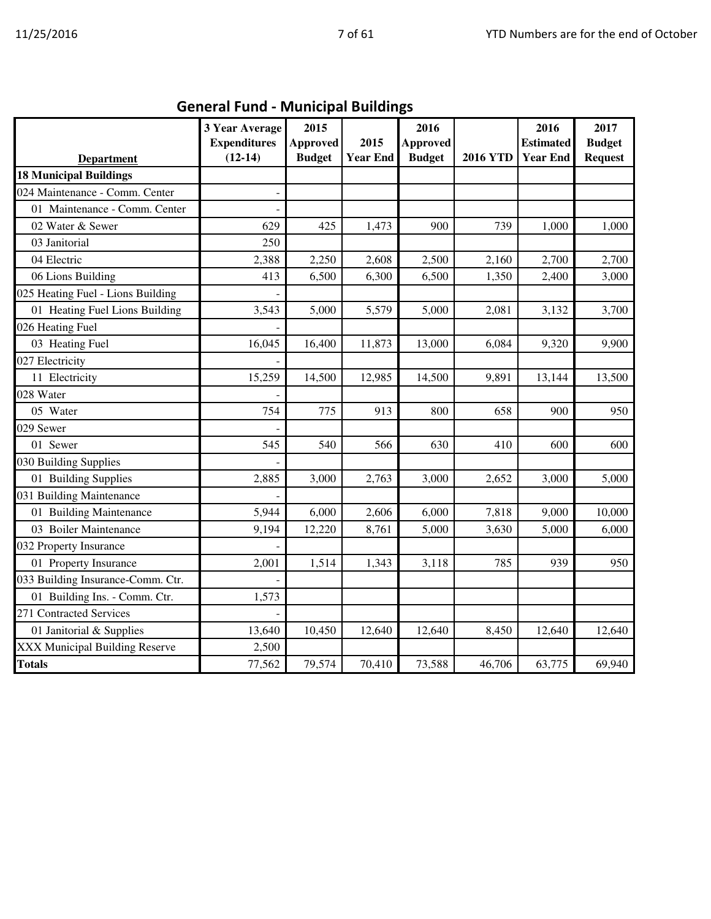| <b>Department</b>                     | 3 Year Average<br><b>Expenditures</b><br>$(12-14)$ | 2015<br><b>Approved</b><br><b>Budget</b> | 2015<br><b>Year End</b> | 2016<br><b>Approved</b><br><b>Budget</b> | <b>2016 YTD</b> | 2016<br><b>Estimated</b><br><b>Year End</b> | 2017<br><b>Budget</b><br><b>Request</b> |
|---------------------------------------|----------------------------------------------------|------------------------------------------|-------------------------|------------------------------------------|-----------------|---------------------------------------------|-----------------------------------------|
| <b>18 Municipal Buildings</b>         |                                                    |                                          |                         |                                          |                 |                                             |                                         |
| 024 Maintenance - Comm. Center        |                                                    |                                          |                         |                                          |                 |                                             |                                         |
| 01 Maintenance - Comm. Center         |                                                    |                                          |                         |                                          |                 |                                             |                                         |
| 02 Water & Sewer                      | 629                                                | 425                                      | 1,473                   | 900                                      | 739             | 1,000                                       | 1,000                                   |
| 03 Janitorial                         | 250                                                |                                          |                         |                                          |                 |                                             |                                         |
| 04 Electric                           | 2,388                                              | 2,250                                    | 2,608                   | 2,500                                    | 2,160           | 2,700                                       | 2,700                                   |
| 06 Lions Building                     | 413                                                | 6,500                                    | 6,300                   | 6,500                                    | 1,350           | 2,400                                       | 3,000                                   |
| 025 Heating Fuel - Lions Building     |                                                    |                                          |                         |                                          |                 |                                             |                                         |
| 01 Heating Fuel Lions Building        | 3,543                                              | 5,000                                    | 5,579                   | 5,000                                    | 2,081           | 3,132                                       | 3,700                                   |
| 026 Heating Fuel                      |                                                    |                                          |                         |                                          |                 |                                             |                                         |
| 03 Heating Fuel                       | 16,045                                             | 16,400                                   | 11,873                  | 13,000                                   | 6,084           | 9,320                                       | 9,900                                   |
| 027 Electricity                       |                                                    |                                          |                         |                                          |                 |                                             |                                         |
| 11 Electricity                        | 15,259                                             | 14,500                                   | 12,985                  | 14,500                                   | 9,891           | 13,144                                      | 13,500                                  |
| 028 Water                             |                                                    |                                          |                         |                                          |                 |                                             |                                         |
| 05 Water                              | 754                                                | 775                                      | 913                     | 800                                      | 658             | 900                                         | 950                                     |
| 029 Sewer                             |                                                    |                                          |                         |                                          |                 |                                             |                                         |
| 01 Sewer                              | 545                                                | 540                                      | 566                     | 630                                      | 410             | 600                                         | 600                                     |
| 030 Building Supplies                 |                                                    |                                          |                         |                                          |                 |                                             |                                         |
| 01 Building Supplies                  | 2,885                                              | 3,000                                    | 2,763                   | 3,000                                    | 2,652           | 3,000                                       | 5,000                                   |
| 031 Building Maintenance              |                                                    |                                          |                         |                                          |                 |                                             |                                         |
| 01 Building Maintenance               | 5,944                                              | 6,000                                    | 2,606                   | 6,000                                    | 7,818           | 9,000                                       | 10,000                                  |
| 03 Boiler Maintenance                 | 9,194                                              | 12,220                                   | 8,761                   | 5,000                                    | 3,630           | 5,000                                       | 6,000                                   |
| 032 Property Insurance                |                                                    |                                          |                         |                                          |                 |                                             |                                         |
| 01 Property Insurance                 | 2,001                                              | 1,514                                    | 1,343                   | 3,118                                    | 785             | 939                                         | 950                                     |
| 033 Building Insurance-Comm. Ctr.     |                                                    |                                          |                         |                                          |                 |                                             |                                         |
| 01 Building Ins. - Comm. Ctr.         | 1,573                                              |                                          |                         |                                          |                 |                                             |                                         |
| 271 Contracted Services               |                                                    |                                          |                         |                                          |                 |                                             |                                         |
| 01 Janitorial & Supplies              | 13,640                                             | 10,450                                   | 12,640                  | 12,640                                   | 8,450           | 12,640                                      | 12,640                                  |
| <b>XXX Municipal Building Reserve</b> | 2,500                                              |                                          |                         |                                          |                 |                                             |                                         |
| <b>Totals</b>                         | 77,562                                             | 79,574                                   | 70,410                  | 73,588                                   | 46,706          | 63,775                                      | 69,940                                  |

General Fund - Municipal Buildings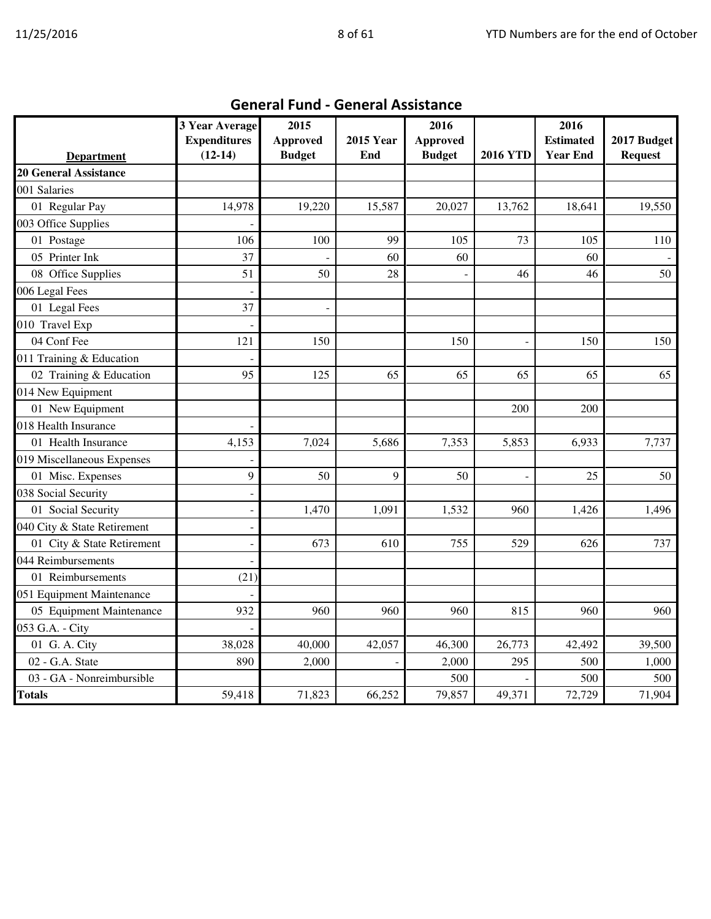|                              | 3 Year Average<br><b>Expenditures</b> | 2015<br><b>Approved</b> | <b>2015 Year</b> | 2016<br>Approved |                 | 2016<br><b>Estimated</b> | 2017 Budget    |
|------------------------------|---------------------------------------|-------------------------|------------------|------------------|-----------------|--------------------------|----------------|
| <b>Department</b>            | $(12-14)$                             | <b>Budget</b>           | End              | <b>Budget</b>    | <b>2016 YTD</b> | <b>Year End</b>          | <b>Request</b> |
| <b>20 General Assistance</b> |                                       |                         |                  |                  |                 |                          |                |
| 001 Salaries                 |                                       |                         |                  |                  |                 |                          |                |
| 01 Regular Pay               | 14,978                                | 19,220                  | 15,587           | 20,027           | 13,762          | 18,641                   | 19,550         |
| 003 Office Supplies          |                                       |                         |                  |                  |                 |                          |                |
| 01 Postage                   | 106                                   | 100                     | 99               | 105              | 73              | 105                      | 110            |
| 05 Printer Ink               | 37                                    |                         | 60               | 60               |                 | 60                       |                |
| 08 Office Supplies           | 51                                    | 50                      | 28               |                  | 46              | 46                       | 50             |
| 006 Legal Fees               |                                       |                         |                  |                  |                 |                          |                |
| 01 Legal Fees                | 37                                    |                         |                  |                  |                 |                          |                |
| 010 Travel Exp               |                                       |                         |                  |                  |                 |                          |                |
| 04 Conf Fee                  | 121                                   | 150                     |                  | 150              |                 | 150                      | 150            |
| 011 Training & Education     |                                       |                         |                  |                  |                 |                          |                |
| 02 Training & Education      | 95                                    | 125                     | 65               | 65               | 65              | 65                       | 65             |
| 014 New Equipment            |                                       |                         |                  |                  |                 |                          |                |
| 01 New Equipment             |                                       |                         |                  |                  | 200             | 200                      |                |
| 018 Health Insurance         |                                       |                         |                  |                  |                 |                          |                |
| 01 Health Insurance          | 4,153                                 | 7,024                   | 5,686            | 7,353            | 5,853           | 6,933                    | 7,737          |
| 019 Miscellaneous Expenses   |                                       |                         |                  |                  |                 |                          |                |
| 01 Misc. Expenses            | 9                                     | 50                      | 9                | 50               |                 | 25                       | 50             |
| 038 Social Security          | $\overline{a}$                        |                         |                  |                  |                 |                          |                |
| 01 Social Security           |                                       | 1,470                   | 1,091            | 1,532            | 960             | 1,426                    | 1,496          |
| 040 City & State Retirement  |                                       |                         |                  |                  |                 |                          |                |
| 01 City & State Retirement   |                                       | 673                     | 610              | 755              | 529             | 626                      | 737            |
| 044 Reimbursements           |                                       |                         |                  |                  |                 |                          |                |
| 01 Reimbursements            | (21)                                  |                         |                  |                  |                 |                          |                |
| 051 Equipment Maintenance    |                                       |                         |                  |                  |                 |                          |                |
| 05 Equipment Maintenance     | 932                                   | 960                     | 960              | 960              | 815             | 960                      | 960            |
| 053 G.A. - City              |                                       |                         |                  |                  |                 |                          |                |
| 01 G. A. City                | 38,028                                | 40,000                  | 42,057           | 46,300           | 26,773          | 42,492                   | 39,500         |
| 02 - G.A. State              | 890                                   | 2,000                   |                  | 2,000            | 295             | 500                      | 1,000          |
| 03 - GA - Nonreimbursible    |                                       |                         |                  | 500              |                 | 500                      | 500            |
| <b>Totals</b>                | 59,418                                | 71,823                  | 66,252           | 79,857           | 49,371          | 72,729                   | 71,904         |

## General Fund - General Assistance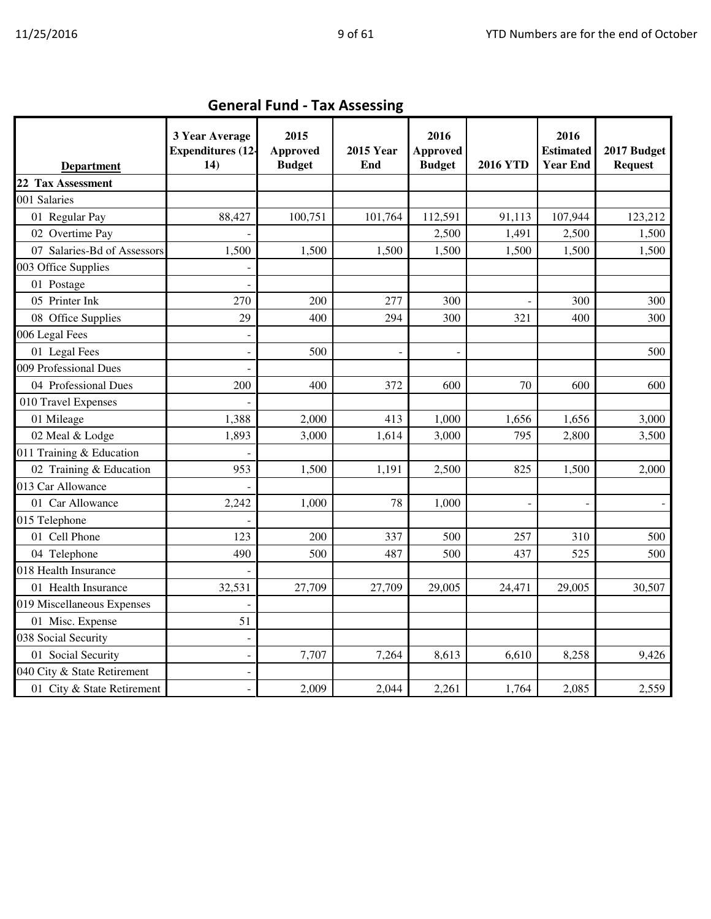| <b>Department</b>           | 3 Year Average<br><b>Expenditures</b> (12-<br>14) | 2015<br>Approved<br><b>Budget</b> | <b>2015 Year</b><br>End | 2016<br><b>Approved</b><br><b>Budget</b> | <b>2016 YTD</b> | 2016<br><b>Estimated</b><br><b>Year End</b> | 2017 Budget<br><b>Request</b> |
|-----------------------------|---------------------------------------------------|-----------------------------------|-------------------------|------------------------------------------|-----------------|---------------------------------------------|-------------------------------|
| 22 Tax Assessment           |                                                   |                                   |                         |                                          |                 |                                             |                               |
| 001 Salaries                |                                                   |                                   |                         |                                          |                 |                                             |                               |
| 01 Regular Pay              | 88,427                                            | 100,751                           | 101,764                 | 112,591                                  | 91,113          | 107,944                                     | 123,212                       |
| 02 Overtime Pay             |                                                   |                                   |                         | 2,500                                    | 1,491           | 2,500                                       | 1,500                         |
| 07 Salaries-Bd of Assessors | 1,500                                             | 1,500                             | 1,500                   | 1,500                                    | 1,500           | 1,500                                       | 1,500                         |
| 003 Office Supplies         |                                                   |                                   |                         |                                          |                 |                                             |                               |
| 01 Postage                  |                                                   |                                   |                         |                                          |                 |                                             |                               |
| 05 Printer Ink              | 270                                               | 200                               | 277                     | 300                                      |                 | 300                                         | 300                           |
| 08 Office Supplies          | 29                                                | 400                               | 294                     | 300                                      | 321             | 400                                         | 300                           |
| 006 Legal Fees              | ÷                                                 |                                   |                         |                                          |                 |                                             |                               |
| 01 Legal Fees               |                                                   | 500                               |                         |                                          |                 |                                             | 500                           |
| 009 Professional Dues       |                                                   |                                   |                         |                                          |                 |                                             |                               |
| 04 Professional Dues        | 200                                               | 400                               | 372                     | 600                                      | 70              | 600                                         | 600                           |
| 010 Travel Expenses         |                                                   |                                   |                         |                                          |                 |                                             |                               |
| 01 Mileage                  | 1,388                                             | 2,000                             | 413                     | 1,000                                    | 1,656           | 1,656                                       | 3,000                         |
| 02 Meal & Lodge             | 1,893                                             | 3,000                             | 1,614                   | 3,000                                    | 795             | 2,800                                       | 3,500                         |
| 011 Training & Education    |                                                   |                                   |                         |                                          |                 |                                             |                               |
| 02 Training & Education     | 953                                               | 1,500                             | 1,191                   | 2,500                                    | 825             | 1,500                                       | 2,000                         |
| 013 Car Allowance           |                                                   |                                   |                         |                                          |                 |                                             |                               |
| 01 Car Allowance            | 2,242                                             | 1,000                             | 78                      | 1,000                                    |                 |                                             |                               |
| 015 Telephone               |                                                   |                                   |                         |                                          |                 |                                             |                               |
| 01 Cell Phone               | 123                                               | 200                               | 337                     | 500                                      | 257             | 310                                         | 500                           |
| 04 Telephone                | 490                                               | 500                               | 487                     | 500                                      | 437             | 525                                         | 500                           |
| 018 Health Insurance        |                                                   |                                   |                         |                                          |                 |                                             |                               |
| 01 Health Insurance         | 32,531                                            | 27,709                            | 27,709                  | 29,005                                   | 24,471          | 29,005                                      | 30,507                        |
| 019 Miscellaneous Expenses  |                                                   |                                   |                         |                                          |                 |                                             |                               |
| 01 Misc. Expense            | 51                                                |                                   |                         |                                          |                 |                                             |                               |
| 038 Social Security         | $\overline{a}$                                    |                                   |                         |                                          |                 |                                             |                               |
| 01 Social Security          |                                                   | 7,707                             | 7,264                   | 8,613                                    | 6,610           | 8,258                                       | 9,426                         |
| 040 City & State Retirement |                                                   |                                   |                         |                                          |                 |                                             |                               |
| 01 City & State Retirement  | ä,                                                | 2,009                             | 2,044                   | 2,261                                    | 1,764           | 2,085                                       | 2,559                         |

General Fund - Tax Assessing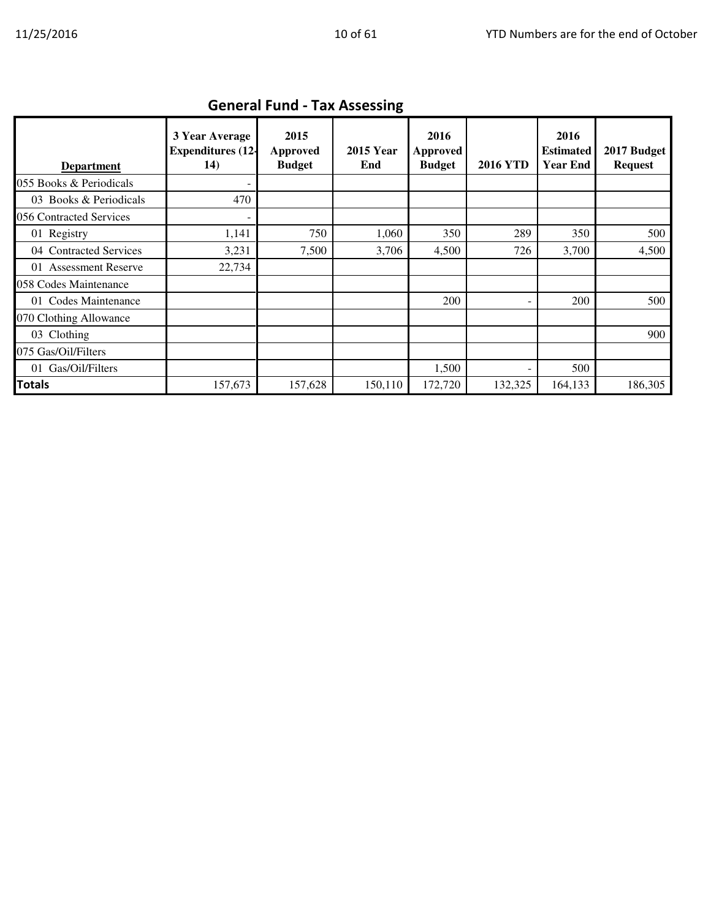|                         | OCHCLOI I UIIU - TOA ASSESSING                    |                                          |                         |                                   |                 |                                             |                               |  |  |  |
|-------------------------|---------------------------------------------------|------------------------------------------|-------------------------|-----------------------------------|-----------------|---------------------------------------------|-------------------------------|--|--|--|
| <b>Department</b>       | 3 Year Average<br><b>Expenditures (12-</b><br>14) | 2015<br><b>Approved</b><br><b>Budget</b> | <b>2015 Year</b><br>End | 2016<br>Approved<br><b>Budget</b> | <b>2016 YTD</b> | 2016<br><b>Estimated</b><br><b>Year End</b> | 2017 Budget<br><b>Request</b> |  |  |  |
| 055 Books & Periodicals |                                                   |                                          |                         |                                   |                 |                                             |                               |  |  |  |
| 03 Books & Periodicals  | 470                                               |                                          |                         |                                   |                 |                                             |                               |  |  |  |
| 056 Contracted Services |                                                   |                                          |                         |                                   |                 |                                             |                               |  |  |  |
| 01 Registry             | 1,141                                             | 750                                      | 1,060                   | 350                               | 289             | 350                                         | 500                           |  |  |  |
| 04 Contracted Services  | 3,231                                             | 7,500                                    | 3,706                   | 4,500                             | 726             | 3,700                                       | 4,500                         |  |  |  |
| 01 Assessment Reserve   | 22,734                                            |                                          |                         |                                   |                 |                                             |                               |  |  |  |
| 058 Codes Maintenance   |                                                   |                                          |                         |                                   |                 |                                             |                               |  |  |  |
| 01 Codes Maintenance    |                                                   |                                          |                         | 200                               |                 | 200                                         | 500                           |  |  |  |
| 070 Clothing Allowance  |                                                   |                                          |                         |                                   |                 |                                             |                               |  |  |  |
| 03 Clothing             |                                                   |                                          |                         |                                   |                 |                                             | 900                           |  |  |  |
| 075 Gas/Oil/Filters     |                                                   |                                          |                         |                                   |                 |                                             |                               |  |  |  |
| 01 Gas/Oil/Filters      |                                                   |                                          |                         | 1,500                             |                 | 500                                         |                               |  |  |  |
| <b>Totals</b>           | 157,673                                           | 157,628                                  | 150,110                 | 172,720                           | 132,325         | 164,133                                     | 186,305                       |  |  |  |

#### General Fund - Tax Assessing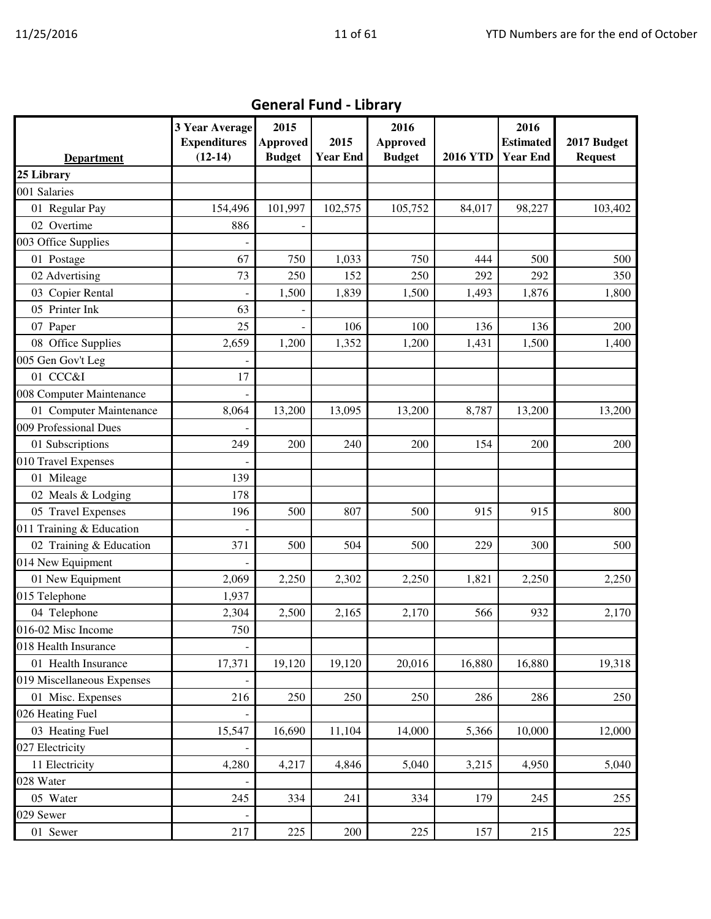| <b>General Fund - Library</b> |                                                           |                                          |                         |                                          |                 |                                             |                               |  |  |  |
|-------------------------------|-----------------------------------------------------------|------------------------------------------|-------------------------|------------------------------------------|-----------------|---------------------------------------------|-------------------------------|--|--|--|
| <b>Department</b>             | <b>3 Year Average</b><br><b>Expenditures</b><br>$(12-14)$ | 2015<br><b>Approved</b><br><b>Budget</b> | 2015<br><b>Year End</b> | 2016<br><b>Approved</b><br><b>Budget</b> | <b>2016 YTD</b> | 2016<br><b>Estimated</b><br><b>Year End</b> | 2017 Budget<br><b>Request</b> |  |  |  |
| 25 Library                    |                                                           |                                          |                         |                                          |                 |                                             |                               |  |  |  |
| 001 Salaries                  |                                                           |                                          |                         |                                          |                 |                                             |                               |  |  |  |
| 01 Regular Pay                | 154,496                                                   | 101,997                                  | 102,575                 | 105,752                                  | 84,017          | 98,227                                      | 103,402                       |  |  |  |
| 02 Overtime                   | 886                                                       |                                          |                         |                                          |                 |                                             |                               |  |  |  |
| 003 Office Supplies           |                                                           |                                          |                         |                                          |                 |                                             |                               |  |  |  |
| 01 Postage                    | 67                                                        | 750                                      | 1,033                   | 750                                      | 444             | 500                                         | 500                           |  |  |  |
| 02 Advertising                | 73                                                        | 250                                      | 152                     | 250                                      | 292             | 292                                         | 350                           |  |  |  |
| 03 Copier Rental              |                                                           | 1,500                                    | 1,839                   | 1,500                                    | 1,493           | 1,876                                       | 1,800                         |  |  |  |
| 05 Printer Ink                | 63                                                        |                                          |                         |                                          |                 |                                             |                               |  |  |  |
| 07 Paper                      | 25                                                        |                                          | 106                     | 100                                      | 136             | 136                                         | 200                           |  |  |  |
| 08 Office Supplies            | 2,659                                                     | 1,200                                    | 1,352                   | 1,200                                    | 1,431           | 1,500                                       | 1,400                         |  |  |  |
| 005 Gen Gov't Leg             |                                                           |                                          |                         |                                          |                 |                                             |                               |  |  |  |
| 01 CCC&I                      | 17                                                        |                                          |                         |                                          |                 |                                             |                               |  |  |  |
| 008 Computer Maintenance      |                                                           |                                          |                         |                                          |                 |                                             |                               |  |  |  |
| 01 Computer Maintenance       | 8,064                                                     | 13,200                                   | 13,095                  | 13,200                                   | 8,787           | 13,200                                      | 13,200                        |  |  |  |
| 009 Professional Dues         |                                                           |                                          |                         |                                          |                 |                                             |                               |  |  |  |
| 01 Subscriptions              | 249                                                       | 200                                      | 240                     | 200                                      | 154             | 200                                         | 200                           |  |  |  |
| 010 Travel Expenses           |                                                           |                                          |                         |                                          |                 |                                             |                               |  |  |  |
| 01 Mileage                    | 139                                                       |                                          |                         |                                          |                 |                                             |                               |  |  |  |
| 02 Meals & Lodging            | 178                                                       |                                          |                         |                                          |                 |                                             |                               |  |  |  |
| 05 Travel Expenses            | 196                                                       | 500                                      | 807                     | 500                                      | 915             | 915                                         | 800                           |  |  |  |
| 011 Training & Education      |                                                           |                                          |                         |                                          |                 |                                             |                               |  |  |  |
| 02 Training & Education       | 371                                                       | 500                                      | 504                     | 500                                      | 229             | 300                                         | 500                           |  |  |  |
| 014 New Equipment             |                                                           |                                          |                         |                                          |                 |                                             |                               |  |  |  |
| 01 New Equipment              | 2,069                                                     | 2,250                                    | 2,302                   | 2,250                                    | 1,821           | 2,250                                       | 2,250                         |  |  |  |
| 015 Telephone                 | 1,937                                                     |                                          |                         |                                          |                 |                                             |                               |  |  |  |
| 04 Telephone                  | 2,304                                                     | 2,500                                    | 2,165                   | 2,170                                    | 566             | 932                                         | 2,170                         |  |  |  |
| 016-02 Misc Income            | 750                                                       |                                          |                         |                                          |                 |                                             |                               |  |  |  |
| 018 Health Insurance          |                                                           |                                          |                         |                                          |                 |                                             |                               |  |  |  |
| 01 Health Insurance           | 17,371                                                    | 19,120                                   | 19,120                  | 20,016                                   | 16,880          | 16,880                                      | 19,318                        |  |  |  |
| 019 Miscellaneous Expenses    |                                                           |                                          |                         |                                          |                 |                                             |                               |  |  |  |
| 01 Misc. Expenses             | 216                                                       | 250                                      | 250                     | 250                                      | 286             | 286                                         | 250                           |  |  |  |
| 026 Heating Fuel              |                                                           |                                          |                         |                                          |                 |                                             |                               |  |  |  |
| 03 Heating Fuel               | 15,547                                                    | 16,690                                   | 11,104                  | 14,000                                   | 5,366           | 10,000                                      | 12,000                        |  |  |  |
| 027 Electricity               |                                                           |                                          |                         |                                          |                 |                                             |                               |  |  |  |
| 11 Electricity                | 4,280                                                     | 4,217                                    | 4,846                   | 5,040                                    | 3,215           | 4,950                                       | 5,040                         |  |  |  |
| 028 Water                     |                                                           |                                          |                         |                                          |                 |                                             |                               |  |  |  |
| 05 Water                      | 245                                                       | 334                                      | 241                     | 334                                      | 179             | 245                                         | 255                           |  |  |  |
| 029 Sewer                     |                                                           |                                          |                         |                                          |                 |                                             |                               |  |  |  |
| 01 Sewer                      | 217                                                       | 225                                      | 200                     | 225                                      | 157             | 215                                         | 225                           |  |  |  |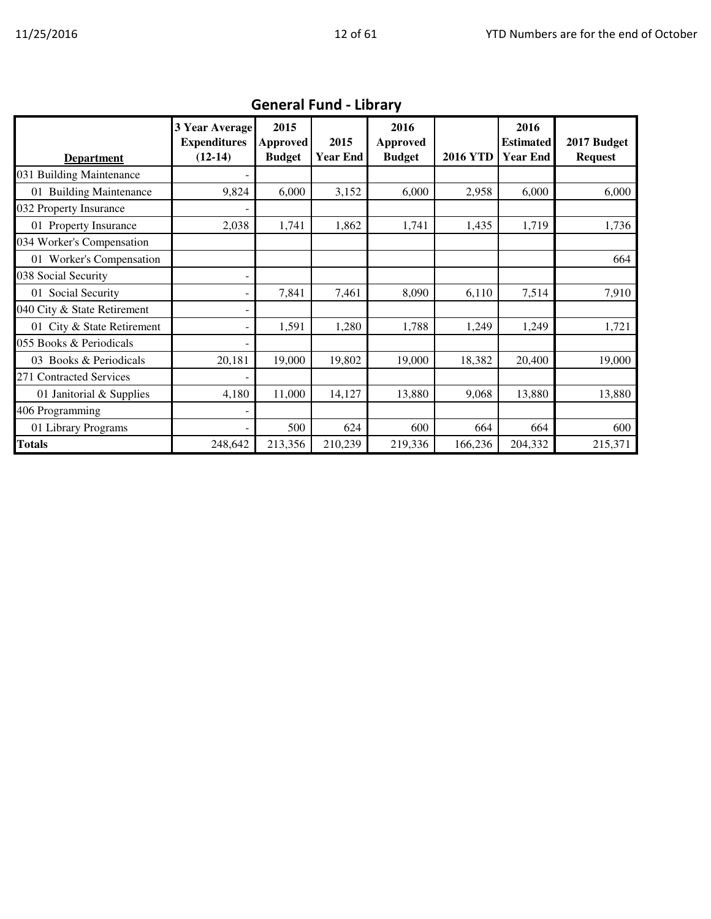| <b>Department</b>           | <b>3 Year Average</b><br><b>Expenditures</b><br>$(12-14)$ | 2015<br>Approved<br><b>Budget</b> | 2015<br><b>Year End</b> | 2016<br><b>Approved</b><br><b>Budget</b> | <b>2016 YTD</b> | 2016<br><b>Estimated</b><br><b>Year End</b> | 2017 Budget<br><b>Request</b> |
|-----------------------------|-----------------------------------------------------------|-----------------------------------|-------------------------|------------------------------------------|-----------------|---------------------------------------------|-------------------------------|
| 031 Building Maintenance    |                                                           |                                   |                         |                                          |                 |                                             |                               |
| 01 Building Maintenance     | 9,824                                                     | 6,000                             | 3,152                   | 6,000                                    | 2,958           | 6,000                                       | 6,000                         |
| 032 Property Insurance      |                                                           |                                   |                         |                                          |                 |                                             |                               |
| 01 Property Insurance       | 2,038                                                     | 1,741                             | 1,862                   | 1,741                                    | 1,435           | 1,719                                       | 1,736                         |
| 034 Worker's Compensation   |                                                           |                                   |                         |                                          |                 |                                             |                               |
| 01 Worker's Compensation    |                                                           |                                   |                         |                                          |                 |                                             | 664                           |
| 038 Social Security         |                                                           |                                   |                         |                                          |                 |                                             |                               |
| 01 Social Security          | -                                                         | 7,841                             | 7,461                   | 8,090                                    | 6,110           | 7,514                                       | 7,910                         |
| 040 City & State Retirement |                                                           |                                   |                         |                                          |                 |                                             |                               |
| 01 City & State Retirement  |                                                           | 1,591                             | 1,280                   | 1,788                                    | 1,249           | 1,249                                       | 1,721                         |
| 055 Books & Periodicals     |                                                           |                                   |                         |                                          |                 |                                             |                               |
| 03 Books & Periodicals      | 20,181                                                    | 19,000                            | 19,802                  | 19,000                                   | 18,382          | 20,400                                      | 19,000                        |
| 271 Contracted Services     |                                                           |                                   |                         |                                          |                 |                                             |                               |
| 01 Janitorial & Supplies    | 4,180                                                     | 11,000                            | 14,127                  | 13,880                                   | 9,068           | 13,880                                      | 13,880                        |
| 406 Programming             |                                                           |                                   |                         |                                          |                 |                                             |                               |
| 01 Library Programs         |                                                           | 500                               | 624                     | 600                                      | 664             | 664                                         | 600                           |
| <b>Totals</b>               | 248,642                                                   | 213,356                           | 210,239                 | 219,336                                  | 166,236         | 204,332                                     | 215,371                       |

## General Fund - Library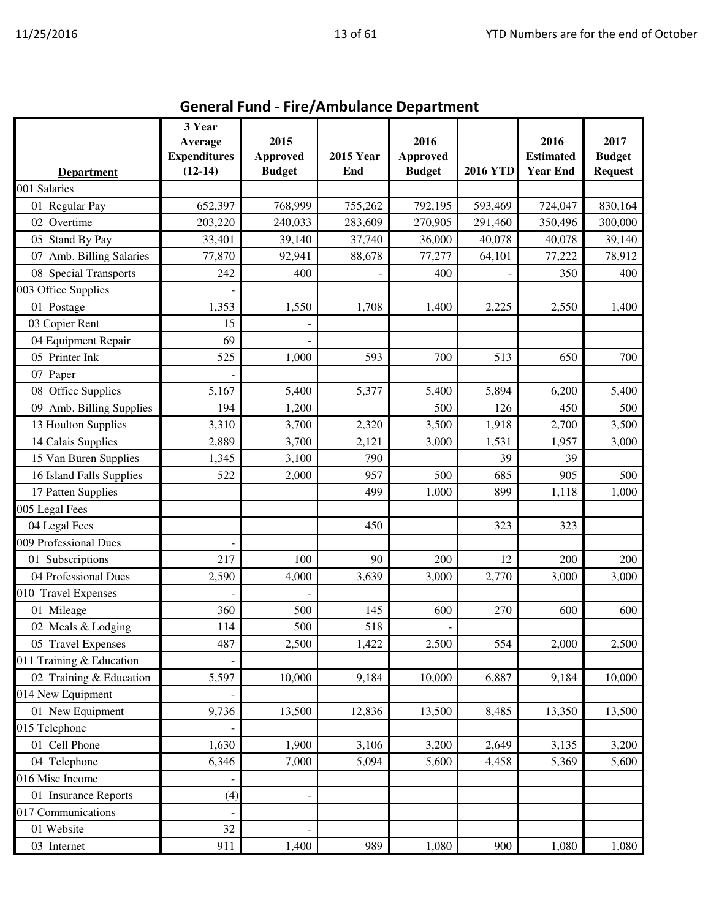| <b>Department</b>        | 3 Year<br>Average<br><b>Expenditures</b><br>$(12-14)$ | 2015<br><b>Approved</b><br><b>Budget</b> | <b>2015 Year</b><br>End | 2016<br><b>Approved</b><br><b>Budget</b> | <b>2016 YTD</b> | 2016<br><b>Estimated</b><br><b>Year End</b> | 2017<br><b>Budget</b><br><b>Request</b> |
|--------------------------|-------------------------------------------------------|------------------------------------------|-------------------------|------------------------------------------|-----------------|---------------------------------------------|-----------------------------------------|
| 001 Salaries             |                                                       |                                          |                         |                                          |                 |                                             |                                         |
| 01 Regular Pay           | 652,397                                               | 768,999                                  | 755,262                 | 792,195                                  | 593,469         | 724,047                                     | 830,164                                 |
| 02 Overtime              | 203,220                                               | 240,033                                  | 283,609                 | 270,905                                  | 291,460         | 350,496                                     | 300,000                                 |
| 05 Stand By Pay          | 33,401                                                | 39,140                                   | 37,740                  | 36,000                                   | 40,078          | 40,078                                      | 39,140                                  |
| 07 Amb. Billing Salaries | 77,870                                                | 92,941                                   | 88,678                  | 77,277                                   | 64,101          | 77,222                                      | 78,912                                  |
| 08 Special Transports    | 242                                                   | 400                                      |                         | 400                                      |                 | 350                                         | 400                                     |
| 003 Office Supplies      |                                                       |                                          |                         |                                          |                 |                                             |                                         |
| 01 Postage               | 1,353                                                 | 1,550                                    | 1,708                   | 1,400                                    | 2,225           | 2,550                                       | 1,400                                   |
| 03 Copier Rent           | 15                                                    |                                          |                         |                                          |                 |                                             |                                         |
| 04 Equipment Repair      | 69                                                    |                                          |                         |                                          |                 |                                             |                                         |
| 05 Printer Ink           | 525                                                   | 1,000                                    | 593                     | 700                                      | 513             | 650                                         | 700                                     |
| 07 Paper                 |                                                       |                                          |                         |                                          |                 |                                             |                                         |
| 08 Office Supplies       | 5,167                                                 | 5,400                                    | 5,377                   | 5,400                                    | 5,894           | 6,200                                       | 5,400                                   |
| 09 Amb. Billing Supplies | 194                                                   | 1,200                                    |                         | 500                                      | 126             | 450                                         | 500                                     |
| 13 Houlton Supplies      | 3,310                                                 | 3,700                                    | 2,320                   | 3,500                                    | 1,918           | 2,700                                       | 3,500                                   |
| 14 Calais Supplies       | 2,889                                                 | 3,700                                    | 2,121                   | 3,000                                    | 1,531           | 1,957                                       | 3,000                                   |
| 15 Van Buren Supplies    | 1,345                                                 | 3,100                                    | 790                     |                                          | 39              | 39                                          |                                         |
| 16 Island Falls Supplies | 522                                                   | 2,000                                    | 957                     | 500                                      | 685             | 905                                         | 500                                     |
| 17 Patten Supplies       |                                                       |                                          | 499                     | 1,000                                    | 899             | 1,118                                       | 1,000                                   |
| 005 Legal Fees           |                                                       |                                          |                         |                                          |                 |                                             |                                         |
| 04 Legal Fees            |                                                       |                                          | 450                     |                                          | 323             | 323                                         |                                         |
| 009 Professional Dues    |                                                       |                                          |                         |                                          |                 |                                             |                                         |
| 01 Subscriptions         | 217                                                   | 100                                      | 90                      | 200                                      | 12              | 200                                         | 200                                     |
| 04 Professional Dues     | 2,590                                                 | 4,000                                    | 3,639                   | 3,000                                    | 2,770           | 3,000                                       | 3,000                                   |
| 010 Travel Expenses      |                                                       |                                          |                         |                                          |                 |                                             |                                         |
| 01 Mileage               | 360                                                   | 500                                      | 145                     | 600                                      | 270             | 600                                         | 600                                     |
| 02 Meals & Lodging       | 114                                                   | 500                                      | 518                     | $\qquad \qquad \blacksquare$             |                 |                                             |                                         |
| 05 Travel Expenses       | 487                                                   | 2,500                                    | 1,422                   | 2,500                                    | 554             | 2,000                                       | 2,500                                   |
| 011 Training & Education |                                                       |                                          |                         |                                          |                 |                                             |                                         |
| 02 Training & Education  | 5,597                                                 | 10,000                                   | 9,184                   | 10,000                                   | 6,887           | 9,184                                       | 10,000                                  |
| 014 New Equipment        |                                                       |                                          |                         |                                          |                 |                                             |                                         |
| 01 New Equipment         | 9,736                                                 | 13,500                                   | 12,836                  | 13,500                                   | 8,485           | 13,350                                      | 13,500                                  |
| 015 Telephone            |                                                       |                                          |                         |                                          |                 |                                             |                                         |
| 01 Cell Phone            | 1,630                                                 | 1,900                                    | 3,106                   | 3,200                                    | 2,649           | 3,135                                       | 3,200                                   |
| 04 Telephone             | 6,346                                                 | 7,000                                    | 5,094                   | 5,600                                    | 4,458           | 5,369                                       | 5,600                                   |
| 016 Misc Income          |                                                       |                                          |                         |                                          |                 |                                             |                                         |
| 01 Insurance Reports     | (4)                                                   |                                          |                         |                                          |                 |                                             |                                         |
| 017 Communications       |                                                       |                                          |                         |                                          |                 |                                             |                                         |
| 01 Website               | 32                                                    |                                          |                         |                                          |                 |                                             |                                         |
| 03 Internet              | 911                                                   | 1,400                                    | 989                     | 1,080                                    | 900             | 1,080                                       | 1,080                                   |

# General Fund - Fire/Ambulance Department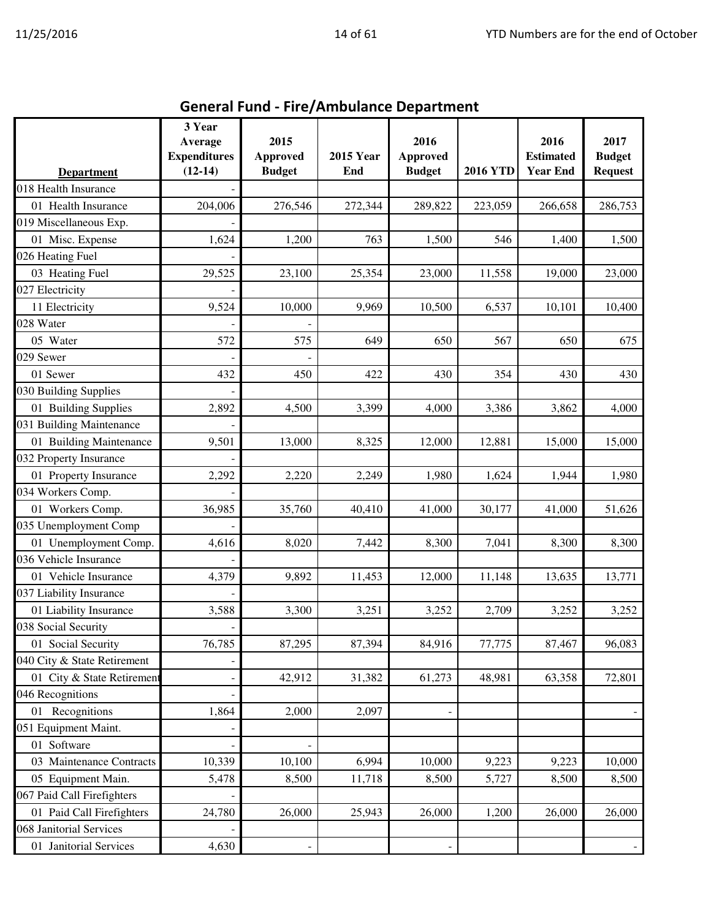| <b>General Fund - Fire/Ambulance Department</b> |                                                       |                                          |                         |                                          |                 |                                             |                                         |  |  |  |
|-------------------------------------------------|-------------------------------------------------------|------------------------------------------|-------------------------|------------------------------------------|-----------------|---------------------------------------------|-----------------------------------------|--|--|--|
| <b>Department</b>                               | 3 Year<br>Average<br><b>Expenditures</b><br>$(12-14)$ | 2015<br><b>Approved</b><br><b>Budget</b> | <b>2015 Year</b><br>End | 2016<br><b>Approved</b><br><b>Budget</b> | <b>2016 YTD</b> | 2016<br><b>Estimated</b><br><b>Year End</b> | 2017<br><b>Budget</b><br><b>Request</b> |  |  |  |
| 018 Health Insurance                            |                                                       |                                          |                         |                                          |                 |                                             |                                         |  |  |  |
| 01 Health Insurance                             | 204,006                                               | 276,546                                  | 272,344                 | 289,822                                  | 223,059         | 266,658                                     | 286,753                                 |  |  |  |
| 019 Miscellaneous Exp.                          |                                                       |                                          |                         |                                          |                 |                                             |                                         |  |  |  |
| 01 Misc. Expense                                | 1,624                                                 | 1,200                                    | 763                     | 1,500                                    | 546             | 1,400                                       | 1,500                                   |  |  |  |
| 026 Heating Fuel                                |                                                       |                                          |                         |                                          |                 |                                             |                                         |  |  |  |
| 03 Heating Fuel                                 | 29,525                                                | 23,100                                   | 25,354                  | 23,000                                   | 11,558          | 19,000                                      | 23,000                                  |  |  |  |
| 027 Electricity                                 |                                                       |                                          |                         |                                          |                 |                                             |                                         |  |  |  |
| 11 Electricity                                  | 9,524                                                 | 10,000                                   | 9,969                   | 10,500                                   | 6,537           | 10,101                                      | 10,400                                  |  |  |  |
| 028 Water                                       |                                                       |                                          |                         |                                          |                 |                                             |                                         |  |  |  |
| 05 Water                                        | 572                                                   | 575                                      | 649                     | 650                                      | 567             | 650                                         | 675                                     |  |  |  |
| 029 Sewer                                       |                                                       |                                          |                         |                                          |                 |                                             |                                         |  |  |  |
| 01 Sewer                                        | 432                                                   | 450                                      | 422                     | 430                                      | 354             | 430                                         | 430                                     |  |  |  |
| 030 Building Supplies                           |                                                       |                                          |                         |                                          |                 |                                             |                                         |  |  |  |
| 01 Building Supplies                            | 2,892                                                 | 4,500                                    | 3,399                   | 4,000                                    | 3,386           | 3,862                                       | 4,000                                   |  |  |  |
| 031 Building Maintenance                        |                                                       |                                          |                         |                                          |                 |                                             |                                         |  |  |  |
| 01 Building Maintenance                         | 9,501                                                 | 13,000                                   | 8,325                   | 12,000                                   | 12,881          | 15,000                                      | 15,000                                  |  |  |  |
| 032 Property Insurance                          |                                                       |                                          |                         |                                          |                 |                                             |                                         |  |  |  |
| 01 Property Insurance                           | 2,292                                                 | 2,220                                    | 2,249                   | 1,980                                    | 1,624           | 1,944                                       | 1,980                                   |  |  |  |
| 034 Workers Comp.                               |                                                       |                                          |                         |                                          |                 |                                             |                                         |  |  |  |
| 01 Workers Comp.                                | 36,985                                                | 35,760                                   | 40,410                  | 41,000                                   | 30,177          | 41,000                                      | 51,626                                  |  |  |  |
| 035 Unemployment Comp                           |                                                       |                                          |                         |                                          |                 |                                             |                                         |  |  |  |
| 01 Unemployment Comp.                           | 4,616                                                 | 8,020                                    | 7,442                   | 8,300                                    | 7,041           | 8,300                                       | 8,300                                   |  |  |  |
| 036 Vehicle Insurance                           |                                                       |                                          |                         |                                          |                 |                                             |                                         |  |  |  |
| 01 Vehicle Insurance                            | 4,379                                                 | 9,892                                    | 11,453                  | 12,000                                   | 11,148          | 13,635                                      | 13,771                                  |  |  |  |
| 037 Liability Insurance                         |                                                       |                                          |                         |                                          |                 |                                             |                                         |  |  |  |
| 01 Liability Insurance                          | 3,588                                                 | 3,300                                    | 3,251                   | 3,252                                    | 2,709           | 3,252                                       | 3,252                                   |  |  |  |
| 038 Social Security                             |                                                       |                                          |                         |                                          |                 |                                             |                                         |  |  |  |
| 01 Social Security                              | 76,785                                                | 87,295                                   | 87,394                  | 84,916                                   | 77,775          | 87,467                                      | 96,083                                  |  |  |  |
| 040 City & State Retirement                     |                                                       |                                          |                         |                                          |                 |                                             |                                         |  |  |  |
| 01 City & State Retirement                      |                                                       | 42,912                                   | 31,382                  | 61,273                                   | 48,981          | 63,358                                      | 72,801                                  |  |  |  |
| 046 Recognitions                                |                                                       |                                          |                         |                                          |                 |                                             |                                         |  |  |  |
| 01 Recognitions                                 | 1,864                                                 | 2,000                                    | 2,097                   |                                          |                 |                                             |                                         |  |  |  |
| 051 Equipment Maint.                            |                                                       |                                          |                         |                                          |                 |                                             |                                         |  |  |  |
| 01 Software                                     |                                                       |                                          |                         |                                          |                 |                                             |                                         |  |  |  |
| 03 Maintenance Contracts                        | 10,339                                                | 10,100                                   | 6,994                   | 10,000                                   | 9,223           | 9,223                                       | 10,000                                  |  |  |  |
| 05 Equipment Main.                              | 5,478                                                 | 8,500                                    | 11,718                  | 8,500                                    | 5,727           | 8,500                                       | 8,500                                   |  |  |  |
| 067 Paid Call Firefighters                      |                                                       |                                          |                         |                                          |                 |                                             |                                         |  |  |  |
| 01 Paid Call Firefighters                       | 24,780                                                | 26,000                                   | 25,943                  | 26,000                                   | 1,200           | 26,000                                      | 26,000                                  |  |  |  |
| 068 Janitorial Services                         |                                                       |                                          |                         |                                          |                 |                                             |                                         |  |  |  |
| 01 Janitorial Services                          | 4,630                                                 |                                          |                         |                                          |                 |                                             |                                         |  |  |  |
|                                                 |                                                       |                                          |                         |                                          |                 |                                             |                                         |  |  |  |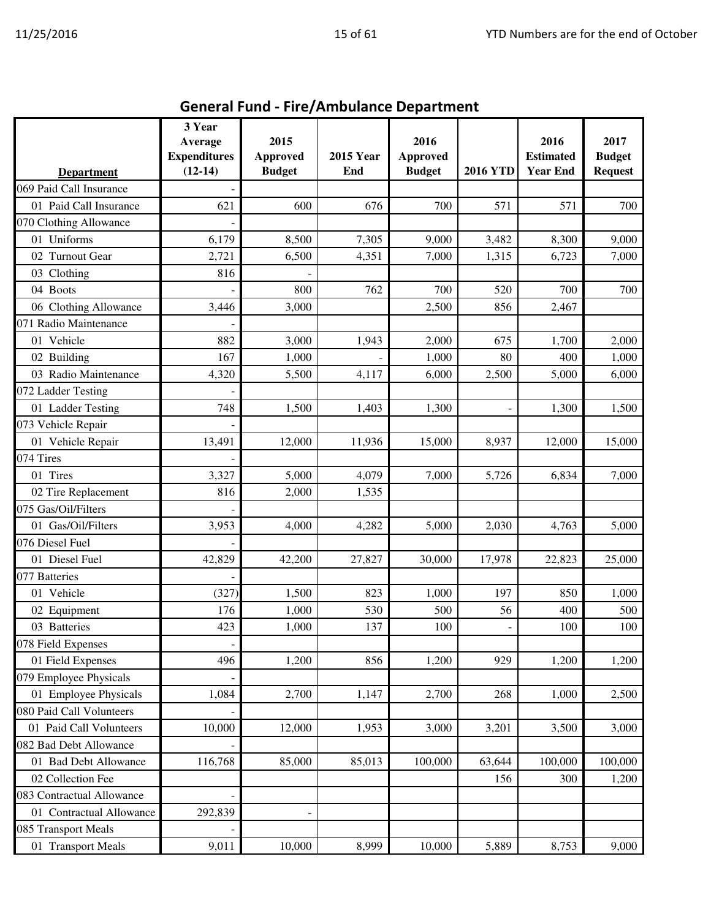|                           | 3 Year<br>Average   | 2015            |                  | 2016          |                 | 2016             | 2017           |
|---------------------------|---------------------|-----------------|------------------|---------------|-----------------|------------------|----------------|
|                           | <b>Expenditures</b> | <b>Approved</b> | <b>2015 Year</b> | Approved      |                 | <b>Estimated</b> | <b>Budget</b>  |
| <b>Department</b>         | $(12-14)$           | <b>Budget</b>   | End              | <b>Budget</b> | <b>2016 YTD</b> | <b>Year End</b>  | <b>Request</b> |
| 069 Paid Call Insurance   |                     |                 |                  |               |                 |                  |                |
| 01 Paid Call Insurance    | 621                 | 600             | 676              | 700           | 571             | 571              | 700            |
| 070 Clothing Allowance    |                     |                 |                  |               |                 |                  |                |
| 01 Uniforms               | 6,179               | 8,500           | 7,305            | 9,000         | 3,482           | 8,300            | 9,000          |
| 02 Turnout Gear           | 2,721               | 6,500           | 4,351            | 7,000         | 1,315           | 6,723            | 7,000          |
| 03 Clothing               | 816                 |                 |                  |               |                 |                  |                |
| 04 Boots                  |                     | 800             | 762              | 700           | 520             | 700              | 700            |
| 06 Clothing Allowance     | 3,446               | 3,000           |                  | 2,500         | 856             | 2,467            |                |
| 071 Radio Maintenance     |                     |                 |                  |               |                 |                  |                |
| 01 Vehicle                | 882                 | 3,000           | 1,943            | 2,000         | 675             | 1,700            | 2,000          |
| 02 Building               | 167                 | 1,000           |                  | 1,000         | 80              | 400              | 1,000          |
| 03 Radio Maintenance      | 4,320               | 5,500           | 4,117            | 6,000         | 2,500           | 5,000            | 6,000          |
| 072 Ladder Testing        |                     |                 |                  |               |                 |                  |                |
| 01 Ladder Testing         | 748                 | 1,500           | 1,403            | 1,300         |                 | 1,300            | 1,500          |
| 073 Vehicle Repair        |                     |                 |                  |               |                 |                  |                |
| 01 Vehicle Repair         | 13,491              | 12,000          | 11,936           | 15,000        | 8,937           | 12,000           | 15,000         |
| 074 Tires                 |                     |                 |                  |               |                 |                  |                |
| 01 Tires                  | 3,327               | 5,000           | 4,079            | 7,000         | 5,726           | 6,834            | 7,000          |
| 02 Tire Replacement       | 816                 | 2,000           | 1,535            |               |                 |                  |                |
| 075 Gas/Oil/Filters       |                     |                 |                  |               |                 |                  |                |
| 01 Gas/Oil/Filters        | 3,953               | 4,000           | 4,282            | 5,000         | 2,030           | 4,763            | 5,000          |
| 076 Diesel Fuel           |                     |                 |                  |               |                 |                  |                |
| 01 Diesel Fuel            | 42,829              | 42,200          | 27,827           | 30,000        | 17,978          | 22,823           | 25,000         |
| 077 Batteries             |                     |                 |                  |               |                 |                  |                |
| 01 Vehicle                | (327)               | 1,500           | 823              | 1,000         | 197             | 850              | 1,000          |
| 02 Equipment              | 176                 | 1,000           | 530              | 500           | 56              | 400              | 500            |
| 03 Batteries              | 423                 | 1,000           | 137              | 100           |                 | 100              | 100            |
| 078 Field Expenses        |                     |                 |                  |               |                 |                  |                |
| 01 Field Expenses         | 496                 | 1,200           | 856              | 1,200         | 929             | 1,200            | 1,200          |
| 079 Employee Physicals    |                     |                 |                  |               |                 |                  |                |
| 01 Employee Physicals     | 1,084               | 2,700           | 1,147            | 2,700         | 268             | 1,000            | 2,500          |
| 080 Paid Call Volunteers  |                     |                 |                  |               |                 |                  |                |
| 01 Paid Call Volunteers   | 10,000              | 12,000          | 1,953            | 3,000         | 3,201           | 3,500            | 3,000          |
| 082 Bad Debt Allowance    |                     |                 |                  |               |                 |                  |                |
| 01 Bad Debt Allowance     | 116,768             | 85,000          | 85,013           | 100,000       | 63,644          | 100,000          | 100,000        |
| 02 Collection Fee         |                     |                 |                  |               | 156             | 300              | 1,200          |
| 083 Contractual Allowance |                     |                 |                  |               |                 |                  |                |
| 01 Contractual Allowance  | 292,839             |                 |                  |               |                 |                  |                |
| 085 Transport Meals       |                     |                 |                  |               |                 |                  |                |
| 01 Transport Meals        | 9,011               | 10,000          | 8,999            | 10,000        | 5,889           | 8,753            | 9,000          |

General Fund - Fire/Ambulance Department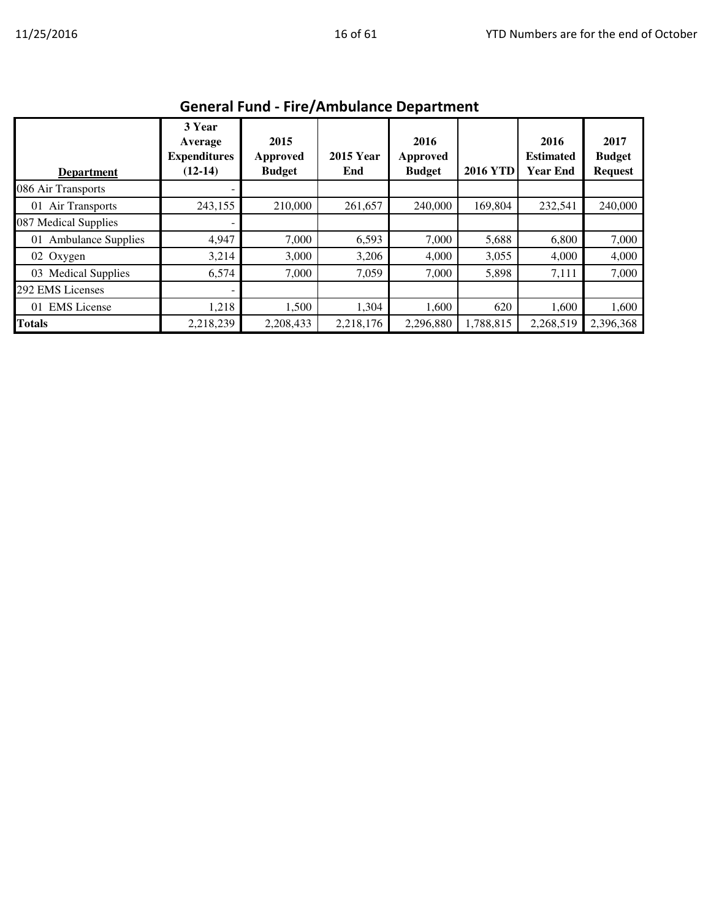| General Fund - Fire/Ambulance Department |                                                       |                                   |                         |                                   |                 |                                             |                                         |  |  |  |
|------------------------------------------|-------------------------------------------------------|-----------------------------------|-------------------------|-----------------------------------|-----------------|---------------------------------------------|-----------------------------------------|--|--|--|
| <b>Department</b>                        | 3 Year<br>Average<br><b>Expenditures</b><br>$(12-14)$ | 2015<br>Approved<br><b>Budget</b> | <b>2015 Year</b><br>End | 2016<br>Approved<br><b>Budget</b> | <b>2016 YTD</b> | 2016<br><b>Estimated</b><br><b>Year End</b> | 2017<br><b>Budget</b><br><b>Request</b> |  |  |  |
| 086 Air Transports                       |                                                       |                                   |                         |                                   |                 |                                             |                                         |  |  |  |
| 01 Air Transports                        | 243,155                                               | 210,000                           | 261,657                 | 240,000                           | 169,804         | 232,541                                     | 240,000                                 |  |  |  |
| 087 Medical Supplies                     |                                                       |                                   |                         |                                   |                 |                                             |                                         |  |  |  |
| <b>Ambulance Supplies</b><br>01          | 4,947                                                 | 7,000                             | 6,593                   | 7,000                             | 5,688           | 6,800                                       | 7,000                                   |  |  |  |
| 02 Oxygen                                | 3,214                                                 | 3,000                             | 3,206                   | 4,000                             | 3,055           | 4,000                                       | 4,000                                   |  |  |  |
| 03 Medical Supplies                      | 6,574                                                 | 7,000                             | 7,059                   | 7,000                             | 5,898           | 7,111                                       | 7,000                                   |  |  |  |
| 292 EMS Licenses                         |                                                       |                                   |                         |                                   |                 |                                             |                                         |  |  |  |
| <b>EMS</b> License<br>01                 | 1,218                                                 | 1,500                             | 1,304                   | 1,600                             | 620             | 1,600                                       | 1,600                                   |  |  |  |
| Totals                                   | 2,218,239                                             | 2,208,433                         | 2,218,176               | 2,296,880                         | 1,788,815       | 2,268,519                                   | 2,396,368                               |  |  |  |

#### General Fund - Fire/Ambulance Department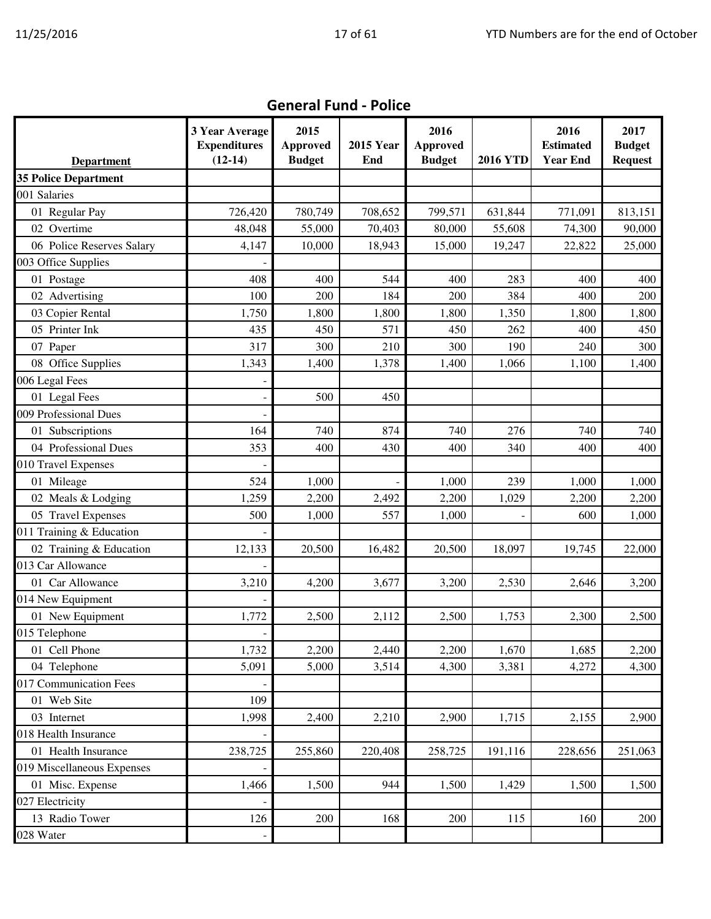|                             | 3 Year Average<br><b>Expenditures</b> | 2015<br>Approved | <b>2015 Year</b> | 2016<br><b>Approved</b> |                 | 2016<br><b>Estimated</b> | 2017<br><b>Budget</b> |
|-----------------------------|---------------------------------------|------------------|------------------|-------------------------|-----------------|--------------------------|-----------------------|
| <b>Department</b>           | $(12-14)$                             | <b>Budget</b>    | End              | <b>Budget</b>           | <b>2016 YTD</b> | <b>Year End</b>          | <b>Request</b>        |
| <b>35 Police Department</b> |                                       |                  |                  |                         |                 |                          |                       |
| 001 Salaries                |                                       |                  |                  |                         |                 |                          |                       |
| 01 Regular Pay              | 726,420                               | 780,749          | 708,652          | 799,571                 | 631,844         | 771,091                  | 813,151               |
| 02 Overtime                 | 48,048                                | 55,000           | 70,403           | 80,000                  | 55,608          | 74,300                   | 90,000                |
| 06 Police Reserves Salary   | 4,147                                 | 10,000           | 18,943           | 15,000                  | 19,247          | 22,822                   | 25,000                |
| 003 Office Supplies         |                                       |                  |                  |                         |                 |                          |                       |
| 01 Postage                  | 408                                   | 400              | 544              | 400                     | 283             | 400                      | 400                   |
| 02 Advertising              | 100                                   | 200              | 184              | 200                     | 384             | 400                      | 200                   |
| 03 Copier Rental            | 1,750                                 | 1,800            | 1,800            | 1,800                   | 1,350           | 1,800                    | 1,800                 |
| 05 Printer Ink              | 435                                   | 450              | 571              | 450                     | 262             | 400                      | 450                   |
| 07 Paper                    | 317                                   | 300              | 210              | 300                     | 190             | 240                      | 300                   |
| 08 Office Supplies          | 1,343                                 | 1,400            | 1,378            | 1,400                   | 1,066           | 1,100                    | 1,400                 |
| 006 Legal Fees              |                                       |                  |                  |                         |                 |                          |                       |
| 01 Legal Fees               |                                       | 500              | 450              |                         |                 |                          |                       |
| 009 Professional Dues       |                                       |                  |                  |                         |                 |                          |                       |
| 01 Subscriptions            | 164                                   | 740              | 874              | 740                     | 276             | 740                      | 740                   |
| 04 Professional Dues        | 353                                   | 400              | 430              | 400                     | 340             | 400                      | 400                   |
| 010 Travel Expenses         |                                       |                  |                  |                         |                 |                          |                       |
| 01 Mileage                  | 524                                   | 1,000            |                  | 1,000                   | 239             | 1,000                    | 1,000                 |
| 02 Meals & Lodging          | 1,259                                 | 2,200            | 2,492            | 2,200                   | 1,029           | 2,200                    | 2,200                 |
| 05 Travel Expenses          | 500                                   | 1,000            | 557              | 1,000                   |                 | 600                      | 1,000                 |
| 011 Training & Education    |                                       |                  |                  |                         |                 |                          |                       |
| 02 Training & Education     | 12,133                                | 20,500           | 16,482           | 20,500                  | 18,097          | 19,745                   | 22,000                |
| 013 Car Allowance           |                                       |                  |                  |                         |                 |                          |                       |
| 01 Car Allowance            | 3,210                                 | 4,200            | 3,677            | 3,200                   | 2,530           | 2,646                    | 3,200                 |
| 014 New Equipment           |                                       |                  |                  |                         |                 |                          |                       |
| 01 New Equipment            | 1,772                                 | 2,500            | 2,112            | 2,500                   | 1,753           | 2,300                    | 2,500                 |
| 015 Telephone               |                                       |                  |                  |                         |                 |                          |                       |
| 01 Cell Phone               | 1,732                                 | 2,200            | 2,440            | 2,200                   | 1,670           | 1,685                    | 2,200                 |
| 04 Telephone                | 5,091                                 | 5,000            | 3,514            | 4,300                   | 3,381           | 4,272                    | 4,300                 |
| 017 Communication Fees      |                                       |                  |                  |                         |                 |                          |                       |
| 01 Web Site                 | 109                                   |                  |                  |                         |                 |                          |                       |
| 03 Internet                 | 1,998                                 | 2,400            | 2,210            | 2,900                   | 1,715           | 2,155                    | 2,900                 |
| 018 Health Insurance        |                                       |                  |                  |                         |                 |                          |                       |
| 01 Health Insurance         | 238,725                               | 255,860          | 220,408          | 258,725                 | 191,116         | 228,656                  | 251,063               |
| 019 Miscellaneous Expenses  |                                       |                  |                  |                         |                 |                          |                       |
| 01 Misc. Expense            | 1,466                                 | 1,500            | 944              | 1,500                   | 1,429           | 1,500                    | 1,500                 |
| 027 Electricity             |                                       |                  |                  |                         |                 |                          |                       |
| 13 Radio Tower              | 126                                   | 200              | 168              | 200                     | 115             | 160                      | 200                   |
| 028 Water                   |                                       |                  |                  |                         |                 |                          |                       |

#### General Fund - Police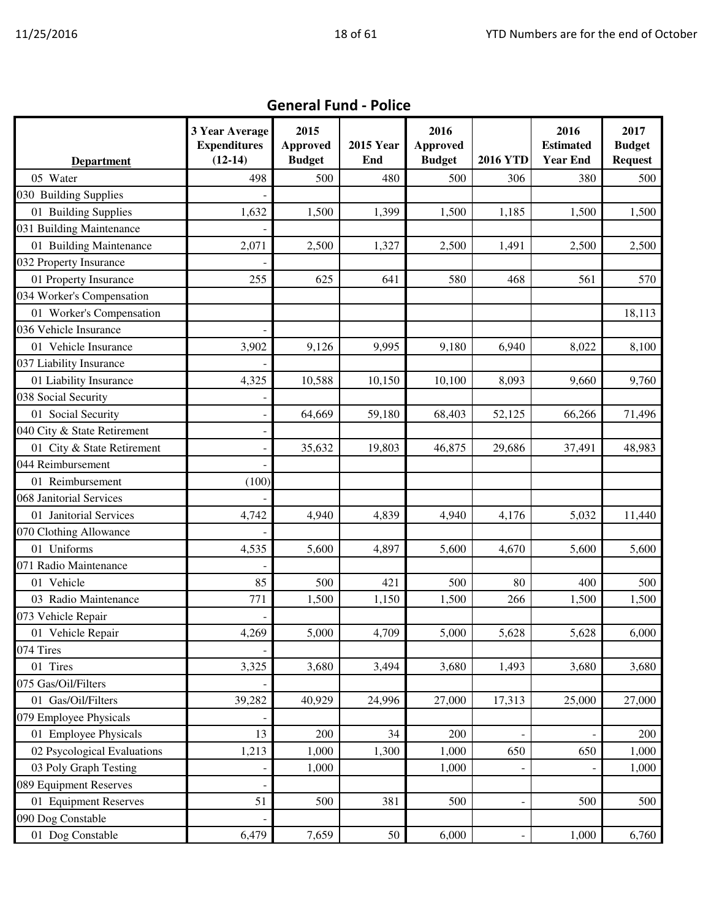|                                                    | 3 Year Average<br><b>Expenditures</b><br>$(12-14)$ | 2015<br><b>Approved</b><br><b>Budget</b> | <b>2015 Year</b><br>End | 2016<br><b>Approved</b><br><b>Budget</b> | <b>2016 YTD</b> | 2016<br><b>Estimated</b><br><b>Year End</b> | 2017<br><b>Budget</b><br><b>Request</b> |
|----------------------------------------------------|----------------------------------------------------|------------------------------------------|-------------------------|------------------------------------------|-----------------|---------------------------------------------|-----------------------------------------|
| <b>Department</b><br>05 Water                      | 498                                                | 500                                      | 480                     | 500                                      | 306             | 380                                         | 500                                     |
| 030 Building Supplies                              |                                                    |                                          |                         |                                          |                 |                                             |                                         |
|                                                    | 1,632                                              |                                          |                         |                                          |                 |                                             | 1,500                                   |
| 01 Building Supplies<br>031 Building Maintenance   |                                                    | 1,500                                    | 1,399                   | 1,500                                    | 1,185           | 1,500                                       |                                         |
| 01 Building Maintenance                            |                                                    |                                          |                         |                                          |                 |                                             |                                         |
| 032 Property Insurance                             | 2,071                                              | 2,500                                    | 1,327                   | 2,500                                    | 1,491           | 2,500                                       | 2,500                                   |
|                                                    | 255                                                | 625                                      | 641                     | 580                                      | 468             | 561                                         |                                         |
| 01 Property Insurance<br>034 Worker's Compensation |                                                    |                                          |                         |                                          |                 |                                             | 570                                     |
|                                                    |                                                    |                                          |                         |                                          |                 |                                             | 18,113                                  |
| 01 Worker's Compensation<br>036 Vehicle Insurance  |                                                    |                                          |                         |                                          |                 |                                             |                                         |
| 01 Vehicle Insurance                               |                                                    |                                          | 9,995                   |                                          |                 |                                             |                                         |
|                                                    | 3,902                                              | 9,126                                    |                         | 9,180                                    | 6,940           | 8,022                                       | 8,100                                   |
| 037 Liability Insurance                            |                                                    |                                          |                         |                                          |                 |                                             |                                         |
| 01 Liability Insurance                             | 4,325                                              | 10,588                                   | 10,150                  | 10,100                                   | 8,093           | 9,660                                       | 9,760                                   |
| 038 Social Security                                |                                                    |                                          |                         |                                          |                 |                                             |                                         |
| 01 Social Security                                 |                                                    | 64,669                                   | 59,180                  | 68,403                                   | 52,125          | 66,266                                      | 71,496                                  |
| 040 City & State Retirement                        |                                                    |                                          |                         |                                          |                 |                                             |                                         |
| 01 City & State Retirement                         |                                                    | 35,632                                   | 19,803                  | 46,875                                   | 29,686          | 37,491                                      | 48,983                                  |
| 044 Reimbursement                                  |                                                    |                                          |                         |                                          |                 |                                             |                                         |
| 01 Reimbursement                                   | (100)                                              |                                          |                         |                                          |                 |                                             |                                         |
| 068 Janitorial Services                            |                                                    |                                          |                         |                                          |                 |                                             |                                         |
| 01 Janitorial Services                             | 4,742                                              | 4,940                                    | 4,839                   | 4,940                                    | 4,176           | 5,032                                       | 11,440                                  |
| 070 Clothing Allowance                             |                                                    |                                          |                         |                                          |                 |                                             |                                         |
| 01 Uniforms                                        | 4,535                                              | 5,600                                    | 4,897                   | 5,600                                    | 4,670           | 5,600                                       | 5,600                                   |
| 071 Radio Maintenance                              |                                                    |                                          |                         |                                          |                 |                                             |                                         |
| 01 Vehicle                                         | 85                                                 | 500                                      | 421                     | 500                                      | 80              | 400                                         | 500                                     |
| 03 Radio Maintenance                               | 771                                                | 1,500                                    | 1,150                   | 1,500                                    | 266             | 1,500                                       | 1,500                                   |
| 073 Vehicle Repair                                 |                                                    |                                          |                         |                                          |                 |                                             |                                         |
| 01 Vehicle Repair                                  | 4,269                                              | 5,000                                    | 4,709                   | 5,000                                    | 5,628           | 5,628                                       | 6,000                                   |
| 074 Tires                                          |                                                    |                                          |                         |                                          |                 |                                             |                                         |
| 01 Tires                                           | 3,325                                              | 3,680                                    | 3,494                   | 3,680                                    | 1,493           | 3,680                                       | 3,680                                   |
| 075 Gas/Oil/Filters                                |                                                    |                                          |                         |                                          |                 |                                             |                                         |
| 01 Gas/Oil/Filters                                 | 39,282                                             | 40,929                                   | 24,996                  | 27,000                                   | 17,313          | 25,000                                      | 27,000                                  |
| 079 Employee Physicals                             |                                                    |                                          |                         |                                          |                 |                                             |                                         |
| 01 Employee Physicals                              | 13                                                 | 200                                      | 34                      | 200                                      |                 |                                             | 200                                     |
| 02 Psycological Evaluations                        | 1,213                                              | 1,000                                    | 1,300                   | 1,000                                    | 650             | 650                                         | 1,000                                   |
| 03 Poly Graph Testing                              |                                                    | 1,000                                    |                         | 1,000                                    |                 |                                             | 1,000                                   |
| 089 Equipment Reserves                             |                                                    |                                          |                         |                                          |                 |                                             |                                         |
| 01 Equipment Reserves                              | 51                                                 | 500                                      | 381                     | 500                                      |                 | 500                                         | 500                                     |
| 090 Dog Constable                                  |                                                    |                                          |                         |                                          |                 |                                             |                                         |
| 01 Dog Constable                                   | 6,479                                              | 7,659                                    | 50                      | 6,000                                    |                 | 1,000                                       | 6,760                                   |

#### General Fund - Police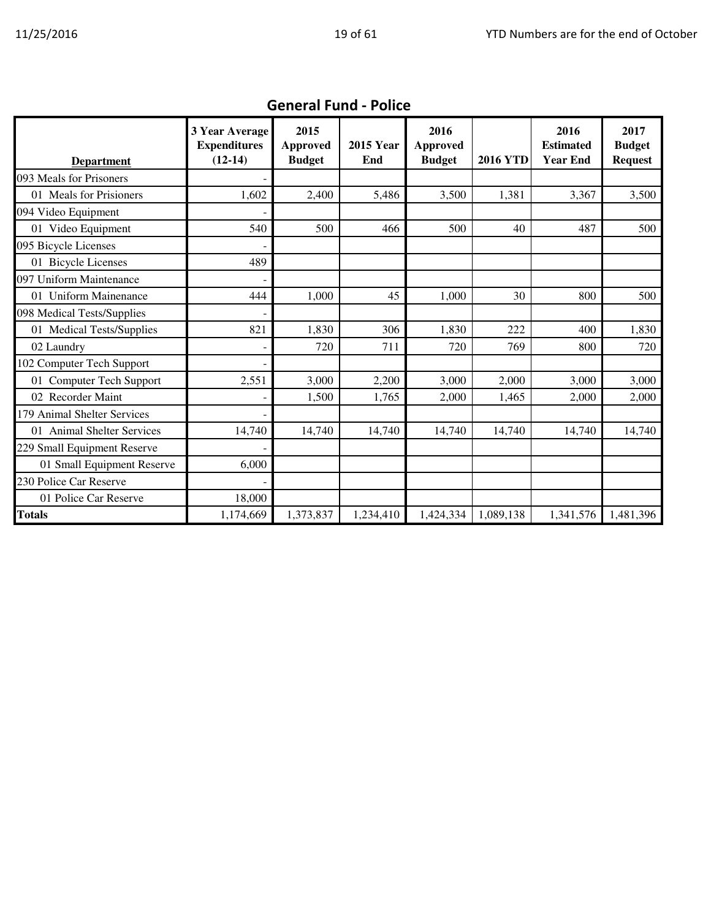|                             | 3 Year Average      | 2015          |                  | 2016          |                 | 2016             | 2017           |
|-----------------------------|---------------------|---------------|------------------|---------------|-----------------|------------------|----------------|
|                             | <b>Expenditures</b> | Approved      | <b>2015 Year</b> | Approved      |                 | <b>Estimated</b> | <b>Budget</b>  |
| <b>Department</b>           | $(12-14)$           | <b>Budget</b> | End              | <b>Budget</b> | <b>2016 YTD</b> | <b>Year End</b>  | <b>Request</b> |
| 093 Meals for Prisoners     |                     |               |                  |               |                 |                  |                |
| 01 Meals for Prisioners     | 1,602               | 2,400         | 5,486            | 3,500         | 1,381           | 3,367            | 3,500          |
| 094 Video Equipment         |                     |               |                  |               |                 |                  |                |
| 01 Video Equipment          | 540                 | 500           | 466              | 500           | 40              | 487              | 500            |
| 095 Bicycle Licenses        |                     |               |                  |               |                 |                  |                |
| 01 Bicycle Licenses         | 489                 |               |                  |               |                 |                  |                |
| 097 Uniform Maintenance     |                     |               |                  |               |                 |                  |                |
| 01 Uniform Mainenance       | 444                 | 1,000         | 45               | 1,000         | 30              | 800              | 500            |
| 098 Medical Tests/Supplies  |                     |               |                  |               |                 |                  |                |
| 01 Medical Tests/Supplies   | 821                 | 1,830         | 306              | 1,830         | 222             | 400              | 1,830          |
| 02 Laundry                  |                     | 720           | 711              | 720           | 769             | 800              | 720            |
| 102 Computer Tech Support   |                     |               |                  |               |                 |                  |                |
| 01 Computer Tech Support    | 2,551               | 3,000         | 2,200            | 3,000         | 2,000           | 3,000            | 3,000          |
| 02 Recorder Maint           |                     | 1,500         | 1,765            | 2,000         | 1,465           | 2,000            | 2,000          |
| 179 Animal Shelter Services |                     |               |                  |               |                 |                  |                |
| 01 Animal Shelter Services  | 14,740              | 14,740        | 14,740           | 14,740        | 14,740          | 14,740           | 14,740         |
| 229 Small Equipment Reserve |                     |               |                  |               |                 |                  |                |
| 01 Small Equipment Reserve  | 6,000               |               |                  |               |                 |                  |                |
| 230 Police Car Reserve      |                     |               |                  |               |                 |                  |                |
| 01 Police Car Reserve       | 18,000              |               |                  |               |                 |                  |                |
| <b>Totals</b>               | 1,174,669           | 1,373,837     | 1,234,410        | 1,424,334     | 1,089,138       | 1,341,576        | 1,481,396      |

### General Fund - Police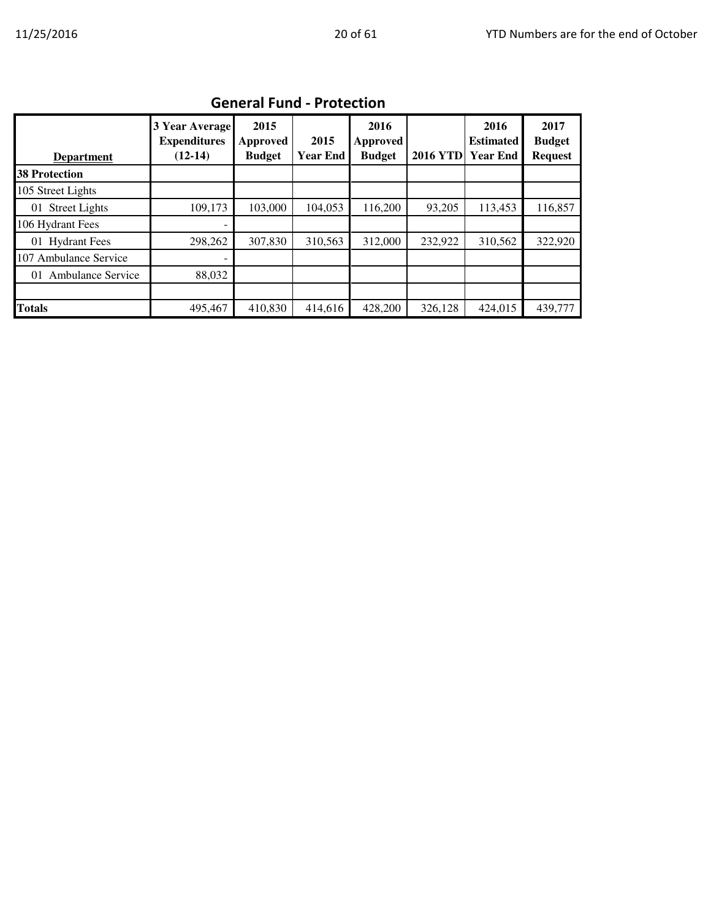| <b>Department</b>          | 3 Year Average<br><b>Expenditures</b><br>$(12-14)$ | 2015<br>Approved<br><b>Budget</b> | 2015<br><b>Year End</b> | 2016<br>Approved<br><b>Budget</b> | <b>2016 YTD</b> | 2016<br><b>Estimated</b><br><b>Year End</b> | 2017<br><b>Budget</b><br><b>Request</b> |  |  |  |
|----------------------------|----------------------------------------------------|-----------------------------------|-------------------------|-----------------------------------|-----------------|---------------------------------------------|-----------------------------------------|--|--|--|
| <b>38 Protection</b>       |                                                    |                                   |                         |                                   |                 |                                             |                                         |  |  |  |
| 105 Street Lights          |                                                    |                                   |                         |                                   |                 |                                             |                                         |  |  |  |
| <b>Street Lights</b><br>01 | 109,173                                            | 103,000                           | 104,053                 | 116,200                           | 93,205          | 113,453                                     | 116,857                                 |  |  |  |
| 106 Hydrant Fees           | ۰                                                  |                                   |                         |                                   |                 |                                             |                                         |  |  |  |
| 01 Hydrant Fees            | 298,262                                            | 307,830                           | 310,563                 | 312,000                           | 232,922         | 310,562                                     | 322,920                                 |  |  |  |
| 107 Ambulance Service      |                                                    |                                   |                         |                                   |                 |                                             |                                         |  |  |  |
| Ambulance Service<br>01    | 88,032                                             |                                   |                         |                                   |                 |                                             |                                         |  |  |  |
|                            |                                                    |                                   |                         |                                   |                 |                                             |                                         |  |  |  |
| <b>Totals</b>              | 495,467                                            | 410,830                           | 414,616                 | 428,200                           | 326,128         | 424,015                                     | 439,777                                 |  |  |  |

#### General Fund - Protection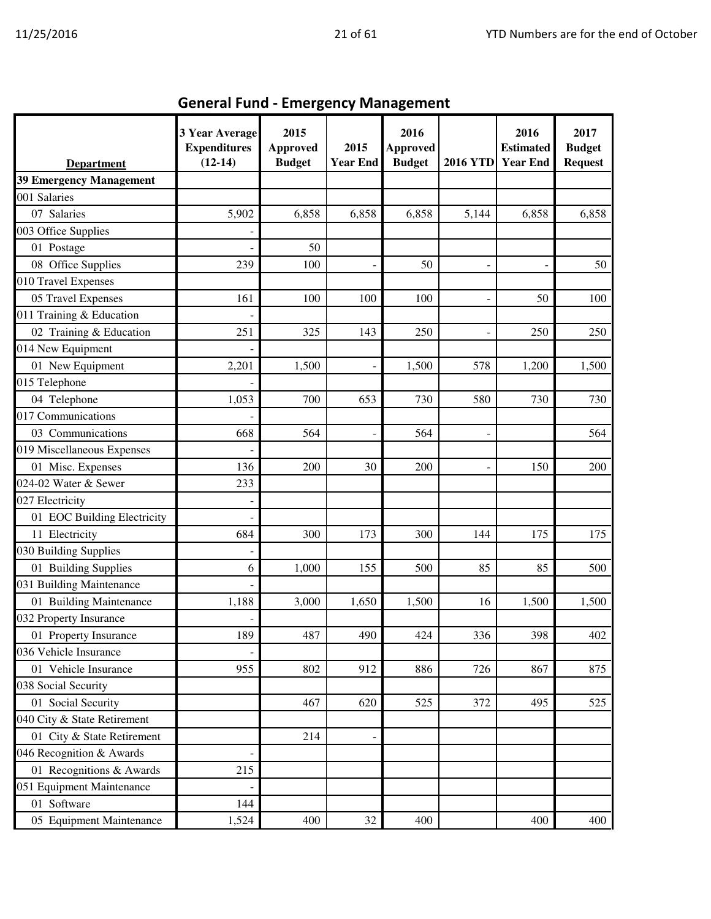| <b>Department</b>           | 3 Year Average<br><b>Expenditures</b><br>$(12-14)$ | 2015<br><b>Approved</b><br><b>Budget</b> | 2015<br><b>Year End</b> | 2016<br><b>Approved</b><br><b>Budget</b> | <b>2016 YTD</b> | 2016<br><b>Estimated</b><br><b>Year End</b> | 2017<br><b>Budget</b><br><b>Request</b> |
|-----------------------------|----------------------------------------------------|------------------------------------------|-------------------------|------------------------------------------|-----------------|---------------------------------------------|-----------------------------------------|
| 39 Emergency Management     |                                                    |                                          |                         |                                          |                 |                                             |                                         |
| 001 Salaries                |                                                    |                                          |                         |                                          |                 |                                             |                                         |
| 07 Salaries                 | 5,902                                              | 6,858                                    | 6,858                   | 6,858                                    | 5,144           | 6,858                                       | 6,858                                   |
| 003 Office Supplies         |                                                    |                                          |                         |                                          |                 |                                             |                                         |
| 01 Postage                  |                                                    | 50                                       |                         |                                          |                 |                                             |                                         |
| 08 Office Supplies          | 239                                                | 100                                      |                         | 50                                       |                 | $\overline{\phantom{a}}$                    | 50                                      |
| 010 Travel Expenses         |                                                    |                                          |                         |                                          |                 |                                             |                                         |
| 05 Travel Expenses          | 161                                                | 100                                      | 100                     | 100                                      |                 | 50                                          | 100                                     |
| 011 Training & Education    |                                                    |                                          |                         |                                          |                 |                                             |                                         |
| 02 Training & Education     | 251                                                | 325                                      | 143                     | 250                                      |                 | 250                                         | 250                                     |
| 014 New Equipment           |                                                    |                                          |                         |                                          |                 |                                             |                                         |
| 01 New Equipment            | 2,201                                              | 1,500                                    | $\blacksquare$          | 1,500                                    | 578             | 1,200                                       | 1,500                                   |
| 015 Telephone               |                                                    |                                          |                         |                                          |                 |                                             |                                         |
| 04 Telephone                | 1,053                                              | 700                                      | 653                     | 730                                      | 580             | 730                                         | 730                                     |
| 017 Communications          |                                                    |                                          |                         |                                          |                 |                                             |                                         |
| 03 Communications           | 668                                                | 564                                      | $\overline{a}$          | 564                                      |                 |                                             | 564                                     |
| 019 Miscellaneous Expenses  |                                                    |                                          |                         |                                          |                 |                                             |                                         |
| 01 Misc. Expenses           | 136                                                | 200                                      | 30                      | 200                                      |                 | 150                                         | 200                                     |
| 024-02 Water & Sewer        | 233                                                |                                          |                         |                                          |                 |                                             |                                         |
| 027 Electricity             |                                                    |                                          |                         |                                          |                 |                                             |                                         |
| 01 EOC Building Electricity |                                                    |                                          |                         |                                          |                 |                                             |                                         |
| 11 Electricity              | 684                                                | 300                                      | 173                     | 300                                      | 144             | 175                                         | 175                                     |
| 030 Building Supplies       |                                                    |                                          |                         |                                          |                 |                                             |                                         |
| 01 Building Supplies        | 6                                                  | 1,000                                    | 155                     | 500                                      | 85              | 85                                          | 500                                     |
| 031 Building Maintenance    |                                                    |                                          |                         |                                          |                 |                                             |                                         |
| 01 Building Maintenance     | 1,188                                              | 3,000                                    | 1,650                   | 1,500                                    | 16              | 1,500                                       | 1,500                                   |
| 032 Property Insurance      |                                                    |                                          |                         |                                          |                 |                                             |                                         |
| 01 Property Insurance       | 189                                                | 487                                      | 490                     | 424                                      | 336             | 398                                         | 402                                     |
| 036 Vehicle Insurance       |                                                    |                                          |                         |                                          |                 |                                             |                                         |
| 01 Vehicle Insurance        | 955                                                | 802                                      | 912                     | 886                                      | 726             | 867                                         | 875                                     |
| 038 Social Security         |                                                    |                                          |                         |                                          |                 |                                             |                                         |
| 01 Social Security          |                                                    | 467                                      | 620                     | 525                                      | 372             | 495                                         | 525                                     |
| 040 City & State Retirement |                                                    |                                          |                         |                                          |                 |                                             |                                         |
| 01 City & State Retirement  |                                                    | 214                                      |                         |                                          |                 |                                             |                                         |
| 046 Recognition & Awards    |                                                    |                                          |                         |                                          |                 |                                             |                                         |
| 01 Recognitions & Awards    | 215                                                |                                          |                         |                                          |                 |                                             |                                         |
| 051 Equipment Maintenance   |                                                    |                                          |                         |                                          |                 |                                             |                                         |
| 01 Software                 | 144                                                |                                          |                         |                                          |                 |                                             |                                         |
| 05 Equipment Maintenance    | 1,524                                              | 400                                      | 32                      | 400                                      |                 | 400                                         | 400                                     |

# General Fund - Emergency Management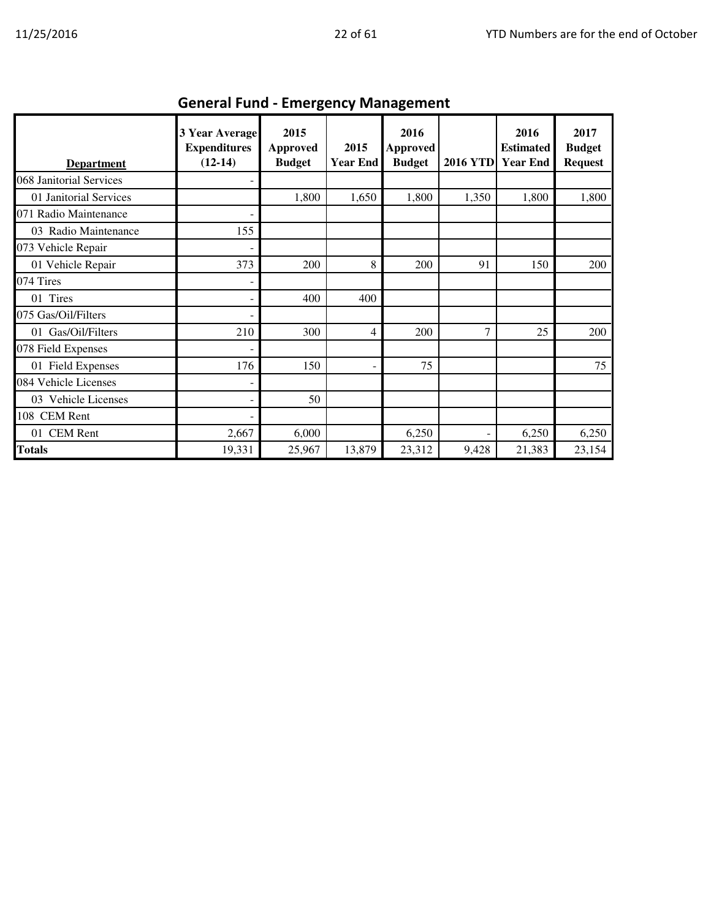| <b>Department</b>       | <b>3 Year Average</b><br><b>Expenditures</b><br>$(12-14)$ | 2015<br>Approved<br><b>Budget</b> | 2015<br><b>Year End</b> | 2016<br>Approved<br><b>Budget</b> | <b>2016 YTD</b> | 2016<br><b>Estimated</b><br><b>Year End</b> | 2017<br><b>Budget</b><br><b>Request</b> |
|-------------------------|-----------------------------------------------------------|-----------------------------------|-------------------------|-----------------------------------|-----------------|---------------------------------------------|-----------------------------------------|
| 068 Janitorial Services |                                                           |                                   |                         |                                   |                 |                                             |                                         |
| 01 Janitorial Services  |                                                           | 1,800                             | 1,650                   | 1,800                             | 1,350           | 1,800                                       | 1,800                                   |
| 071 Radio Maintenance   |                                                           |                                   |                         |                                   |                 |                                             |                                         |
| 03 Radio Maintenance    | 155                                                       |                                   |                         |                                   |                 |                                             |                                         |
| 073 Vehicle Repair      |                                                           |                                   |                         |                                   |                 |                                             |                                         |
| 01 Vehicle Repair       | 373                                                       | 200                               | 8                       | 200                               | 91              | 150                                         | 200                                     |
| 074 Tires               |                                                           |                                   |                         |                                   |                 |                                             |                                         |
| 01 Tires                |                                                           | 400                               | 400                     |                                   |                 |                                             |                                         |
| 075 Gas/Oil/Filters     |                                                           |                                   |                         |                                   |                 |                                             |                                         |
| 01 Gas/Oil/Filters      | 210                                                       | 300                               | 4                       | 200                               | 7               | 25                                          | 200                                     |
| 078 Field Expenses      |                                                           |                                   |                         |                                   |                 |                                             |                                         |
| 01 Field Expenses       | 176                                                       | 150                               |                         | 75                                |                 |                                             | 75                                      |
| 084 Vehicle Licenses    |                                                           |                                   |                         |                                   |                 |                                             |                                         |
| 03 Vehicle Licenses     |                                                           | 50                                |                         |                                   |                 |                                             |                                         |
| 108 CEM Rent            |                                                           |                                   |                         |                                   |                 |                                             |                                         |
| 01 CEM Rent             | 2,667                                                     | 6,000                             |                         | 6,250                             |                 | 6,250                                       | 6,250                                   |
| <b>Totals</b>           | 19,331                                                    | 25,967                            | 13,879                  | 23,312                            | 9,428           | 21,383                                      | 23,154                                  |

## General Fund - Emergency Management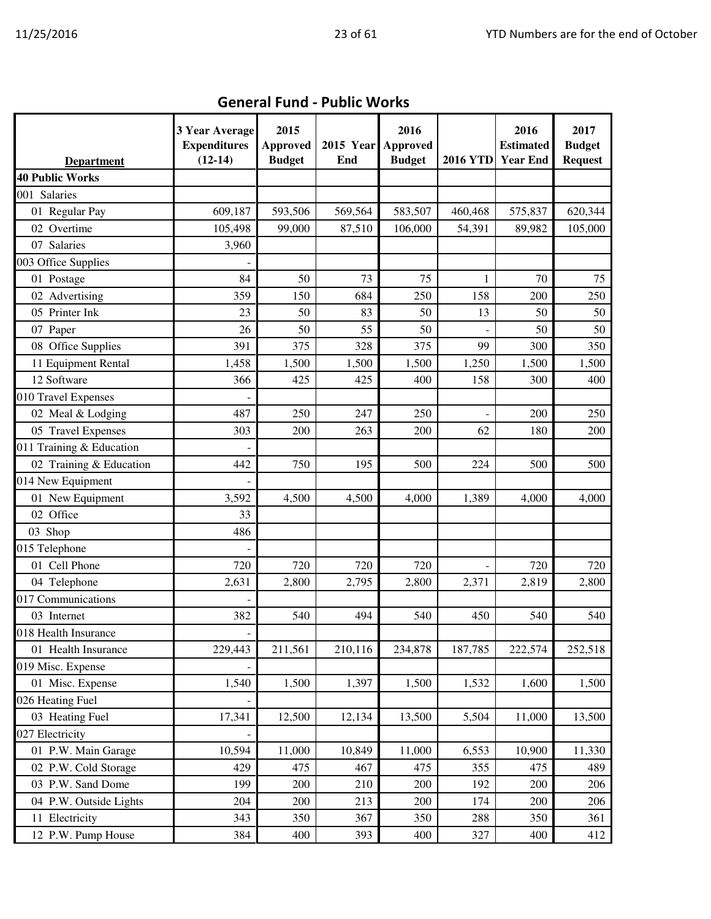| <b>Department</b>        | 3 Year Average<br><b>Expenditures</b><br>$(12-14)$ | 2015<br><b>Approved</b><br><b>Budget</b> | <b>2015 Year</b><br>End | 2016<br>Approved<br><b>Budget</b> | <b>2016 YTD</b> | 2016<br><b>Estimated</b><br><b>Year End</b> | 2017<br><b>Budget</b><br><b>Request</b> |
|--------------------------|----------------------------------------------------|------------------------------------------|-------------------------|-----------------------------------|-----------------|---------------------------------------------|-----------------------------------------|
| <b>40 Public Works</b>   |                                                    |                                          |                         |                                   |                 |                                             |                                         |
| 001 Salaries             |                                                    |                                          |                         |                                   |                 |                                             |                                         |
| 01 Regular Pay           | 609,187                                            | 593,506                                  | 569,564                 | 583,507                           | 460,468         | 575,837                                     | 620,344                                 |
| 02 Overtime              | 105,498                                            | 99,000                                   | 87,510                  | 106,000                           | 54,391          | 89,982                                      | 105,000                                 |
| 07 Salaries              | 3,960                                              |                                          |                         |                                   |                 |                                             |                                         |
| 003 Office Supplies      |                                                    |                                          |                         |                                   |                 |                                             |                                         |
| 01 Postage               | 84                                                 | 50                                       | 73                      | 75                                | 1               | 70                                          | 75                                      |
| 02 Advertising           | 359                                                | 150                                      | 684                     | 250                               | 158             | 200                                         | 250                                     |
| 05 Printer Ink           | 23                                                 | 50                                       | 83                      | 50                                | 13              | 50                                          | 50                                      |
| 07 Paper                 | 26                                                 | 50                                       | 55                      | 50                                |                 | 50                                          | 50                                      |
| 08 Office Supplies       | 391                                                | 375                                      | 328                     | 375                               | 99              | 300                                         | 350                                     |
| 11 Equipment Rental      | 1,458                                              | 1,500                                    | 1,500                   | 1,500                             | 1,250           | 1,500                                       | 1,500                                   |
| 12 Software              | 366                                                | 425                                      | 425                     | 400                               | 158             | 300                                         | 400                                     |
| 010 Travel Expenses      |                                                    |                                          |                         |                                   |                 |                                             |                                         |
| 02 Meal & Lodging        | 487                                                | 250                                      | 247                     | 250                               |                 | 200                                         | 250                                     |
| 05 Travel Expenses       | 303                                                | 200                                      | 263                     | 200                               | 62              | 180                                         | 200                                     |
| 011 Training & Education |                                                    |                                          |                         |                                   |                 |                                             |                                         |
| 02 Training & Education  | 442                                                | 750                                      | 195                     | 500                               | 224             | 500                                         | 500                                     |
| 014 New Equipment        |                                                    |                                          |                         |                                   |                 |                                             |                                         |
| 01 New Equipment         | 3,592                                              | 4,500                                    | 4,500                   | 4,000                             | 1,389           | 4,000                                       | 4,000                                   |
| 02 Office                | 33                                                 |                                          |                         |                                   |                 |                                             |                                         |
| 03 Shop                  | 486                                                |                                          |                         |                                   |                 |                                             |                                         |
| 015 Telephone            |                                                    |                                          |                         |                                   |                 |                                             |                                         |
| 01 Cell Phone            | 720                                                | 720                                      | 720                     | 720                               |                 | 720                                         | 720                                     |
| 04 Telephone             | 2,631                                              | 2,800                                    | 2,795                   | 2,800                             | 2,371           | 2,819                                       | 2,800                                   |
| 017 Communications       |                                                    |                                          |                         |                                   |                 |                                             |                                         |
| 03 Internet              | 382                                                | 540                                      | 494                     | 540                               | 450             | 540                                         | 540                                     |
| 018 Health Insurance     |                                                    |                                          |                         |                                   |                 |                                             |                                         |
| 01 Health Insurance      | 229,443                                            | 211,561                                  | 210,116                 | 234,878                           | 187,785         | 222,574                                     | 252,518                                 |
| 019 Misc. Expense        |                                                    |                                          |                         |                                   |                 |                                             |                                         |
| 01 Misc. Expense         | 1,540                                              | 1,500                                    | 1,397                   | 1,500                             | 1,532           | 1,600                                       | 1,500                                   |
| 026 Heating Fuel         |                                                    |                                          |                         |                                   |                 |                                             |                                         |
| 03 Heating Fuel          | 17,341                                             | 12,500                                   | 12,134                  | 13,500                            | 5,504           | 11,000                                      | 13,500                                  |
| 027 Electricity          |                                                    |                                          |                         |                                   |                 |                                             |                                         |
| 01 P.W. Main Garage      | 10,594                                             | 11,000                                   | 10,849                  | 11,000                            | 6,553           | 10,900                                      | 11,330                                  |
| 02 P.W. Cold Storage     | 429                                                | 475                                      | 467                     | 475                               | 355             | 475                                         | 489                                     |
| 03 P.W. Sand Dome        | 199                                                | 200                                      | 210                     | 200                               | 192             | 200                                         | 206                                     |
| 04 P.W. Outside Lights   | 204                                                | 200                                      | 213                     | 200                               | 174             | 200                                         | 206                                     |
| 11 Electricity           | 343                                                | 350                                      | 367                     | 350                               | 288             | 350                                         | 361                                     |
| 12 P.W. Pump House       | 384                                                | 400                                      | 393                     | 400                               | 327             | 400                                         | 412                                     |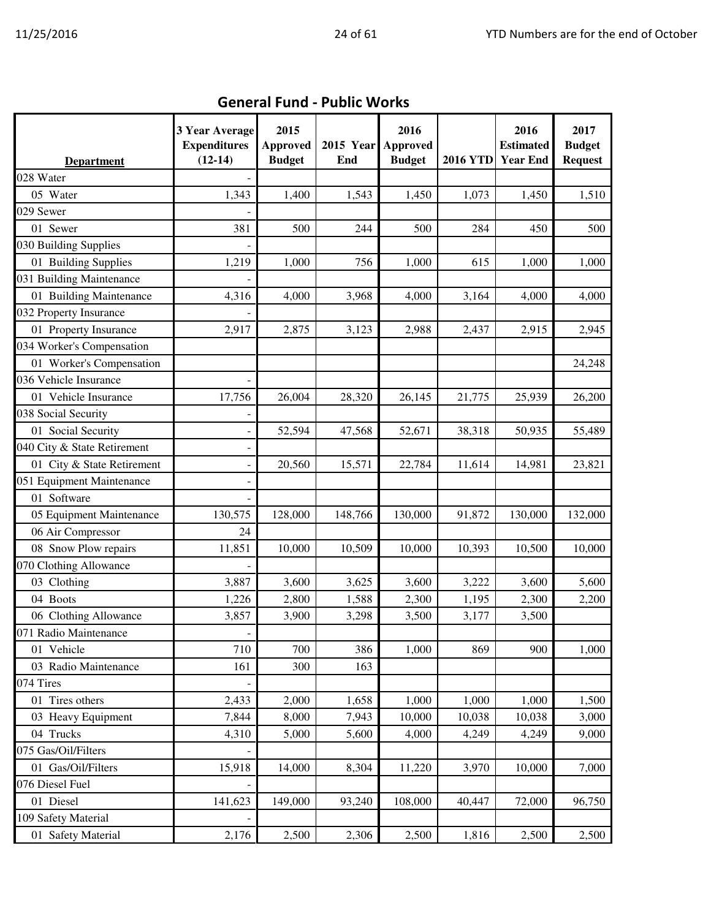| <b>Department</b>           | 3 Year Average<br><b>Expenditures</b><br>$(12-14)$ | 2015<br><b>Approved</b><br><b>Budget</b> | 2015 Year Approved<br>End | 2016<br><b>Budget</b> | <b>2016 YTD</b> | 2016<br><b>Estimated</b><br><b>Year End</b> | 2017<br><b>Budget</b><br><b>Request</b> |
|-----------------------------|----------------------------------------------------|------------------------------------------|---------------------------|-----------------------|-----------------|---------------------------------------------|-----------------------------------------|
| 028 Water                   |                                                    |                                          |                           |                       |                 |                                             |                                         |
| 05 Water                    | 1,343                                              | 1,400                                    | 1,543                     | 1,450                 | 1,073           | 1,450                                       | 1,510                                   |
| 029 Sewer                   |                                                    |                                          |                           |                       |                 |                                             |                                         |
| 01 Sewer                    | 381                                                | 500                                      | 244                       | 500                   | 284             | 450                                         | 500                                     |
| 030 Building Supplies       |                                                    |                                          |                           |                       |                 |                                             |                                         |
| 01 Building Supplies        | 1,219                                              | 1,000                                    | 756                       | 1,000                 | 615             | 1,000                                       | 1,000                                   |
| 031 Building Maintenance    |                                                    |                                          |                           |                       |                 |                                             |                                         |
| 01 Building Maintenance     | 4,316                                              | 4,000                                    | 3,968                     | 4,000                 | 3,164           | 4,000                                       | 4,000                                   |
| 032 Property Insurance      |                                                    |                                          |                           |                       |                 |                                             |                                         |
| 01 Property Insurance       | 2,917                                              | 2,875                                    | 3,123                     | 2,988                 | 2,437           | 2,915                                       | 2,945                                   |
| 034 Worker's Compensation   |                                                    |                                          |                           |                       |                 |                                             |                                         |
| 01 Worker's Compensation    |                                                    |                                          |                           |                       |                 |                                             | 24,248                                  |
| 036 Vehicle Insurance       |                                                    |                                          |                           |                       |                 |                                             |                                         |
| 01 Vehicle Insurance        | 17,756                                             | 26,004                                   | 28,320                    | 26,145                | 21,775          | 25,939                                      | 26,200                                  |
| 038 Social Security         |                                                    |                                          |                           |                       |                 |                                             |                                         |
| 01 Social Security          |                                                    | 52,594                                   | 47,568                    | 52,671                | 38,318          | 50,935                                      | 55,489                                  |
| 040 City & State Retirement |                                                    |                                          |                           |                       |                 |                                             |                                         |
| 01 City & State Retirement  |                                                    | 20,560                                   | 15,571                    | 22,784                | 11,614          | 14,981                                      | 23,821                                  |
| 051 Equipment Maintenance   |                                                    |                                          |                           |                       |                 |                                             |                                         |
| 01 Software                 |                                                    |                                          |                           |                       |                 |                                             |                                         |
| 05 Equipment Maintenance    | 130,575                                            | 128,000                                  | 148,766                   | 130,000               | 91,872          | 130,000                                     | 132,000                                 |
| 06 Air Compressor           | 24                                                 |                                          |                           |                       |                 |                                             |                                         |
| 08 Snow Plow repairs        | 11,851                                             | 10,000                                   | 10,509                    | 10,000                | 10,393          | 10,500                                      | 10,000                                  |
| 070 Clothing Allowance      |                                                    |                                          |                           |                       |                 |                                             |                                         |
| 03 Clothing                 | 3,887                                              | 3,600                                    | 3,625                     | 3,600                 | 3,222           | 3,600                                       | 5,600                                   |
| 04 Boots                    | 1,226                                              | 2,800                                    | 1,588                     | 2,300                 | 1,195           | 2,300                                       | 2,200                                   |
| 06 Clothing Allowance       | 3,857                                              | 3,900                                    | 3,298                     | 3,500                 | 3,177           | 3,500                                       |                                         |
| 071 Radio Maintenance       |                                                    |                                          |                           |                       |                 |                                             |                                         |
| 01 Vehicle                  | 710                                                | 700                                      | 386                       | 1,000                 | 869             | 900                                         | 1,000                                   |
| 03 Radio Maintenance        | 161                                                | 300                                      | 163                       |                       |                 |                                             |                                         |
| 074 Tires                   |                                                    |                                          |                           |                       |                 |                                             |                                         |
| 01 Tires others             | 2,433                                              | 2,000                                    | 1,658                     | 1,000                 | 1,000           | 1,000                                       | 1,500                                   |
| 03 Heavy Equipment          | 7,844                                              | 8,000                                    | 7,943                     | 10,000                | 10,038          | 10,038                                      | 3,000                                   |
| 04 Trucks                   | 4,310                                              | 5,000                                    | 5,600                     | 4,000                 | 4,249           | 4,249                                       | 9,000                                   |
| 075 Gas/Oil/Filters         |                                                    |                                          |                           |                       |                 |                                             |                                         |
| 01 Gas/Oil/Filters          | 15,918                                             | 14,000                                   | 8,304                     | 11,220                | 3,970           | 10,000                                      | 7,000                                   |
| 076 Diesel Fuel             |                                                    |                                          |                           |                       |                 |                                             |                                         |
| 01 Diesel                   | 141,623                                            | 149,000                                  | 93,240                    | 108,000               | 40,447          | 72,000                                      | 96,750                                  |
| 109 Safety Material         |                                                    |                                          |                           |                       |                 |                                             |                                         |
| 01 Safety Material          | 2,176                                              | 2,500                                    | 2,306                     | 2,500                 | 1,816           | 2,500                                       | 2,500                                   |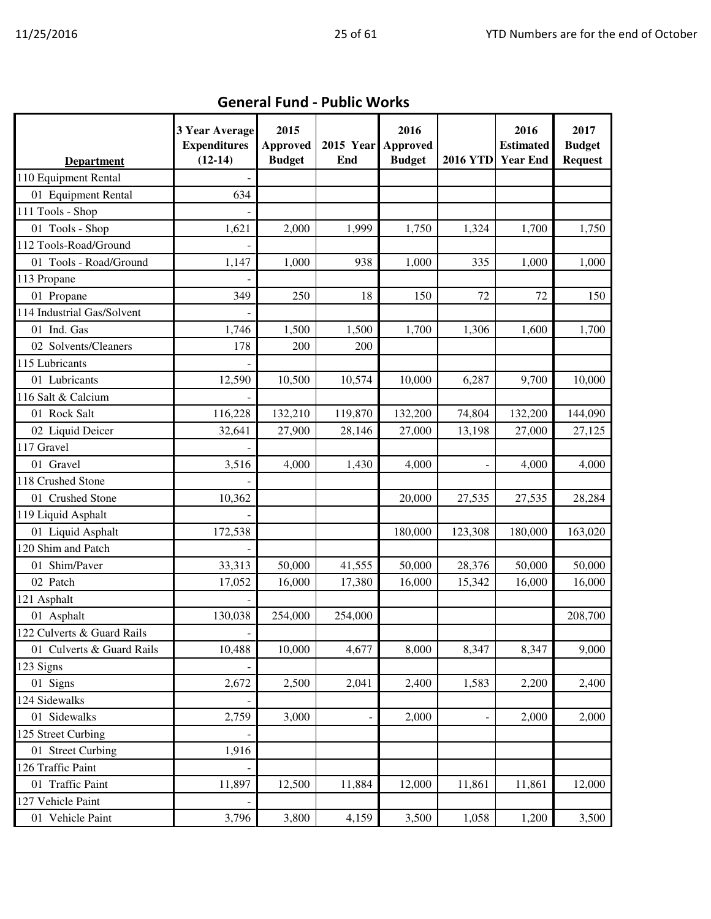| <b>Department</b>          | 3 Year Average<br><b>Expenditures</b><br>$(12-14)$ | 2015<br><b>Approved</b><br><b>Budget</b> | 2015 Year<br>End | 2016<br>Approved<br><b>Budget</b> | <b>2016 YTD</b> | 2016<br><b>Estimated</b><br><b>Year End</b> | 2017<br><b>Budget</b><br><b>Request</b> |
|----------------------------|----------------------------------------------------|------------------------------------------|------------------|-----------------------------------|-----------------|---------------------------------------------|-----------------------------------------|
| 110 Equipment Rental       |                                                    |                                          |                  |                                   |                 |                                             |                                         |
| 01 Equipment Rental        | 634                                                |                                          |                  |                                   |                 |                                             |                                         |
| 111 Tools - Shop           |                                                    |                                          |                  |                                   |                 |                                             |                                         |
| 01 Tools - Shop            | 1,621                                              | 2,000                                    | 1,999            | 1,750                             | 1,324           | 1,700                                       | 1,750                                   |
| 112 Tools-Road/Ground      |                                                    |                                          |                  |                                   |                 |                                             |                                         |
| 01 Tools - Road/Ground     | 1,147                                              | 1,000                                    | 938              | 1,000                             | 335             | 1,000                                       | 1,000                                   |
| 113 Propane                |                                                    |                                          |                  |                                   |                 |                                             |                                         |
| 01 Propane                 | 349                                                | 250                                      | 18               | 150                               | 72              | 72                                          | 150                                     |
| 114 Industrial Gas/Solvent |                                                    |                                          |                  |                                   |                 |                                             |                                         |
| 01 Ind. Gas                | 1,746                                              | 1,500                                    | 1,500            | 1,700                             | 1,306           | 1,600                                       | 1,700                                   |
| 02 Solvents/Cleaners       | 178                                                | 200                                      | 200              |                                   |                 |                                             |                                         |
| 115 Lubricants             |                                                    |                                          |                  |                                   |                 |                                             |                                         |
| 01 Lubricants              | 12,590                                             | 10,500                                   | 10,574           | 10,000                            | 6,287           | 9,700                                       | 10,000                                  |
| 116 Salt & Calcium         |                                                    |                                          |                  |                                   |                 |                                             |                                         |
| 01 Rock Salt               | 116,228                                            | 132,210                                  | 119,870          | 132,200                           | 74,804          | 132,200                                     | 144,090                                 |
| 02 Liquid Deicer           | 32,641                                             | 27,900                                   | 28,146           | 27,000                            | 13,198          | 27,000                                      | 27,125                                  |
| 117 Gravel                 |                                                    |                                          |                  |                                   |                 |                                             |                                         |
| 01 Gravel                  | 3,516                                              | 4,000                                    | 1,430            | 4,000                             |                 | 4,000                                       | 4,000                                   |
| 118 Crushed Stone          |                                                    |                                          |                  |                                   |                 |                                             |                                         |
| 01 Crushed Stone           | 10,362                                             |                                          |                  | 20,000                            | 27,535          | 27,535                                      | 28,284                                  |
| 119 Liquid Asphalt         |                                                    |                                          |                  |                                   |                 |                                             |                                         |
| 01 Liquid Asphalt          | 172,538                                            |                                          |                  | 180,000                           | 123,308         | 180,000                                     | 163,020                                 |
| 120 Shim and Patch         |                                                    |                                          |                  |                                   |                 |                                             |                                         |
| 01 Shim/Paver              | 33,313                                             | 50,000                                   | 41,555           | 50,000                            | 28,376          | 50,000                                      | 50,000                                  |
| 02 Patch                   | 17,052                                             | 16,000                                   | 17,380           | 16,000                            | 15,342          | 16,000                                      | 16,000                                  |
| 121 Asphalt                |                                                    |                                          |                  |                                   |                 |                                             |                                         |
| 01 Asphalt                 | 130,038                                            | 254,000                                  | 254,000          |                                   |                 |                                             | 208,700                                 |
| 122 Culverts & Guard Rails |                                                    |                                          |                  |                                   |                 |                                             |                                         |
| 01 Culverts & Guard Rails  | 10,488                                             | 10,000                                   | 4,677            | 8,000                             | 8,347           | 8,347                                       | 9,000                                   |
| 123 Signs                  |                                                    |                                          |                  |                                   |                 |                                             |                                         |
| 01 Signs                   | 2,672                                              | 2,500                                    | 2,041            | 2,400                             | 1,583           | 2,200                                       | 2,400                                   |
| 124 Sidewalks              |                                                    |                                          |                  |                                   |                 |                                             |                                         |
| 01 Sidewalks               | 2,759                                              | 3,000                                    |                  | 2,000                             |                 | 2,000                                       | 2,000                                   |
| 125 Street Curbing         |                                                    |                                          |                  |                                   |                 |                                             |                                         |
| 01 Street Curbing          | 1,916                                              |                                          |                  |                                   |                 |                                             |                                         |
| 126 Traffic Paint          |                                                    |                                          |                  |                                   |                 |                                             |                                         |
| 01 Traffic Paint           | 11,897                                             | 12,500                                   | 11,884           | 12,000                            | 11,861          | 11,861                                      | 12,000                                  |
| 127 Vehicle Paint          |                                                    |                                          |                  |                                   |                 |                                             |                                         |
| 01 Vehicle Paint           | 3,796                                              | 3,800                                    | 4,159            | 3,500                             | 1,058           | 1,200                                       | 3,500                                   |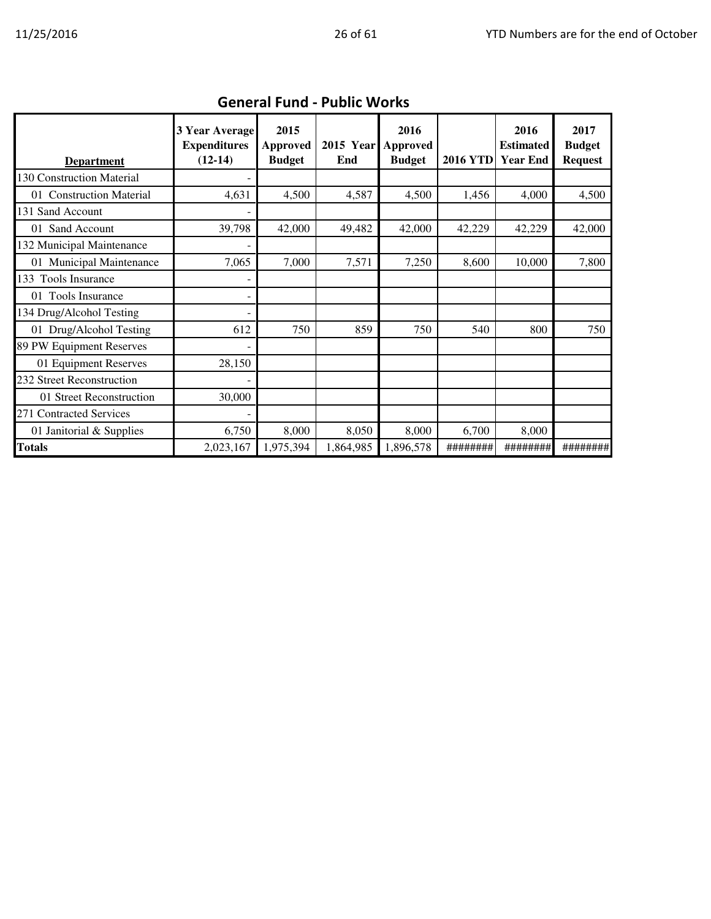| <b>Department</b>         | 3 Year Average<br><b>Expenditures</b><br>$(12-14)$ | 2015<br>Approved<br><b>Budget</b> | <b>2015 Year</b><br>End | 2016<br>Approved<br><b>Budget</b> | <b>2016 YTD</b> | 2016<br><b>Estimated</b><br><b>Year End</b> | 2017<br><b>Budget</b><br><b>Request</b> |
|---------------------------|----------------------------------------------------|-----------------------------------|-------------------------|-----------------------------------|-----------------|---------------------------------------------|-----------------------------------------|
| 130 Construction Material |                                                    |                                   |                         |                                   |                 |                                             |                                         |
| 01 Construction Material  | 4,631                                              | 4,500                             | 4,587                   | 4,500                             | 1,456           | 4,000                                       | 4,500                                   |
| 131 Sand Account          |                                                    |                                   |                         |                                   |                 |                                             |                                         |
| 01 Sand Account           | 39,798                                             | 42,000                            | 49,482                  | 42,000                            | 42,229          | 42,229                                      | 42,000                                  |
| 132 Municipal Maintenance |                                                    |                                   |                         |                                   |                 |                                             |                                         |
| 01 Municipal Maintenance  | 7,065                                              | 7,000                             | 7,571                   | 7,250                             | 8,600           | 10,000                                      | 7,800                                   |
| 133 Tools Insurance       |                                                    |                                   |                         |                                   |                 |                                             |                                         |
| 01 Tools Insurance        |                                                    |                                   |                         |                                   |                 |                                             |                                         |
| 134 Drug/Alcohol Testing  |                                                    |                                   |                         |                                   |                 |                                             |                                         |
| 01 Drug/Alcohol Testing   | 612                                                | 750                               | 859                     | 750                               | 540             | 800                                         | 750                                     |
| 89 PW Equipment Reserves  |                                                    |                                   |                         |                                   |                 |                                             |                                         |
| 01 Equipment Reserves     | 28,150                                             |                                   |                         |                                   |                 |                                             |                                         |
| 232 Street Reconstruction |                                                    |                                   |                         |                                   |                 |                                             |                                         |
| 01 Street Reconstruction  | 30,000                                             |                                   |                         |                                   |                 |                                             |                                         |
| 271 Contracted Services   |                                                    |                                   |                         |                                   |                 |                                             |                                         |
| 01 Janitorial & Supplies  | 6,750                                              | 8,000                             | 8,050                   | 8,000                             | 6,700           | 8,000                                       |                                         |
| <b>Totals</b>             | 2,023,167                                          | 1,975,394                         | 1,864,985               | 1,896,578                         | ########        | ########                                    | ########                                |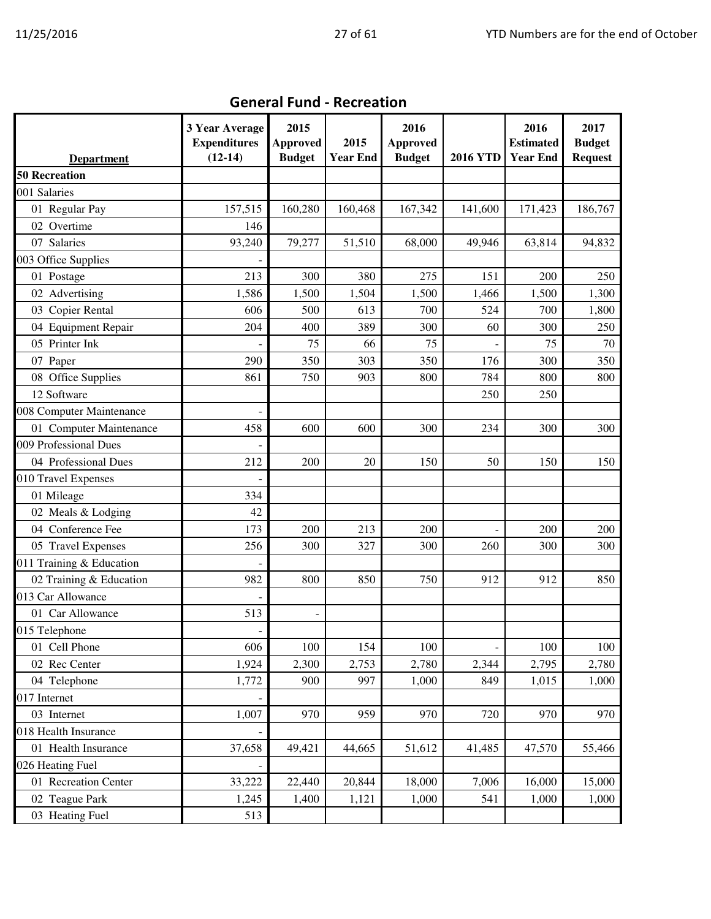|                          | 3 Year Average<br><b>Expenditures</b> | 2015<br><b>Approved</b> | 2015            | 2016<br><b>Approved</b> |                 | 2016<br><b>Estimated</b> | 2017<br><b>Budget</b> |
|--------------------------|---------------------------------------|-------------------------|-----------------|-------------------------|-----------------|--------------------------|-----------------------|
| <b>Department</b>        | $(12-14)$                             | <b>Budget</b>           | <b>Year End</b> | <b>Budget</b>           | <b>2016 YTD</b> | <b>Year End</b>          | <b>Request</b>        |
| <b>50 Recreation</b>     |                                       |                         |                 |                         |                 |                          |                       |
| 001 Salaries             |                                       |                         |                 |                         |                 |                          |                       |
| 01 Regular Pay           | 157,515                               | 160,280                 | 160,468         | 167,342                 | 141,600         | 171,423                  | 186,767               |
| 02 Overtime              | 146                                   |                         |                 |                         |                 |                          |                       |
| 07 Salaries              | 93,240                                | 79,277                  | 51,510          | 68,000                  | 49,946          | 63,814                   | 94,832                |
| 003 Office Supplies      |                                       |                         |                 |                         |                 |                          |                       |
| 01 Postage               | 213                                   | 300                     | 380             | 275                     | 151             | 200                      | 250                   |
| 02 Advertising           | 1,586                                 | 1,500                   | 1,504           | 1,500                   | 1,466           | 1,500                    | 1,300                 |
| 03 Copier Rental         | 606                                   | 500                     | 613             | 700                     | 524             | 700                      | 1,800                 |
| 04 Equipment Repair      | 204                                   | 400                     | 389             | 300                     | 60              | 300                      | 250                   |
| 05 Printer Ink           |                                       | 75                      | 66              | 75                      |                 | 75                       | 70                    |
| 07 Paper                 | 290                                   | 350                     | 303             | 350                     | 176             | 300                      | 350                   |
| 08 Office Supplies       | 861                                   | 750                     | 903             | 800                     | 784             | 800                      | 800                   |
| 12 Software              |                                       |                         |                 |                         | 250             | 250                      |                       |
| 008 Computer Maintenance |                                       |                         |                 |                         |                 |                          |                       |
| 01 Computer Maintenance  | 458                                   | 600                     | 600             | 300                     | 234             | 300                      | 300                   |
| 009 Professional Dues    |                                       |                         |                 |                         |                 |                          |                       |
| 04 Professional Dues     | 212                                   | 200                     | 20              | 150                     | 50              | 150                      | 150                   |
| 010 Travel Expenses      |                                       |                         |                 |                         |                 |                          |                       |
| 01 Mileage               | 334                                   |                         |                 |                         |                 |                          |                       |
| 02 Meals & Lodging       | 42                                    |                         |                 |                         |                 |                          |                       |
| 04 Conference Fee        | 173                                   | 200                     | 213             | 200                     |                 | 200                      | 200                   |
| 05 Travel Expenses       | 256                                   | 300                     | 327             | 300                     | 260             | 300                      | 300                   |
| 011 Training & Education |                                       |                         |                 |                         |                 |                          |                       |
| 02 Training & Education  | 982                                   | 800                     | 850             | 750                     | 912             | 912                      | 850                   |
| 013 Car Allowance        |                                       |                         |                 |                         |                 |                          |                       |
| 01 Car Allowance         | 513                                   |                         |                 |                         |                 |                          |                       |
| 015 Telephone            |                                       |                         |                 |                         |                 |                          |                       |
| 01 Cell Phone            | 606                                   | 100                     | 154             | 100                     |                 | 100                      | 100                   |
| 02 Rec Center            | 1,924                                 | 2,300                   | 2,753           | 2,780                   | 2,344           | 2,795                    | 2,780                 |
| 04 Telephone             | 1,772                                 | 900                     | 997             | 1,000                   | 849             | 1,015                    | 1,000                 |
| 017 Internet             |                                       |                         |                 |                         |                 |                          |                       |
| 03 Internet              | 1,007                                 | 970                     | 959             | 970                     | 720             | 970                      | 970                   |
| 018 Health Insurance     |                                       |                         |                 |                         |                 |                          |                       |
| 01 Health Insurance      | 37,658                                | 49,421                  | 44,665          | 51,612                  | 41,485          | 47,570                   | 55,466                |
| 026 Heating Fuel         |                                       |                         |                 |                         |                 |                          |                       |
| 01 Recreation Center     | 33,222                                | 22,440                  | 20,844          | 18,000                  | 7,006           | 16,000                   | 15,000                |
| 02 Teague Park           | 1,245                                 | 1,400                   | 1,121           | 1,000                   | 541             | 1,000                    | 1,000                 |
| 03 Heating Fuel          | 513                                   |                         |                 |                         |                 |                          |                       |

### General Fund - Recreation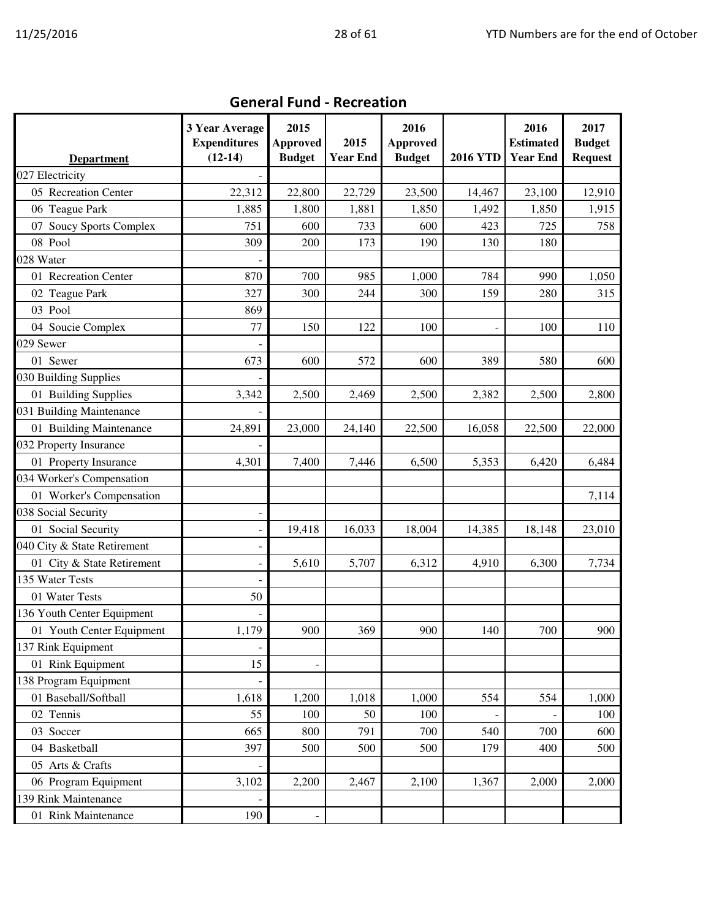| <b>Department</b>           | 3 Year Average<br><b>Expenditures</b><br>$(12-14)$ | 2015<br><b>Approved</b><br><b>Budget</b> | 2015<br><b>Year End</b> | 2016<br><b>Approved</b><br><b>Budget</b> | <b>2016 YTD</b> | 2016<br><b>Estimated</b><br><b>Year End</b> | 2017<br><b>Budget</b><br><b>Request</b> |
|-----------------------------|----------------------------------------------------|------------------------------------------|-------------------------|------------------------------------------|-----------------|---------------------------------------------|-----------------------------------------|
| 027 Electricity             |                                                    |                                          |                         |                                          |                 |                                             |                                         |
| 05 Recreation Center        | 22,312                                             | 22,800                                   | 22,729                  | 23,500                                   | 14,467          | 23,100                                      | 12,910                                  |
| 06 Teague Park              | 1,885                                              | 1,800                                    | 1,881                   | 1,850                                    | 1,492           | 1,850                                       | 1,915                                   |
| 07 Soucy Sports Complex     | 751                                                | 600                                      | 733                     | 600                                      | 423             | 725                                         | 758                                     |
| 08 Pool                     | 309                                                | 200                                      | 173                     | 190                                      | 130             | 180                                         |                                         |
| 028 Water                   |                                                    |                                          |                         |                                          |                 |                                             |                                         |
| 01 Recreation Center        | 870                                                | 700                                      | 985                     | 1,000                                    | 784             | 990                                         | 1,050                                   |
| 02 Teague Park              | 327                                                | 300                                      | 244                     | 300                                      | 159             | 280                                         | 315                                     |
| 03 Pool                     | 869                                                |                                          |                         |                                          |                 |                                             |                                         |
| 04 Soucie Complex           | 77                                                 | 150                                      | 122                     | 100                                      |                 | 100                                         | 110                                     |
| 029 Sewer                   |                                                    |                                          |                         |                                          |                 |                                             |                                         |
| 01 Sewer                    | 673                                                | 600                                      | 572                     | 600                                      | 389             | 580                                         | 600                                     |
| 030 Building Supplies       |                                                    |                                          |                         |                                          |                 |                                             |                                         |
| 01 Building Supplies        | 3,342                                              | 2,500                                    | 2,469                   | 2,500                                    | 2,382           | 2,500                                       | 2,800                                   |
| 031 Building Maintenance    |                                                    |                                          |                         |                                          |                 |                                             |                                         |
| 01 Building Maintenance     | 24,891                                             | 23,000                                   | 24,140                  | 22,500                                   | 16,058          | 22,500                                      | 22,000                                  |
| 032 Property Insurance      |                                                    |                                          |                         |                                          |                 |                                             |                                         |
| 01 Property Insurance       | 4,301                                              | 7,400                                    | 7,446                   | 6,500                                    | 5,353           | 6,420                                       | 6,484                                   |
| 034 Worker's Compensation   |                                                    |                                          |                         |                                          |                 |                                             |                                         |
| 01 Worker's Compensation    |                                                    |                                          |                         |                                          |                 |                                             | 7,114                                   |
| 038 Social Security         |                                                    |                                          |                         |                                          |                 |                                             |                                         |
| 01 Social Security          | -                                                  | 19,418                                   | 16,033                  | 18,004                                   | 14,385          | 18,148                                      | 23,010                                  |
| 040 City & State Retirement | -                                                  |                                          |                         |                                          |                 |                                             |                                         |
| 01 City & State Retirement  |                                                    | 5,610                                    | 5,707                   | 6,312                                    | 4,910           | 6,300                                       | 7,734                                   |
| 135 Water Tests             |                                                    |                                          |                         |                                          |                 |                                             |                                         |
| 01 Water Tests              | 50                                                 |                                          |                         |                                          |                 |                                             |                                         |
| 136 Youth Center Equipment  |                                                    |                                          |                         |                                          |                 |                                             |                                         |
| 01 Youth Center Equipment   | 1,179                                              | 900                                      | 369                     | 900                                      | 140             | 700                                         | 900                                     |
| 137 Rink Equipment          |                                                    |                                          |                         |                                          |                 |                                             |                                         |
| 01 Rink Equipment           | 15                                                 |                                          |                         |                                          |                 |                                             |                                         |
| 138 Program Equipment       |                                                    |                                          |                         |                                          |                 |                                             |                                         |
| 01 Baseball/Softball        | 1,618                                              | 1,200                                    | 1,018                   | 1,000                                    | 554             | 554                                         | 1,000                                   |
| 02 Tennis                   | 55                                                 | 100                                      | 50                      | 100                                      |                 |                                             | 100                                     |
| 03 Soccer                   | 665                                                | 800                                      | 791                     | 700                                      | 540             | 700                                         | 600                                     |
| 04 Basketball               | 397                                                | 500                                      | 500                     | 500                                      | 179             | 400                                         | 500                                     |
| 05 Arts & Crafts            |                                                    |                                          |                         |                                          |                 |                                             |                                         |
| 06 Program Equipment        | 3,102                                              | 2,200                                    | 2,467                   | 2,100                                    | 1,367           | 2,000                                       | 2,000                                   |
| 139 Rink Maintenance        |                                                    |                                          |                         |                                          |                 |                                             |                                         |
| 01 Rink Maintenance         | 190                                                |                                          |                         |                                          |                 |                                             |                                         |

### General Fund - Recreation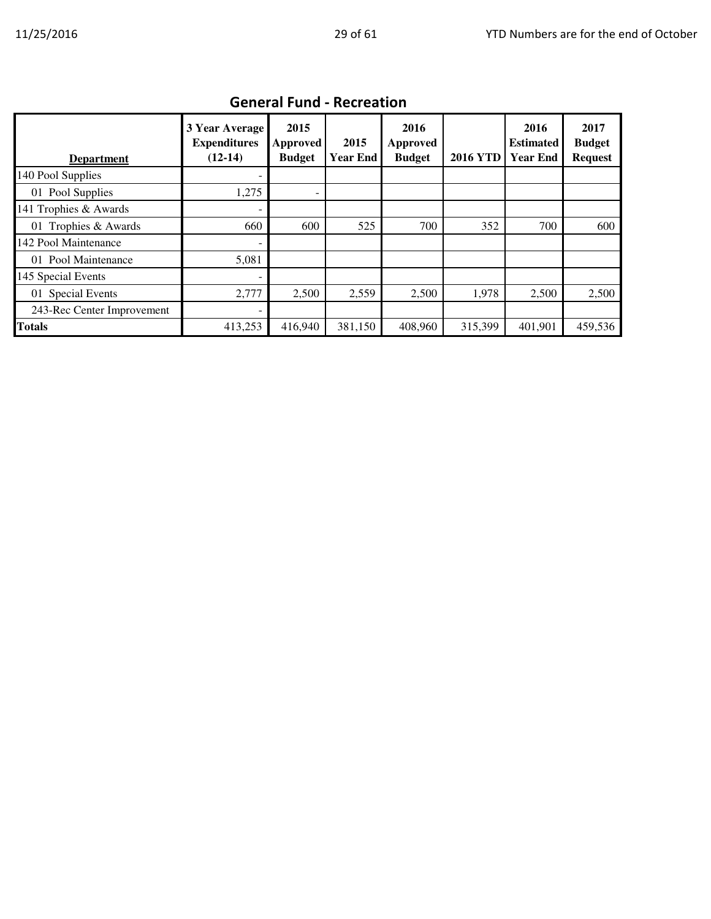| <b>Department</b>          | 3 Year Average<br><b>Expenditures</b><br>$(12-14)$ | 2015<br>Approved<br><b>Budget</b> | 2015<br><b>Year End</b> | 2016<br>Approved<br><b>Budget</b> | <b>2016 YTD</b> | 2016<br><b>Estimated</b><br><b>Year End</b> | 2017<br><b>Budget</b><br><b>Request</b> |  |  |  |
|----------------------------|----------------------------------------------------|-----------------------------------|-------------------------|-----------------------------------|-----------------|---------------------------------------------|-----------------------------------------|--|--|--|
| 140 Pool Supplies          |                                                    |                                   |                         |                                   |                 |                                             |                                         |  |  |  |
| 01 Pool Supplies           | 1,275                                              | ۰                                 |                         |                                   |                 |                                             |                                         |  |  |  |
| 141 Trophies & Awards      | $\overline{\phantom{a}}$                           |                                   |                         |                                   |                 |                                             |                                         |  |  |  |
| 01 Trophies & Awards       | 660                                                | 600                               | 525                     | 700                               | 352             | 700                                         | 600                                     |  |  |  |
| 142 Pool Maintenance       |                                                    |                                   |                         |                                   |                 |                                             |                                         |  |  |  |
| 01 Pool Maintenance        | 5,081                                              |                                   |                         |                                   |                 |                                             |                                         |  |  |  |
| 145 Special Events         | ۰                                                  |                                   |                         |                                   |                 |                                             |                                         |  |  |  |
| 01 Special Events          | 2,777                                              | 2,500                             | 2,559                   | 2,500                             | 1,978           | 2,500                                       | 2,500                                   |  |  |  |
| 243-Rec Center Improvement |                                                    |                                   |                         |                                   |                 |                                             |                                         |  |  |  |
| <b>Totals</b>              | 413,253                                            | 416,940                           | 381,150                 | 408,960                           | 315,399         | 401,901                                     | 459,536                                 |  |  |  |

## General Fund - Recreation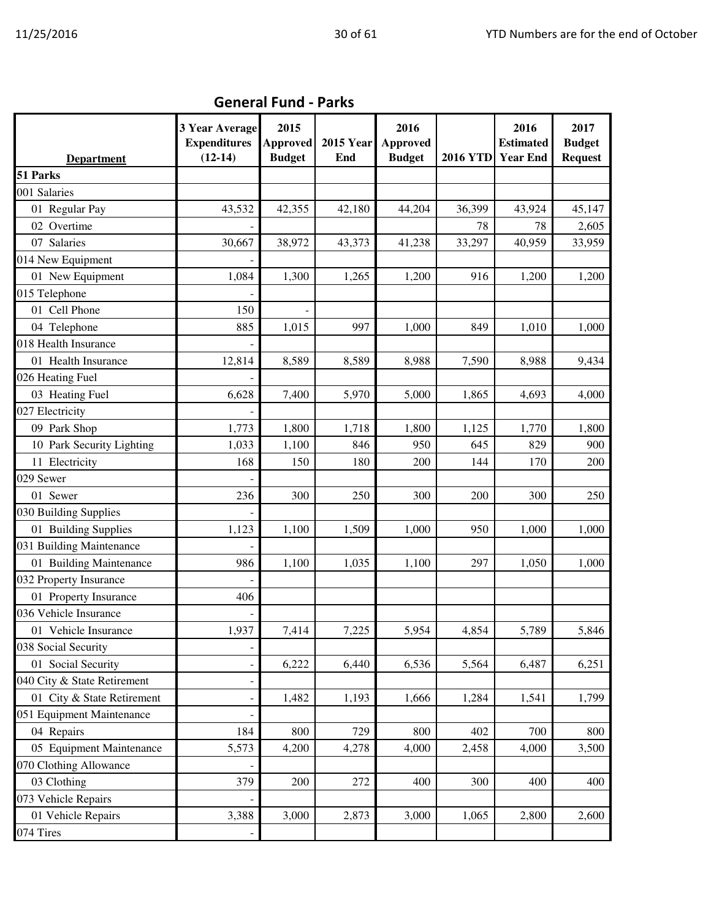|                             | 3 Year Average<br><b>Expenditures</b> | 2015<br><b>Approved</b> | <b>2015 Year</b> | 2016<br><b>Approved</b> |                 | 2016<br><b>Estimated</b> | 2017<br><b>Budget</b> |
|-----------------------------|---------------------------------------|-------------------------|------------------|-------------------------|-----------------|--------------------------|-----------------------|
| <b>Department</b>           | $(12-14)$                             | <b>Budget</b>           | End              | <b>Budget</b>           | <b>2016 YTD</b> | <b>Year End</b>          | <b>Request</b>        |
| 51 Parks                    |                                       |                         |                  |                         |                 |                          |                       |
| 001 Salaries                |                                       |                         |                  |                         |                 |                          |                       |
| 01 Regular Pay              | 43,532                                | 42,355                  | 42,180           | 44,204                  | 36,399          | 43,924                   | 45,147                |
| 02 Overtime                 |                                       |                         |                  |                         | 78              | 78                       | 2,605                 |
| 07 Salaries                 | 30,667                                | 38,972                  | 43,373           | 41,238                  | 33,297          | 40,959                   | 33,959                |
| 014 New Equipment           |                                       |                         |                  |                         |                 |                          |                       |
| 01 New Equipment            | 1,084                                 | 1,300                   | 1,265            | 1,200                   | 916             | 1,200                    | 1,200                 |
| 015 Telephone               |                                       |                         |                  |                         |                 |                          |                       |
| 01 Cell Phone               | 150                                   |                         |                  |                         |                 |                          |                       |
| 04 Telephone                | 885                                   | 1,015                   | 997              | 1,000                   | 849             | 1,010                    | 1,000                 |
| 018 Health Insurance        |                                       |                         |                  |                         |                 |                          |                       |
| 01 Health Insurance         | 12,814                                | 8,589                   | 8,589            | 8,988                   | 7,590           | 8,988                    | 9,434                 |
| 026 Heating Fuel            |                                       |                         |                  |                         |                 |                          |                       |
| 03 Heating Fuel             | 6,628                                 | 7,400                   | 5,970            | 5,000                   | 1,865           | 4,693                    | 4,000                 |
| 027 Electricity             |                                       |                         |                  |                         |                 |                          |                       |
| 09 Park Shop                | 1,773                                 | 1,800                   | 1,718            | 1,800                   | 1,125           | 1,770                    | 1,800                 |
| 10 Park Security Lighting   | 1,033                                 | 1,100                   | 846              | 950                     | 645             | 829                      | 900                   |
| 11 Electricity              | 168                                   | 150                     | 180              | 200                     | 144             | 170                      | 200                   |
| 029 Sewer                   |                                       |                         |                  |                         |                 |                          |                       |
| 01 Sewer                    | 236                                   | 300                     | 250              | 300                     | 200             | 300                      | 250                   |
| 030 Building Supplies       |                                       |                         |                  |                         |                 |                          |                       |
| 01 Building Supplies        | 1,123                                 | 1,100                   | 1,509            | 1,000                   | 950             | 1,000                    | 1,000                 |
| 031 Building Maintenance    |                                       |                         |                  |                         |                 |                          |                       |
| 01 Building Maintenance     | 986                                   | 1,100                   | 1,035            | 1,100                   | 297             | 1,050                    | 1,000                 |
| 032 Property Insurance      |                                       |                         |                  |                         |                 |                          |                       |
| 01 Property Insurance       | 406                                   |                         |                  |                         |                 |                          |                       |
| 036 Vehicle Insurance       |                                       |                         |                  |                         |                 |                          |                       |
| 01 Vehicle Insurance        | 1,937                                 | 7,414                   | 7,225            | 5,954                   | 4,854           | 5,789                    | 5,846                 |
| 038 Social Security         |                                       |                         |                  |                         |                 |                          |                       |
| 01 Social Security          | ÷                                     | 6,222                   | 6,440            | 6,536                   | 5,564           | 6,487                    | 6,251                 |
| 040 City & State Retirement | ÷                                     |                         |                  |                         |                 |                          |                       |
| 01 City & State Retirement  |                                       | 1,482                   | 1,193            | 1,666                   | 1,284           | 1,541                    | 1,799                 |
| 051 Equipment Maintenance   |                                       |                         |                  |                         |                 |                          |                       |
| 04 Repairs                  | 184                                   | 800                     | 729              | 800                     | 402             | 700                      | 800                   |
| 05 Equipment Maintenance    | 5,573                                 | 4,200                   | 4,278            | 4,000                   | 2,458           | 4,000                    | 3,500                 |
| 070 Clothing Allowance      |                                       |                         |                  |                         |                 |                          |                       |
| 03 Clothing                 | 379                                   | 200                     | 272              | 400                     | 300             | 400                      | 400                   |
| 073 Vehicle Repairs         |                                       |                         |                  |                         |                 |                          |                       |
| 01 Vehicle Repairs          | 3,388                                 | 3,000                   | 2,873            | 3,000                   | 1,065           | 2,800                    | 2,600                 |
| 074 Tires                   |                                       |                         |                  |                         |                 |                          |                       |

## General Fund - Parks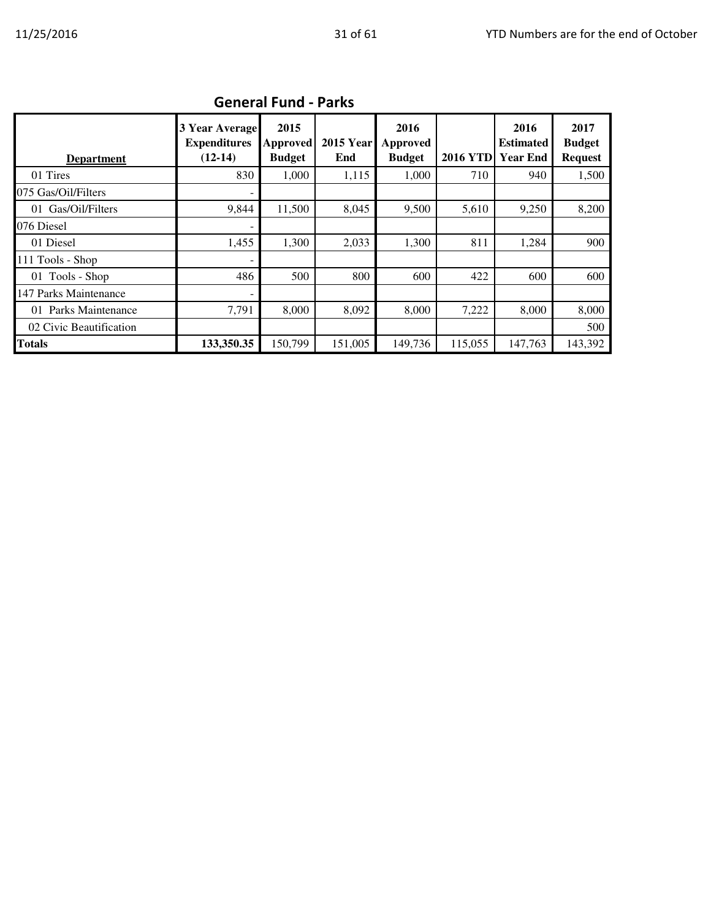| <b>Department</b>       | 3 Year Average<br><b>Expenditures</b><br>$(12-14)$ | 2015<br><b>Approved</b><br><b>Budget</b> | <b>2015 Year</b><br>End | 2016<br>Approved<br><b>Budget</b> | <b>2016 YTD</b> | 2016<br><b>Estimated</b><br><b>Year End</b> | 2017<br><b>Budget</b><br><b>Request</b> |  |  |  |  |
|-------------------------|----------------------------------------------------|------------------------------------------|-------------------------|-----------------------------------|-----------------|---------------------------------------------|-----------------------------------------|--|--|--|--|
| 01 Tires                | 830                                                | 1,000                                    | 1,115                   | 1,000                             | 710             | 940                                         | 1,500                                   |  |  |  |  |
| 075 Gas/Oil/Filters     |                                                    |                                          |                         |                                   |                 |                                             |                                         |  |  |  |  |
| 01 Gas/Oil/Filters      | 9.844                                              | 11,500                                   | 8,045                   | 9,500                             | 5,610           | 9,250                                       | 8,200                                   |  |  |  |  |
| 076 Diesel              |                                                    |                                          |                         |                                   |                 |                                             |                                         |  |  |  |  |
| 01 Diesel               | 1,455                                              | 1.300                                    | 2,033                   | 1,300                             | 811             | 1,284                                       | 900                                     |  |  |  |  |
| $111$ Tools - Shop      |                                                    |                                          |                         |                                   |                 |                                             |                                         |  |  |  |  |
| 01 Tools - Shop         | 486                                                | 500                                      | 800                     | 600                               | 422             | 600                                         | 600                                     |  |  |  |  |
| 147 Parks Maintenance   |                                                    |                                          |                         |                                   |                 |                                             |                                         |  |  |  |  |
| 01 Parks Maintenance    | 7,791                                              | 8,000                                    | 8,092                   | 8,000                             | 7,222           | 8,000                                       | 8,000                                   |  |  |  |  |
| 02 Civic Beautification |                                                    |                                          |                         |                                   |                 |                                             | 500                                     |  |  |  |  |
| <b>Totals</b>           | 133,350.35                                         | 150,799                                  | 151,005                 | 149,736                           | 115,055         | 147,763                                     | 143,392                                 |  |  |  |  |

## General Fund - Parks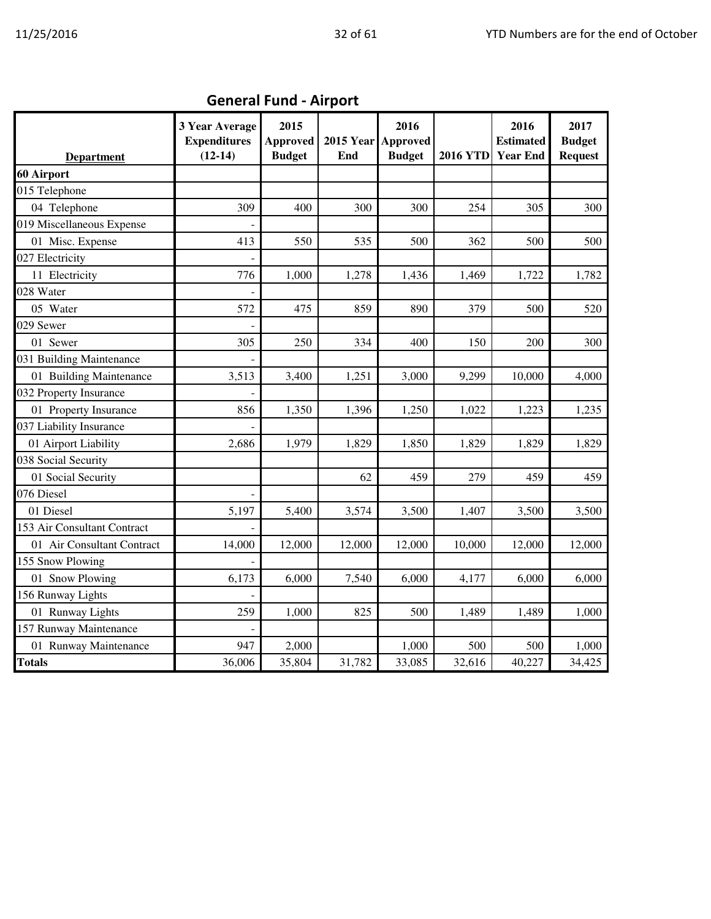| <b>Department</b>           | 3 Year Average<br><b>Expenditures</b><br>$(12-14)$ | 2015<br><b>Approved</b><br><b>Budget</b> | <b>2015 Year</b><br>End | 2016<br><b>Approved</b><br><b>Budget</b> | <b>2016 YTD</b> | 2016<br><b>Estimated</b><br><b>Year End</b> | 2017<br><b>Budget</b><br><b>Request</b> |
|-----------------------------|----------------------------------------------------|------------------------------------------|-------------------------|------------------------------------------|-----------------|---------------------------------------------|-----------------------------------------|
| 60 Airport                  |                                                    |                                          |                         |                                          |                 |                                             |                                         |
| 015 Telephone               |                                                    |                                          |                         |                                          |                 |                                             |                                         |
| 04 Telephone                | 309                                                | 400                                      | 300                     | 300                                      | 254             | 305                                         | 300                                     |
| 019 Miscellaneous Expense   |                                                    |                                          |                         |                                          |                 |                                             |                                         |
| 01 Misc. Expense            | 413                                                | 550                                      | 535                     | 500                                      | 362             | 500                                         | 500                                     |
| 027 Electricity             |                                                    |                                          |                         |                                          |                 |                                             |                                         |
| 11 Electricity              | 776                                                | 1,000                                    | 1,278                   | 1,436                                    | 1,469           | 1,722                                       | 1,782                                   |
| 028 Water                   |                                                    |                                          |                         |                                          |                 |                                             |                                         |
| 05 Water                    | 572                                                | 475                                      | 859                     | 890                                      | 379             | 500                                         | 520                                     |
| 029 Sewer                   |                                                    |                                          |                         |                                          |                 |                                             |                                         |
| 01 Sewer                    | 305                                                | 250                                      | 334                     | 400                                      | 150             | 200                                         | 300                                     |
| 031 Building Maintenance    |                                                    |                                          |                         |                                          |                 |                                             |                                         |
| 01 Building Maintenance     | 3,513                                              | 3,400                                    | 1,251                   | 3,000                                    | 9,299           | 10,000                                      | 4,000                                   |
| 032 Property Insurance      |                                                    |                                          |                         |                                          |                 |                                             |                                         |
| 01 Property Insurance       | 856                                                | 1,350                                    | 1,396                   | 1,250                                    | 1,022           | 1,223                                       | 1,235                                   |
| 037 Liability Insurance     |                                                    |                                          |                         |                                          |                 |                                             |                                         |
| 01 Airport Liability        | 2,686                                              | 1,979                                    | 1,829                   | 1,850                                    | 1,829           | 1,829                                       | 1,829                                   |
| 038 Social Security         |                                                    |                                          |                         |                                          |                 |                                             |                                         |
| 01 Social Security          |                                                    |                                          | 62                      | 459                                      | 279             | 459                                         | 459                                     |
| 076 Diesel                  |                                                    |                                          |                         |                                          |                 |                                             |                                         |
| 01 Diesel                   | 5,197                                              | 5,400                                    | 3,574                   | 3,500                                    | 1,407           | 3,500                                       | 3,500                                   |
| 153 Air Consultant Contract |                                                    |                                          |                         |                                          |                 |                                             |                                         |
| 01 Air Consultant Contract  | 14,000                                             | 12,000                                   | 12,000                  | 12,000                                   | 10,000          | 12,000                                      | 12,000                                  |
| 155 Snow Plowing            |                                                    |                                          |                         |                                          |                 |                                             |                                         |
| 01 Snow Plowing             | 6,173                                              | 6,000                                    | 7,540                   | 6,000                                    | 4,177           | 6,000                                       | 6,000                                   |
| 156 Runway Lights           |                                                    |                                          |                         |                                          |                 |                                             |                                         |
| 01 Runway Lights            | 259                                                | 1,000                                    | 825                     | 500                                      | 1,489           | 1,489                                       | 1,000                                   |
| 157 Runway Maintenance      |                                                    |                                          |                         |                                          |                 |                                             |                                         |
| 01 Runway Maintenance       | 947                                                | 2,000                                    |                         | 1,000                                    | 500             | 500                                         | 1,000                                   |
| <b>Totals</b>               | 36,006                                             | 35,804                                   | 31,782                  | 33,085                                   | 32,616          | 40,227                                      | 34,425                                  |

# General Fund - Airport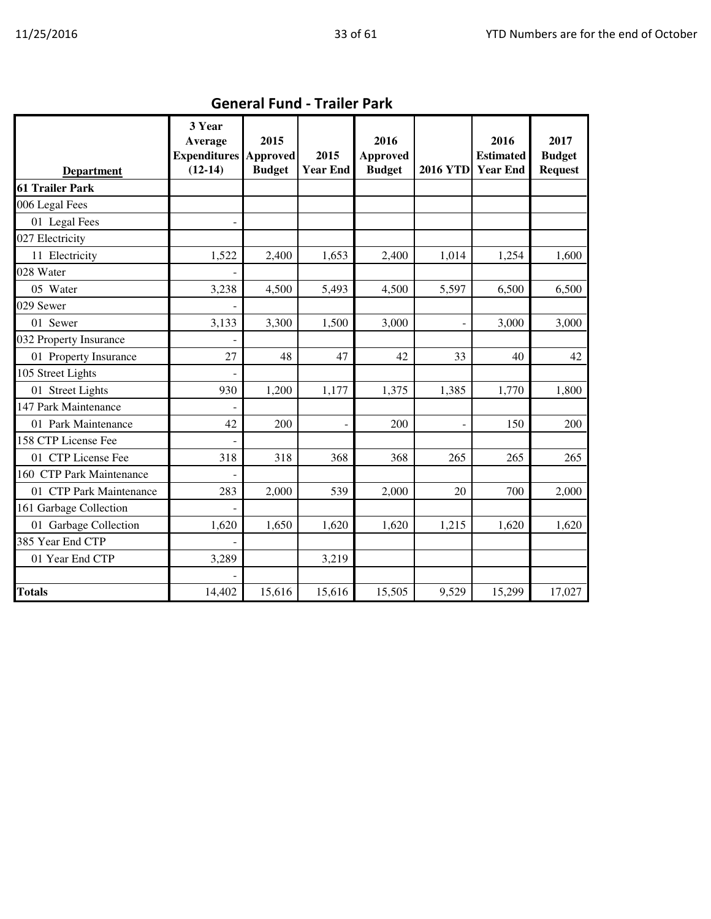| <b>Department</b>        | 3 Year<br>Average<br><b>Expenditures Approved</b><br>$(12-14)$ | 2015<br><b>Budget</b> | 2015<br><b>Year End</b> | 2016<br><b>Approved</b><br><b>Budget</b> | 2016 YTD Year End        | 2016<br><b>Estimated</b> | 2017<br><b>Budget</b><br><b>Request</b> |
|--------------------------|----------------------------------------------------------------|-----------------------|-------------------------|------------------------------------------|--------------------------|--------------------------|-----------------------------------------|
| <b>61 Trailer Park</b>   |                                                                |                       |                         |                                          |                          |                          |                                         |
| 006 Legal Fees           |                                                                |                       |                         |                                          |                          |                          |                                         |
| 01 Legal Fees            |                                                                |                       |                         |                                          |                          |                          |                                         |
| 027 Electricity          |                                                                |                       |                         |                                          |                          |                          |                                         |
| 11 Electricity           | 1,522                                                          | 2,400                 | 1,653                   | 2,400                                    | 1,014                    | 1,254                    | 1,600                                   |
| 028 Water                |                                                                |                       |                         |                                          |                          |                          |                                         |
| 05 Water                 | 3,238                                                          | 4,500                 | 5,493                   | 4,500                                    | 5,597                    | 6,500                    | 6,500                                   |
| 029 Sewer                |                                                                |                       |                         |                                          |                          |                          |                                         |
| 01 Sewer                 | 3,133                                                          | 3,300                 | 1,500                   | 3,000                                    | $\overline{\phantom{a}}$ | 3,000                    | 3,000                                   |
| 032 Property Insurance   |                                                                |                       |                         |                                          |                          |                          |                                         |
| 01 Property Insurance    | 27                                                             | 48                    | 47                      | 42                                       | 33                       | 40                       | 42                                      |
| 105 Street Lights        |                                                                |                       |                         |                                          |                          |                          |                                         |
| 01 Street Lights         | 930                                                            | 1,200                 | 1,177                   | 1,375                                    | 1,385                    | 1,770                    | 1,800                                   |
| 147 Park Maintenance     |                                                                |                       |                         |                                          |                          |                          |                                         |
| 01 Park Maintenance      | 42                                                             | 200                   |                         | 200                                      | $\overline{a}$           | 150                      | 200                                     |
| 158 CTP License Fee      |                                                                |                       |                         |                                          |                          |                          |                                         |
| 01 CTP License Fee       | 318                                                            | 318                   | 368                     | 368                                      | 265                      | 265                      | 265                                     |
| 160 CTP Park Maintenance |                                                                |                       |                         |                                          |                          |                          |                                         |
| 01 CTP Park Maintenance  | 283                                                            | 2,000                 | 539                     | 2,000                                    | 20                       | 700                      | 2,000                                   |
| 161 Garbage Collection   |                                                                |                       |                         |                                          |                          |                          |                                         |
| 01 Garbage Collection    | 1,620                                                          | 1,650                 | 1,620                   | 1,620                                    | 1,215                    | 1,620                    | 1,620                                   |
| 385 Year End CTP         |                                                                |                       |                         |                                          |                          |                          |                                         |
| 01 Year End CTP          | 3,289                                                          |                       | 3,219                   |                                          |                          |                          |                                         |
|                          |                                                                |                       |                         |                                          |                          |                          |                                         |
| <b>Totals</b>            | 14,402                                                         | 15,616                | 15,616                  | 15,505                                   | 9,529                    | 15,299                   | 17,027                                  |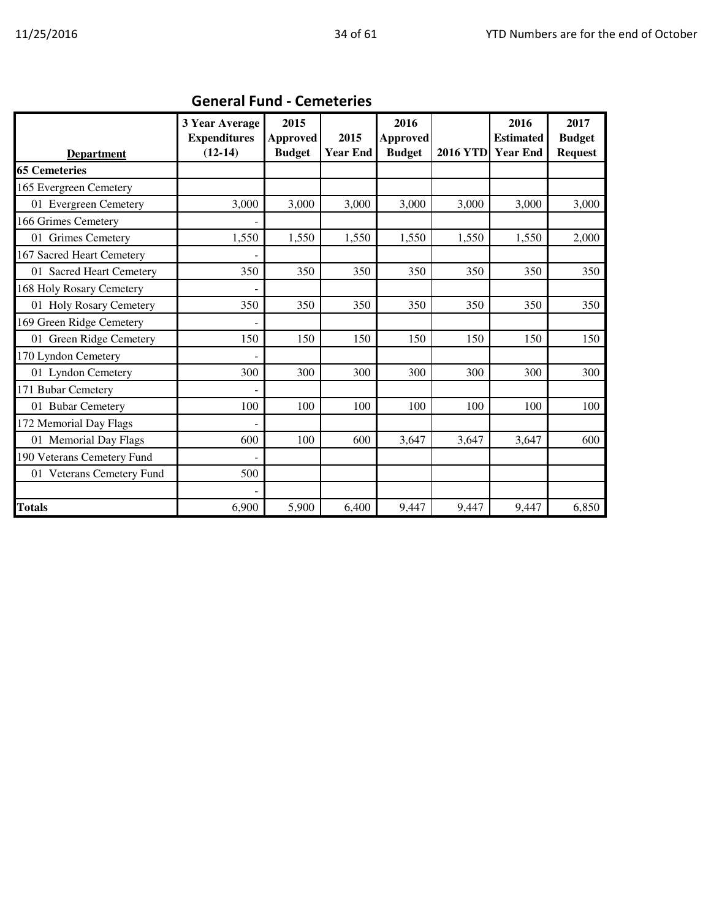| <b>Department</b>          | 3 Year Average<br><b>Expenditures</b><br>$(12-14)$ | 2015<br><b>Approved</b><br><b>Budget</b> | 2015<br><b>Year End</b> | 2016<br><b>Approved</b><br><b>Budget</b> | <b>2016 YTD</b> | 2016<br><b>Estimated</b><br><b>Year End</b> | 2017<br><b>Budget</b><br><b>Request</b> |
|----------------------------|----------------------------------------------------|------------------------------------------|-------------------------|------------------------------------------|-----------------|---------------------------------------------|-----------------------------------------|
| <b>65 Cemeteries</b>       |                                                    |                                          |                         |                                          |                 |                                             |                                         |
| 165 Evergreen Cemetery     |                                                    |                                          |                         |                                          |                 |                                             |                                         |
| 01 Evergreen Cemetery      | 3,000                                              | 3,000                                    | 3,000                   | 3,000                                    | 3,000           | 3,000                                       | 3,000                                   |
| 166 Grimes Cemetery        |                                                    |                                          |                         |                                          |                 |                                             |                                         |
| 01 Grimes Cemetery         | 1,550                                              | 1,550                                    | 1,550                   | 1,550                                    | 1,550           | 1,550                                       | 2,000                                   |
| 167 Sacred Heart Cemetery  |                                                    |                                          |                         |                                          |                 |                                             |                                         |
| 01 Sacred Heart Cemetery   | 350                                                | 350                                      | 350                     | 350                                      | 350             | 350                                         | 350                                     |
| 168 Holy Rosary Cemetery   |                                                    |                                          |                         |                                          |                 |                                             |                                         |
| 01 Holy Rosary Cemetery    | 350                                                | 350                                      | 350                     | 350                                      | 350             | 350                                         | 350                                     |
| 169 Green Ridge Cemetery   |                                                    |                                          |                         |                                          |                 |                                             |                                         |
| 01 Green Ridge Cemetery    | 150                                                | 150                                      | 150                     | 150                                      | 150             | 150                                         | 150                                     |
| 170 Lyndon Cemetery        |                                                    |                                          |                         |                                          |                 |                                             |                                         |
| 01 Lyndon Cemetery         | 300                                                | 300                                      | 300                     | 300                                      | 300             | 300                                         | 300                                     |
| 171 Bubar Cemetery         |                                                    |                                          |                         |                                          |                 |                                             |                                         |
| 01 Bubar Cemetery          | 100                                                | 100                                      | 100                     | 100                                      | 100             | 100                                         | 100                                     |
| 172 Memorial Day Flags     |                                                    |                                          |                         |                                          |                 |                                             |                                         |
| 01 Memorial Day Flags      | 600                                                | 100                                      | 600                     | 3,647                                    | 3,647           | 3,647                                       | 600                                     |
| 190 Veterans Cemetery Fund |                                                    |                                          |                         |                                          |                 |                                             |                                         |
| 01 Veterans Cemetery Fund  | 500                                                |                                          |                         |                                          |                 |                                             |                                         |
|                            |                                                    |                                          |                         |                                          |                 |                                             |                                         |
| <b>Totals</b>              | 6,900                                              | 5,900                                    | 6,400                   | 9,447                                    | 9,447           | 9,447                                       | 6,850                                   |

## General Fund - Cemeteries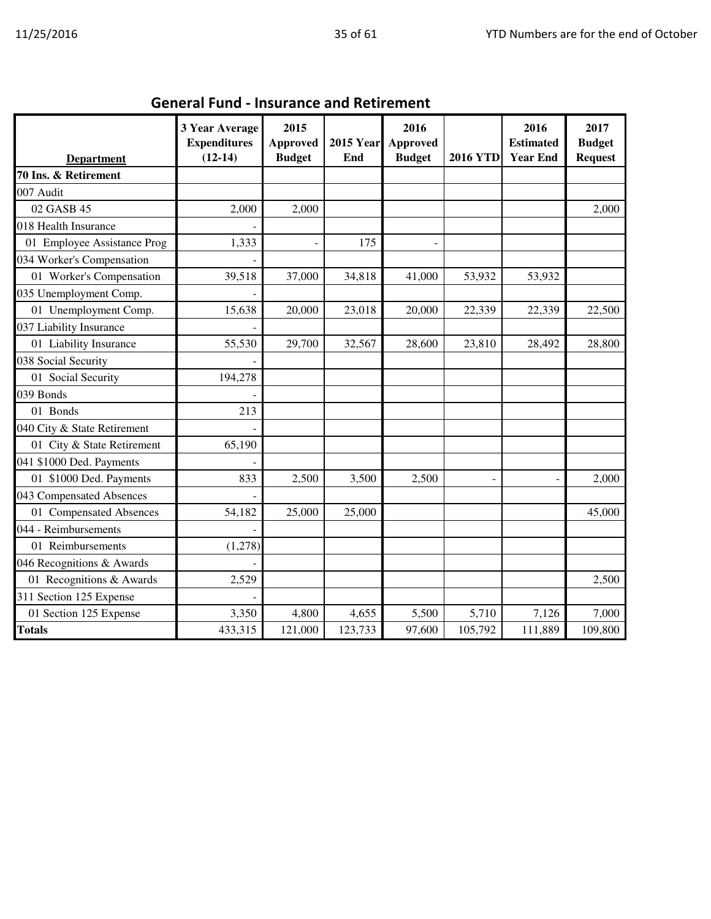| <b>General Fund - Insurance and Retirement</b> |  |
|------------------------------------------------|--|
|------------------------------------------------|--|

| <b>Department</b>           | 3 Year Average<br><b>Expenditures</b><br>$(12-14)$ | 2015<br><b>Approved</b><br><b>Budget</b> | <b>2015 Year</b><br>End | 2016<br><b>Approved</b><br><b>Budget</b> | <b>2016 YTD</b> | 2016<br><b>Estimated</b><br><b>Year End</b> | 2017<br><b>Budget</b><br><b>Request</b> |
|-----------------------------|----------------------------------------------------|------------------------------------------|-------------------------|------------------------------------------|-----------------|---------------------------------------------|-----------------------------------------|
| 70 Ins. & Retirement        |                                                    |                                          |                         |                                          |                 |                                             |                                         |
| 007 Audit                   |                                                    |                                          |                         |                                          |                 |                                             |                                         |
| 02 GASB 45                  | 2,000                                              | 2,000                                    |                         |                                          |                 |                                             | 2,000                                   |
| 018 Health Insurance        |                                                    |                                          |                         |                                          |                 |                                             |                                         |
| 01 Employee Assistance Prog | 1,333                                              |                                          | 175                     | $\overline{a}$                           |                 |                                             |                                         |
| 034 Worker's Compensation   |                                                    |                                          |                         |                                          |                 |                                             |                                         |
| 01 Worker's Compensation    | 39,518                                             | 37,000                                   | 34,818                  | 41,000                                   | 53,932          | 53,932                                      |                                         |
| 035 Unemployment Comp.      |                                                    |                                          |                         |                                          |                 |                                             |                                         |
| 01 Unemployment Comp.       | 15,638                                             | 20,000                                   | 23,018                  | 20,000                                   | 22,339          | 22,339                                      | 22,500                                  |
| 037 Liability Insurance     |                                                    |                                          |                         |                                          |                 |                                             |                                         |
| 01 Liability Insurance      | 55,530                                             | 29,700                                   | 32,567                  | 28,600                                   | 23,810          | 28,492                                      | 28,800                                  |
| 038 Social Security         |                                                    |                                          |                         |                                          |                 |                                             |                                         |
| 01 Social Security          | 194,278                                            |                                          |                         |                                          |                 |                                             |                                         |
| 039 Bonds                   |                                                    |                                          |                         |                                          |                 |                                             |                                         |
| 01 Bonds                    | 213                                                |                                          |                         |                                          |                 |                                             |                                         |
| 040 City & State Retirement |                                                    |                                          |                         |                                          |                 |                                             |                                         |
| 01 City & State Retirement  | 65,190                                             |                                          |                         |                                          |                 |                                             |                                         |
| 041 \$1000 Ded. Payments    |                                                    |                                          |                         |                                          |                 |                                             |                                         |
| 01 \$1000 Ded. Payments     | 833                                                | 2,500                                    | 3,500                   | 2,500                                    |                 |                                             | 2,000                                   |
| 043 Compensated Absences    |                                                    |                                          |                         |                                          |                 |                                             |                                         |
| 01 Compensated Absences     | 54,182                                             | 25,000                                   | 25,000                  |                                          |                 |                                             | 45,000                                  |
| 044 - Reimbursements        |                                                    |                                          |                         |                                          |                 |                                             |                                         |
| 01 Reimbursements           | (1,278)                                            |                                          |                         |                                          |                 |                                             |                                         |
| 046 Recognitions & Awards   |                                                    |                                          |                         |                                          |                 |                                             |                                         |
| 01 Recognitions & Awards    | 2,529                                              |                                          |                         |                                          |                 |                                             | 2,500                                   |
| 311 Section 125 Expense     |                                                    |                                          |                         |                                          |                 |                                             |                                         |
| 01 Section 125 Expense      | 3,350                                              | 4,800                                    | 4,655                   | 5,500                                    | 5,710           | 7,126                                       | 7,000                                   |
| <b>Totals</b>               | 433,315                                            | 121,000                                  | 123,733                 | 97,600                                   | 105,792         | 111,889                                     | 109,800                                 |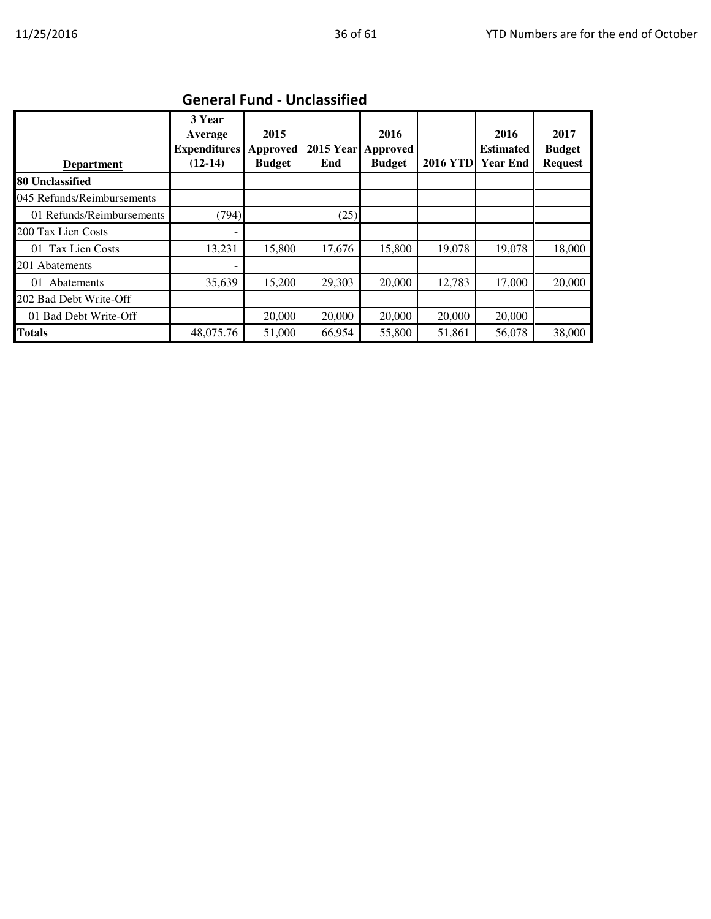| Gellefai Fuilu - Oliciassilleu |                                                       |                                   |                         |                                   |                 |                                             |                                         |  |  |  |
|--------------------------------|-------------------------------------------------------|-----------------------------------|-------------------------|-----------------------------------|-----------------|---------------------------------------------|-----------------------------------------|--|--|--|
| <b>Department</b>              | 3 Year<br>Average<br><b>Expenditures</b><br>$(12-14)$ | 2015<br>Approved<br><b>Budget</b> | <b>2015 Year</b><br>End | 2016<br>Approved<br><b>Budget</b> | <b>2016 YTD</b> | 2016<br><b>Estimated</b><br><b>Year End</b> | 2017<br><b>Budget</b><br><b>Request</b> |  |  |  |
| 80 Unclassified                |                                                       |                                   |                         |                                   |                 |                                             |                                         |  |  |  |
| 045 Refunds/Reimbursements     |                                                       |                                   |                         |                                   |                 |                                             |                                         |  |  |  |
| 01 Refunds/Reimbursements      | (794)                                                 |                                   | (25)                    |                                   |                 |                                             |                                         |  |  |  |
| 200 Tax Lien Costs             |                                                       |                                   |                         |                                   |                 |                                             |                                         |  |  |  |
| 01 Tax Lien Costs              | 13,231                                                | 15,800                            | 17,676                  | 15,800                            | 19,078          | 19,078                                      | 18,000                                  |  |  |  |
| 201 Abatements                 |                                                       |                                   |                         |                                   |                 |                                             |                                         |  |  |  |
| 01 Abatements                  | 35,639                                                | 15,200                            | 29,303                  | 20,000                            | 12,783          | 17,000                                      | 20,000                                  |  |  |  |
| 202 Bad Debt Write-Off         |                                                       |                                   |                         |                                   |                 |                                             |                                         |  |  |  |
| 01 Bad Debt Write-Off          |                                                       | 20,000                            | 20,000                  | 20,000                            | 20,000          | 20,000                                      |                                         |  |  |  |
| <b>Totals</b>                  | 48,075.76                                             | 51,000                            | 66,954                  | 55,800                            | 51,861          | 56,078                                      | 38,000                                  |  |  |  |

## General Fund - Unclassified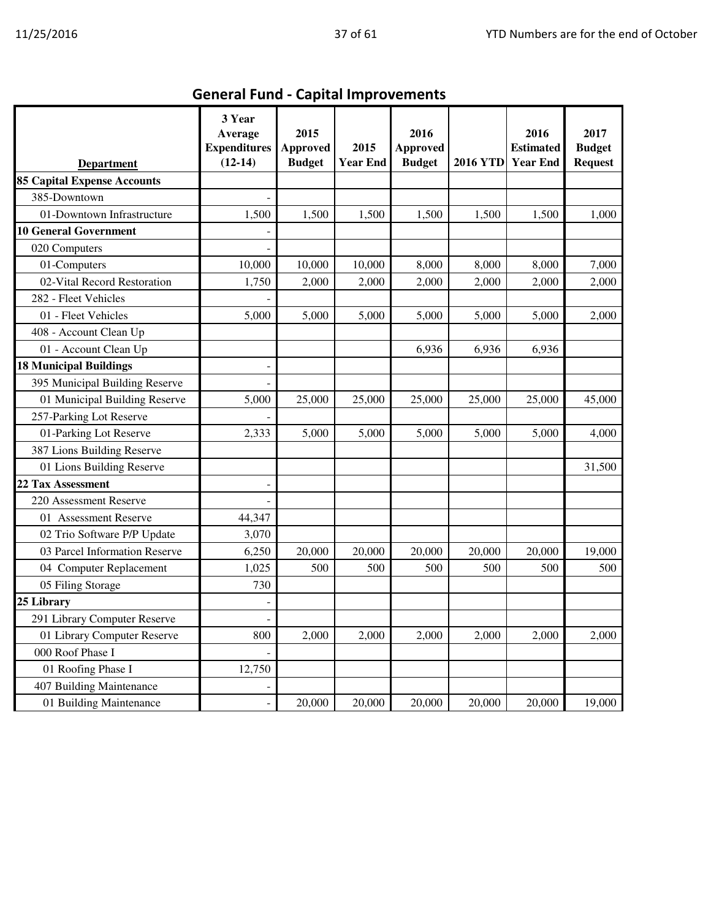| <b>Department</b>                  | 3 Year<br>Average<br><b>Expenditures</b><br>$(12-14)$ | 2015<br><b>Approved</b><br><b>Budget</b> | 2015<br><b>Year End</b> | 2016<br><b>Approved</b><br><b>Budget</b> | <b>2016 YTD</b> | 2016<br><b>Estimated</b><br><b>Year End</b> | 2017<br><b>Budget</b><br><b>Request</b> |
|------------------------------------|-------------------------------------------------------|------------------------------------------|-------------------------|------------------------------------------|-----------------|---------------------------------------------|-----------------------------------------|
| <b>85 Capital Expense Accounts</b> |                                                       |                                          |                         |                                          |                 |                                             |                                         |
| 385-Downtown                       |                                                       |                                          |                         |                                          |                 |                                             |                                         |
| 01-Downtown Infrastructure         | 1,500                                                 | 1,500                                    | 1,500                   | 1,500                                    | 1,500           | 1,500                                       | 1,000                                   |
| <b>10 General Government</b>       |                                                       |                                          |                         |                                          |                 |                                             |                                         |
| 020 Computers                      |                                                       |                                          |                         |                                          |                 |                                             |                                         |
| 01-Computers                       | 10,000                                                | 10,000                                   | 10,000                  | 8,000                                    | 8,000           | 8,000                                       | 7,000                                   |
| 02-Vital Record Restoration        | 1,750                                                 | 2,000                                    | 2,000                   | 2,000                                    | 2,000           | 2,000                                       | 2,000                                   |
| 282 - Fleet Vehicles               |                                                       |                                          |                         |                                          |                 |                                             |                                         |
| 01 - Fleet Vehicles                | 5,000                                                 | 5,000                                    | 5,000                   | 5,000                                    | 5,000           | 5,000                                       | 2,000                                   |
| 408 - Account Clean Up             |                                                       |                                          |                         |                                          |                 |                                             |                                         |
| 01 - Account Clean Up              |                                                       |                                          |                         | 6,936                                    | 6,936           | 6,936                                       |                                         |
| <b>18 Municipal Buildings</b>      |                                                       |                                          |                         |                                          |                 |                                             |                                         |
| 395 Municipal Building Reserve     |                                                       |                                          |                         |                                          |                 |                                             |                                         |
| 01 Municipal Building Reserve      | 5,000                                                 | 25,000                                   | 25,000                  | 25,000                                   | 25,000          | 25,000                                      | 45,000                                  |
| 257-Parking Lot Reserve            |                                                       |                                          |                         |                                          |                 |                                             |                                         |
| 01-Parking Lot Reserve             | 2,333                                                 | 5,000                                    | 5,000                   | 5,000                                    | 5,000           | 5,000                                       | 4,000                                   |
| 387 Lions Building Reserve         |                                                       |                                          |                         |                                          |                 |                                             |                                         |
| 01 Lions Building Reserve          |                                                       |                                          |                         |                                          |                 |                                             | 31,500                                  |
| 22 Tax Assessment                  |                                                       |                                          |                         |                                          |                 |                                             |                                         |
| 220 Assessment Reserve             |                                                       |                                          |                         |                                          |                 |                                             |                                         |
| 01 Assessment Reserve              | 44,347                                                |                                          |                         |                                          |                 |                                             |                                         |
| 02 Trio Software P/P Update        | 3,070                                                 |                                          |                         |                                          |                 |                                             |                                         |
| 03 Parcel Information Reserve      | 6,250                                                 | 20,000                                   | 20,000                  | 20,000                                   | 20,000          | 20,000                                      | 19,000                                  |
| 04 Computer Replacement            | 1,025                                                 | 500                                      | 500                     | 500                                      | 500             | 500                                         | 500                                     |
| 05 Filing Storage                  | 730                                                   |                                          |                         |                                          |                 |                                             |                                         |
| 25 Library                         |                                                       |                                          |                         |                                          |                 |                                             |                                         |
| 291 Library Computer Reserve       |                                                       |                                          |                         |                                          |                 |                                             |                                         |
| 01 Library Computer Reserve        | 800                                                   | 2,000                                    | 2,000                   | 2,000                                    | 2,000           | 2,000                                       | 2,000                                   |
| 000 Roof Phase I                   |                                                       |                                          |                         |                                          |                 |                                             |                                         |
| 01 Roofing Phase I                 | 12,750                                                |                                          |                         |                                          |                 |                                             |                                         |
| 407 Building Maintenance           |                                                       |                                          |                         |                                          |                 |                                             |                                         |
| 01 Building Maintenance            |                                                       | 20,000                                   | 20,000                  | 20,000                                   | 20,000          | 20,000                                      | 19,000                                  |

General Fund - Capital Improvements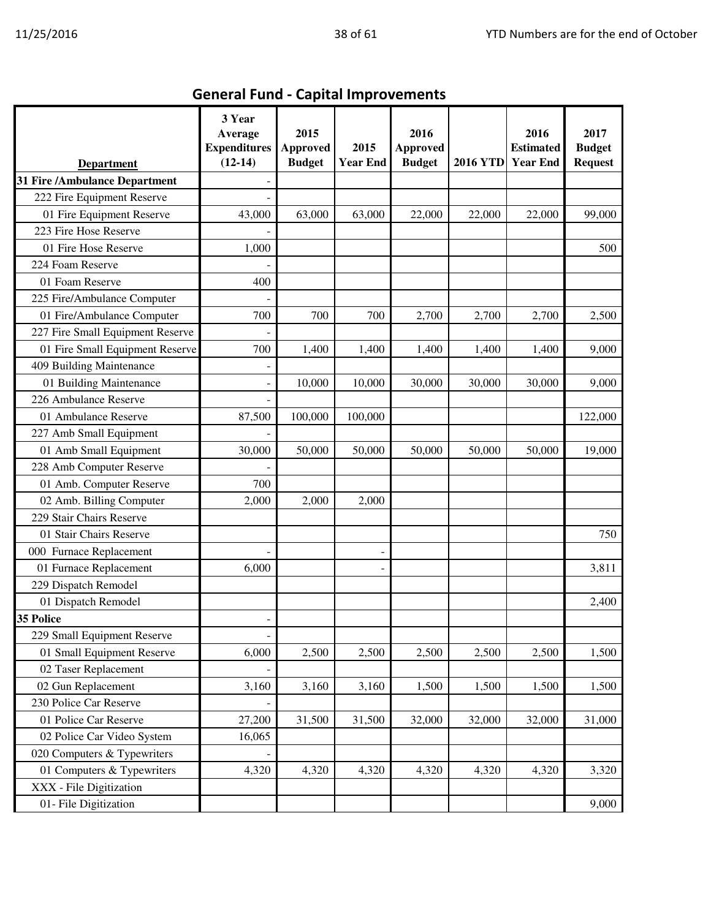| <b>Department</b>                | 3 Year<br>Average<br><b>Expenditures</b><br>$(12-14)$ | 2015<br><b>Approved</b><br><b>Budget</b> | 2015<br><b>Year End</b> | 2016<br><b>Approved</b><br><b>Budget</b> | <b>2016 YTD</b> | 2016<br><b>Estimated</b><br><b>Year End</b> | 2017<br><b>Budget</b><br><b>Request</b> |
|----------------------------------|-------------------------------------------------------|------------------------------------------|-------------------------|------------------------------------------|-----------------|---------------------------------------------|-----------------------------------------|
| 31 Fire /Ambulance Department    |                                                       |                                          |                         |                                          |                 |                                             |                                         |
| 222 Fire Equipment Reserve       |                                                       |                                          |                         |                                          |                 |                                             |                                         |
| 01 Fire Equipment Reserve        | 43,000                                                | 63,000                                   | 63,000                  | 22,000                                   | 22,000          | 22,000                                      | 99,000                                  |
| 223 Fire Hose Reserve            |                                                       |                                          |                         |                                          |                 |                                             |                                         |
| 01 Fire Hose Reserve             | 1,000                                                 |                                          |                         |                                          |                 |                                             | 500                                     |
| 224 Foam Reserve                 |                                                       |                                          |                         |                                          |                 |                                             |                                         |
| 01 Foam Reserve                  | 400                                                   |                                          |                         |                                          |                 |                                             |                                         |
| 225 Fire/Ambulance Computer      |                                                       |                                          |                         |                                          |                 |                                             |                                         |
| 01 Fire/Ambulance Computer       | 700                                                   | 700                                      | 700                     | 2,700                                    | 2,700           | 2,700                                       | 2,500                                   |
| 227 Fire Small Equipment Reserve |                                                       |                                          |                         |                                          |                 |                                             |                                         |
| 01 Fire Small Equipment Reserve  | 700                                                   | 1,400                                    | 1,400                   | 1,400                                    | 1,400           | 1,400                                       | 9,000                                   |
| 409 Building Maintenance         |                                                       |                                          |                         |                                          |                 |                                             |                                         |
| 01 Building Maintenance          |                                                       | 10,000                                   | 10,000                  | 30,000                                   | 30,000          | 30,000                                      | 9,000                                   |
| 226 Ambulance Reserve            |                                                       |                                          |                         |                                          |                 |                                             |                                         |
| 01 Ambulance Reserve             | 87,500                                                | 100,000                                  | 100,000                 |                                          |                 |                                             | 122,000                                 |
| 227 Amb Small Equipment          |                                                       |                                          |                         |                                          |                 |                                             |                                         |
| 01 Amb Small Equipment           | 30,000                                                | 50,000                                   | 50,000                  | 50,000                                   | 50,000          | 50,000                                      | 19,000                                  |
| 228 Amb Computer Reserve         |                                                       |                                          |                         |                                          |                 |                                             |                                         |
| 01 Amb. Computer Reserve         | 700                                                   |                                          |                         |                                          |                 |                                             |                                         |
| 02 Amb. Billing Computer         | 2,000                                                 | 2,000                                    | 2,000                   |                                          |                 |                                             |                                         |
| 229 Stair Chairs Reserve         |                                                       |                                          |                         |                                          |                 |                                             |                                         |
| 01 Stair Chairs Reserve          |                                                       |                                          |                         |                                          |                 |                                             | 750                                     |
| 000 Furnace Replacement          |                                                       |                                          |                         |                                          |                 |                                             |                                         |
| 01 Furnace Replacement           | 6,000                                                 |                                          |                         |                                          |                 |                                             | 3,811                                   |
| 229 Dispatch Remodel             |                                                       |                                          |                         |                                          |                 |                                             |                                         |
| 01 Dispatch Remodel              |                                                       |                                          |                         |                                          |                 |                                             | 2,400                                   |
| 35 Police                        |                                                       |                                          |                         |                                          |                 |                                             |                                         |
| 229 Small Equipment Reserve      |                                                       |                                          |                         |                                          |                 |                                             |                                         |
| 01 Small Equipment Reserve       | 6,000                                                 | 2,500                                    | 2,500                   | 2,500                                    | 2,500           | 2,500                                       | 1,500                                   |
| 02 Taser Replacement             |                                                       |                                          |                         |                                          |                 |                                             |                                         |
| 02 Gun Replacement               | 3,160                                                 | 3,160                                    | 3,160                   | 1,500                                    | 1,500           | 1,500                                       | 1,500                                   |
| 230 Police Car Reserve           |                                                       |                                          |                         |                                          |                 |                                             |                                         |
| 01 Police Car Reserve            | 27,200                                                | 31,500                                   | 31,500                  | 32,000                                   | 32,000          | 32,000                                      | 31,000                                  |
| 02 Police Car Video System       | 16,065                                                |                                          |                         |                                          |                 |                                             |                                         |
| 020 Computers & Typewriters      |                                                       |                                          |                         |                                          |                 |                                             |                                         |
| 01 Computers & Typewriters       | 4,320                                                 | 4,320                                    | 4,320                   | 4,320                                    | 4,320           | 4,320                                       | 3,320                                   |
| XXX - File Digitization          |                                                       |                                          |                         |                                          |                 |                                             |                                         |
| 01- File Digitization            |                                                       |                                          |                         |                                          |                 |                                             | 9,000                                   |

General Fund - Capital Improvements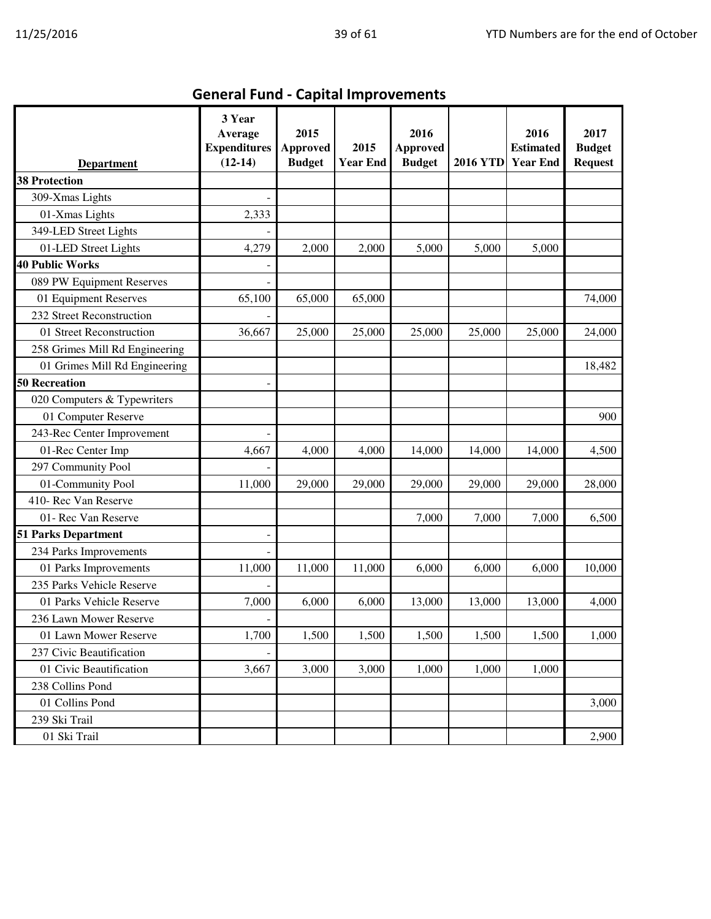| <b>Department</b>              | 3 Year<br>Average<br><b>Expenditures</b><br>$(12-14)$ | 2015<br><b>Approved</b><br><b>Budget</b> | 2015<br><b>Year End</b> | 2016<br><b>Approved</b><br><b>Budget</b> | <b>2016 YTD</b> | 2016<br><b>Estimated</b><br><b>Year End</b> | 2017<br><b>Budget</b><br><b>Request</b> |
|--------------------------------|-------------------------------------------------------|------------------------------------------|-------------------------|------------------------------------------|-----------------|---------------------------------------------|-----------------------------------------|
| <b>38 Protection</b>           |                                                       |                                          |                         |                                          |                 |                                             |                                         |
| 309-Xmas Lights                |                                                       |                                          |                         |                                          |                 |                                             |                                         |
| 01-Xmas Lights                 | 2,333                                                 |                                          |                         |                                          |                 |                                             |                                         |
| 349-LED Street Lights          |                                                       |                                          |                         |                                          |                 |                                             |                                         |
| 01-LED Street Lights           | 4,279                                                 | 2,000                                    | 2,000                   | 5,000                                    | 5,000           | 5,000                                       |                                         |
| <b>40 Public Works</b>         |                                                       |                                          |                         |                                          |                 |                                             |                                         |
| 089 PW Equipment Reserves      |                                                       |                                          |                         |                                          |                 |                                             |                                         |
| 01 Equipment Reserves          | 65,100                                                | 65,000                                   | 65,000                  |                                          |                 |                                             | 74,000                                  |
| 232 Street Reconstruction      |                                                       |                                          |                         |                                          |                 |                                             |                                         |
| 01 Street Reconstruction       | 36,667                                                | 25,000                                   | 25,000                  | 25,000                                   | 25,000          | 25,000                                      | 24,000                                  |
| 258 Grimes Mill Rd Engineering |                                                       |                                          |                         |                                          |                 |                                             |                                         |
| 01 Grimes Mill Rd Engineering  |                                                       |                                          |                         |                                          |                 |                                             | 18,482                                  |
| <b>50 Recreation</b>           |                                                       |                                          |                         |                                          |                 |                                             |                                         |
| 020 Computers & Typewriters    |                                                       |                                          |                         |                                          |                 |                                             |                                         |
| 01 Computer Reserve            |                                                       |                                          |                         |                                          |                 |                                             | 900                                     |
| 243-Rec Center Improvement     |                                                       |                                          |                         |                                          |                 |                                             |                                         |
| 01-Rec Center Imp              | 4,667                                                 | 4,000                                    | 4,000                   | 14,000                                   | 14,000          | 14,000                                      | 4,500                                   |
| 297 Community Pool             |                                                       |                                          |                         |                                          |                 |                                             |                                         |
| 01-Community Pool              | 11,000                                                | 29,000                                   | 29,000                  | 29,000                                   | 29,000          | 29,000                                      | 28,000                                  |
| 410- Rec Van Reserve           |                                                       |                                          |                         |                                          |                 |                                             |                                         |
| 01- Rec Van Reserve            |                                                       |                                          |                         | 7,000                                    | 7,000           | 7,000                                       | 6,500                                   |
| <b>51 Parks Department</b>     |                                                       |                                          |                         |                                          |                 |                                             |                                         |
| 234 Parks Improvements         |                                                       |                                          |                         |                                          |                 |                                             |                                         |
| 01 Parks Improvements          | 11,000                                                | 11,000                                   | 11,000                  | 6,000                                    | 6,000           | 6,000                                       | 10,000                                  |
| 235 Parks Vehicle Reserve      |                                                       |                                          |                         |                                          |                 |                                             |                                         |
| 01 Parks Vehicle Reserve       | 7,000                                                 | 6,000                                    | 6,000                   | 13,000                                   | 13,000          | 13,000                                      | 4,000                                   |
| 236 Lawn Mower Reserve         | $\overline{\phantom{a}}$                              |                                          |                         |                                          |                 |                                             |                                         |
| 01 Lawn Mower Reserve          | 1,700                                                 | 1,500                                    | 1,500                   | 1,500                                    | 1,500           | 1,500                                       | 1,000                                   |
| 237 Civic Beautification       |                                                       |                                          |                         |                                          |                 |                                             |                                         |
| 01 Civic Beautification        | 3,667                                                 | 3,000                                    | 3,000                   | 1,000                                    | 1,000           | 1,000                                       |                                         |
| 238 Collins Pond               |                                                       |                                          |                         |                                          |                 |                                             |                                         |
| 01 Collins Pond                |                                                       |                                          |                         |                                          |                 |                                             | 3,000                                   |
| 239 Ski Trail                  |                                                       |                                          |                         |                                          |                 |                                             |                                         |
| 01 Ski Trail                   |                                                       |                                          |                         |                                          |                 |                                             | 2,900                                   |

# General Fund - Capital Improvements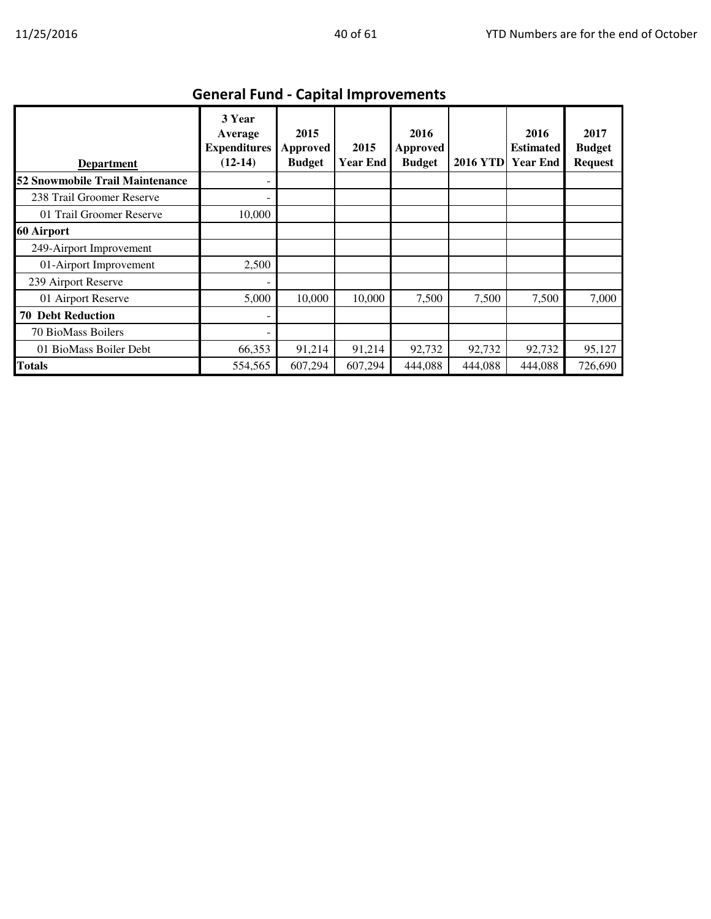| <b>Department</b>               | 3 Year<br>Average<br><b>Expenditures</b><br>$(12-14)$ | 2015<br><b>Approved</b><br><b>Budget</b> | 2015<br><b>Year End</b> | 2016<br>Approved<br><b>Budget</b> | <b>2016 YTD</b> | 2016<br><b>Estimated</b><br><b>Year End</b> | 2017<br><b>Budget</b><br><b>Request</b> |
|---------------------------------|-------------------------------------------------------|------------------------------------------|-------------------------|-----------------------------------|-----------------|---------------------------------------------|-----------------------------------------|
| 52 Snowmobile Trail Maintenance |                                                       |                                          |                         |                                   |                 |                                             |                                         |
| 238 Trail Groomer Reserve       |                                                       |                                          |                         |                                   |                 |                                             |                                         |
| 01 Trail Groomer Reserve        | 10,000                                                |                                          |                         |                                   |                 |                                             |                                         |
| 60 Airport                      |                                                       |                                          |                         |                                   |                 |                                             |                                         |
| 249-Airport Improvement         |                                                       |                                          |                         |                                   |                 |                                             |                                         |
| 01-Airport Improvement          | 2,500                                                 |                                          |                         |                                   |                 |                                             |                                         |
| 239 Airport Reserve             |                                                       |                                          |                         |                                   |                 |                                             |                                         |
| 01 Airport Reserve              | 5,000                                                 | 10,000                                   | 10,000                  | 7,500                             | 7,500           | 7,500                                       | 7,000                                   |
| <b>70 Debt Reduction</b>        |                                                       |                                          |                         |                                   |                 |                                             |                                         |
| 70 BioMass Boilers              |                                                       |                                          |                         |                                   |                 |                                             |                                         |
| 01 BioMass Boiler Debt          | 66,353                                                | 91,214                                   | 91,214                  | 92,732                            | 92,732          | 92,732                                      | 95,127                                  |
| <b>Totals</b>                   | 554,565                                               | 607,294                                  | 607,294                 | 444,088                           | 444,088         | 444,088                                     | 726,690                                 |

## General Fund - Capital Improvements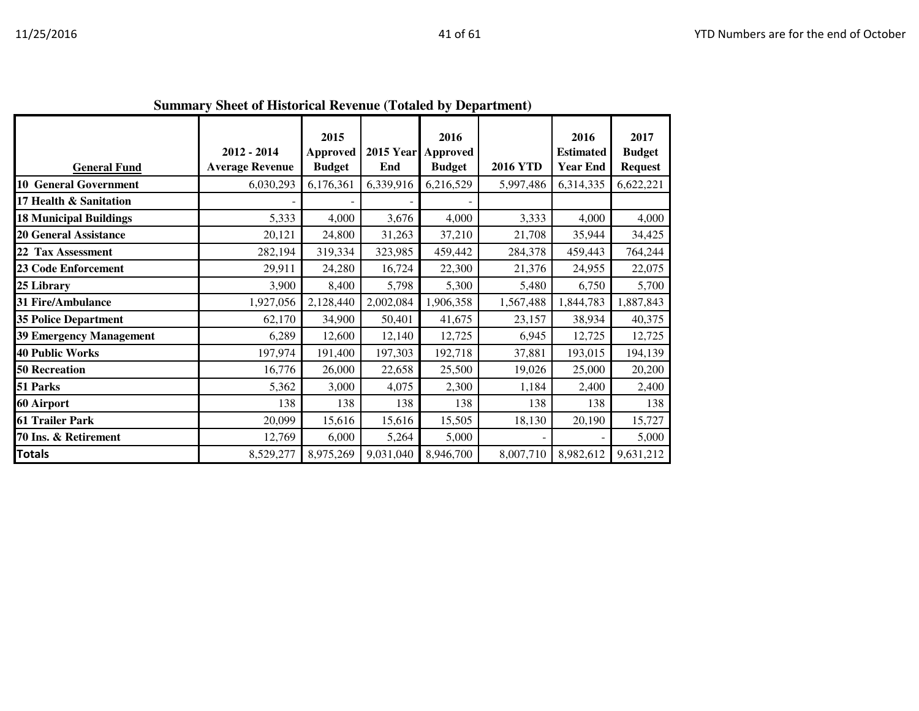|                                | Summary Sheet of Historical Kevenue (Totaleu by Department) |                                          |                         |                                          |                 |                                             |                                         |
|--------------------------------|-------------------------------------------------------------|------------------------------------------|-------------------------|------------------------------------------|-----------------|---------------------------------------------|-----------------------------------------|
| <b>General Fund</b>            | $2012 - 2014$<br><b>Average Revenue</b>                     | 2015<br><b>Approved</b><br><b>Budget</b> | <b>2015 Year</b><br>End | 2016<br><b>Approved</b><br><b>Budget</b> | <b>2016 YTD</b> | 2016<br><b>Estimated</b><br><b>Year End</b> | 2017<br><b>Budget</b><br><b>Request</b> |
| <b>10 General Government</b>   | 6,030,293                                                   | 6,176,361                                | 6,339,916               | 6,216,529                                | 5,997,486       | 6,314,335                                   | 6,622,221                               |
| 17 Health & Sanitation         |                                                             |                                          |                         |                                          |                 |                                             |                                         |
| <b>18 Municipal Buildings</b>  | 5,333                                                       | 4,000                                    | 3,676                   | 4,000                                    | 3,333           | 4,000                                       | 4,000                                   |
| <b>20 General Assistance</b>   | 20,121                                                      | 24,800                                   | 31,263                  | 37,210                                   | 21,708          | 35,944                                      | 34,425                                  |
| 22 Tax Assessment              | 282,194                                                     | 319,334                                  | 323,985                 | 459,442                                  | 284,378         | 459,443                                     | 764,244                                 |
| <b>23 Code Enforcement</b>     | 29,911                                                      | 24,280                                   | 16,724                  | 22,300                                   | 21,376          | 24,955                                      | 22,075                                  |
| 25 Library                     | 3,900                                                       | 8,400                                    | 5,798                   | 5,300                                    | 5,480           | 6,750                                       | 5,700                                   |
| 31 Fire/Ambulance              | 1,927,056                                                   | 2,128,440                                | 2,002,084               | 1,906,358                                | 1,567,488       | 1,844,783                                   | 1,887,843                               |
| <b>35 Police Department</b>    | 62,170                                                      | 34,900                                   | 50,401                  | 41,675                                   | 23,157          | 38,934                                      | 40,375                                  |
| <b>39 Emergency Management</b> | 6,289                                                       | 12,600                                   | 12,140                  | 12,725                                   | 6,945           | 12,725                                      | 12,725                                  |
| <b>40 Public Works</b>         | 197,974                                                     | 191,400                                  | 197,303                 | 192,718                                  | 37,881          | 193,015                                     | 194,139                                 |
| <b>50 Recreation</b>           | 16,776                                                      | 26,000                                   | 22,658                  | 25,500                                   | 19,026          | 25,000                                      | 20,200                                  |
| 51 Parks                       | 5,362                                                       | 3,000                                    | 4,075                   | 2,300                                    | 1,184           | 2,400                                       | 2,400                                   |
| 60 Airport                     | 138                                                         | 138                                      | 138                     | 138                                      | 138             | 138                                         | 138                                     |
| <b>61 Trailer Park</b>         | 20,099                                                      | 15,616                                   | 15,616                  | 15,505                                   | 18,130          | 20,190                                      | 15,727                                  |
| 70 Ins. & Retirement           | 12,769                                                      | 6,000                                    | 5,264                   | 5,000                                    |                 |                                             | 5,000                                   |
| <b>Totals</b>                  | 8,529,277                                                   | 8,975,269                                | 9,031,040               | 8,946,700                                | 8,007,710       | 8,982,612                                   | 9,631,212                               |

**Summary Sheet of Historical Revenue (Totaled by Department)**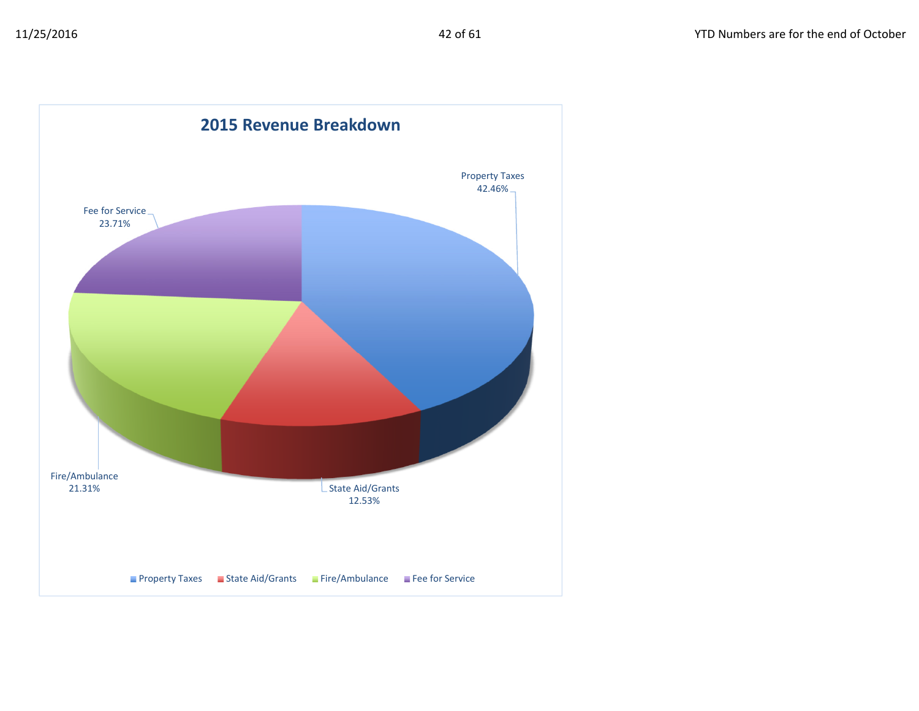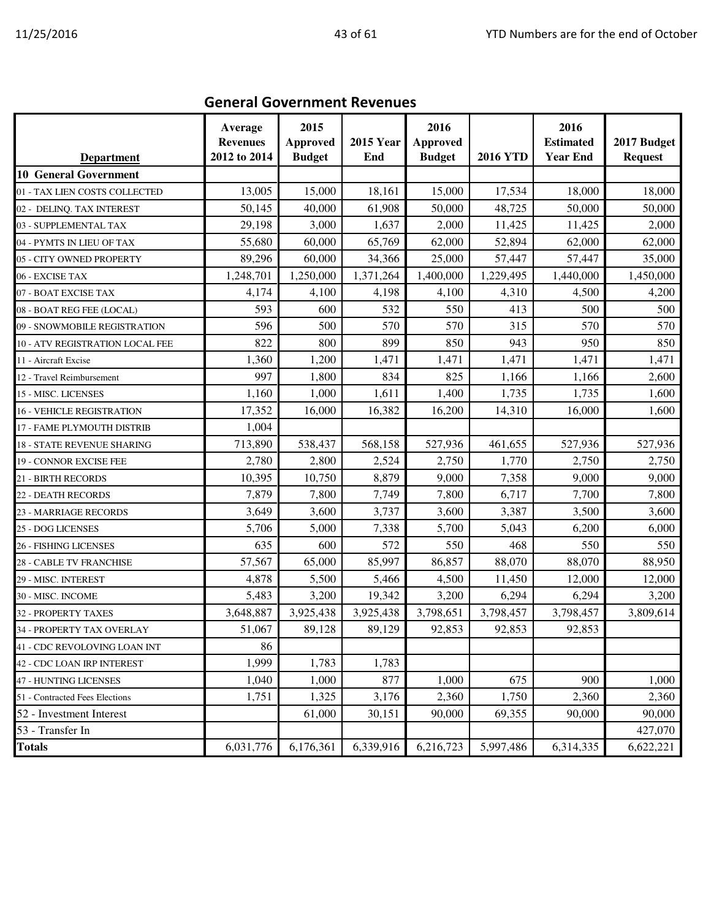| <b>Department</b>                | Average<br><b>Revenues</b><br>2012 to 2014 | 2015<br><b>Approved</b><br><b>Budget</b> | <b>2015 Year</b><br>End | 2016<br><b>Approved</b><br><b>Budget</b> | <b>2016 YTD</b> | 2016<br><b>Estimated</b><br><b>Year End</b> | 2017 Budget<br><b>Request</b> |
|----------------------------------|--------------------------------------------|------------------------------------------|-------------------------|------------------------------------------|-----------------|---------------------------------------------|-------------------------------|
| <b>10 General Government</b>     |                                            |                                          |                         |                                          |                 |                                             |                               |
| 01 - TAX LIEN COSTS COLLECTED    | 13,005                                     | 15,000                                   | 18,161                  | 15,000                                   | 17,534          | 18,000                                      | 18,000                        |
| 02 - DELINQ. TAX INTEREST        | 50,145                                     | 40,000                                   | 61,908                  | 50,000                                   | 48,725          | 50,000                                      | 50,000                        |
| 03 - SUPPLEMENTAL TAX            | 29,198                                     | 3,000                                    | 1,637                   | 2,000                                    | 11,425          | 11,425                                      | 2,000                         |
| 04 - PYMTS IN LIEU OF TAX        | 55,680                                     | 60,000                                   | 65,769                  | 62,000                                   | 52,894          | 62,000                                      | 62,000                        |
| 05 - CITY OWNED PROPERTY         | 89,296                                     | 60,000                                   | 34,366                  | 25,000                                   | 57,447          | 57,447                                      | 35,000                        |
| 06 - EXCISE TAX                  | 1,248,701                                  | 1,250,000                                | 1,371,264               | 1,400,000                                | 1,229,495       | 1,440,000                                   | 1,450,000                     |
| 07 - BOAT EXCISE TAX             | 4,174                                      | 4,100                                    | 4,198                   | 4,100                                    | 4,310           | 4,500                                       | 4,200                         |
| 08 - BOAT REG FEE (LOCAL)        | 593                                        | 600                                      | 532                     | 550                                      | 413             | 500                                         | 500                           |
| 09 - SNOWMOBILE REGISTRATION     | 596                                        | 500                                      | 570                     | 570                                      | 315             | 570                                         | 570                           |
| 10 - ATV REGISTRATION LOCAL FEE  | 822                                        | 800                                      | 899                     | 850                                      | 943             | 950                                         | 850                           |
| 11 - Aircraft Excise             | 1,360                                      | 1,200                                    | 1,471                   | 1,471                                    | 1,471           | 1,471                                       | 1,471                         |
| 12 - Travel Reimbursement        | 997                                        | 1,800                                    | 834                     | 825                                      | 1,166           | 1,166                                       | 2,600                         |
| 15 - MISC. LICENSES              | 1,160                                      | 1,000                                    | 1,611                   | 1,400                                    | 1,735           | 1,735                                       | 1,600                         |
| <b>16 - VEHICLE REGISTRATION</b> | 17,352                                     | 16,000                                   | 16,382                  | 16,200                                   | 14,310          | 16,000                                      | 1,600                         |
| 17 - FAME PLYMOUTH DISTRIB       | 1,004                                      |                                          |                         |                                          |                 |                                             |                               |
| 18 - STATE REVENUE SHARING       | 713,890                                    | 538,437                                  | 568,158                 | 527,936                                  | 461,655         | 527,936                                     | 527,936                       |
| 19 - CONNOR EXCISE FEE           | 2,780                                      | 2,800                                    | 2,524                   | 2,750                                    | 1,770           | 2,750                                       | 2,750                         |
| 21 - BIRTH RECORDS               | 10,395                                     | 10,750                                   | 8,879                   | 9,000                                    | 7,358           | 9,000                                       | 9,000                         |
| 22 - DEATH RECORDS               | 7,879                                      | 7,800                                    | 7,749                   | 7,800                                    | 6,717           | 7,700                                       | 7,800                         |
| 23 - MARRIAGE RECORDS            | 3,649                                      | 3,600                                    | 3,737                   | 3,600                                    | 3,387           | 3,500                                       | 3,600                         |
| 25 - DOG LICENSES                | 5,706                                      | 5,000                                    | 7,338                   | 5,700                                    | 5,043           | 6,200                                       | 6,000                         |
| 26 - FISHING LICENSES            | 635                                        | 600                                      | 572                     | 550                                      | 468             | 550                                         | 550                           |
| 28 - CABLE TV FRANCHISE          | 57,567                                     | 65,000                                   | 85,997                  | 86,857                                   | 88,070          | 88,070                                      | 88,950                        |
| 29 - MISC. INTEREST              | 4,878                                      | 5,500                                    | 5,466                   | 4,500                                    | 11,450          | 12,000                                      | 12,000                        |
| 30 - MISC. INCOME                | 5,483                                      | 3,200                                    | 19,342                  | 3,200                                    | 6,294           | 6,294                                       | 3,200                         |
| 32 - PROPERTY TAXES              | 3,648,887                                  | 3,925,438                                | 3,925,438               | 3,798,651                                | 3,798,457       | 3,798,457                                   | 3,809,614                     |
| 34 - PROPERTY TAX OVERLAY        | 51,067                                     | 89,128                                   | 89,129                  | 92,853                                   | 92,853          | 92,853                                      |                               |
| 41 - CDC REVOLOVING LOAN INT     | 86                                         |                                          |                         |                                          |                 |                                             |                               |
| 42 - CDC LOAN IRP INTEREST       | 1,999                                      | 1,783                                    | 1,783                   |                                          |                 |                                             |                               |
| 47 - HUNTING LICENSES            | 1,040                                      | 1,000                                    | 877                     | 1,000                                    | 675             | 900                                         | 1,000                         |
| 51 - Contracted Fees Elections   | 1,751                                      | 1,325                                    | 3,176                   | 2,360                                    | 1,750           | 2,360                                       | 2,360                         |
| 52 - Investment Interest         |                                            | 61,000                                   | 30,151                  | 90,000                                   | 69,355          | 90,000                                      | 90,000                        |
| 53 - Transfer In                 |                                            |                                          |                         |                                          |                 |                                             | 427,070                       |
| <b>Totals</b>                    | 6,031,776                                  | 6,176,361                                | 6,339,916               | 6,216,723                                | 5,997,486       | 6,314,335                                   | 6,622,221                     |

#### General Government Revenues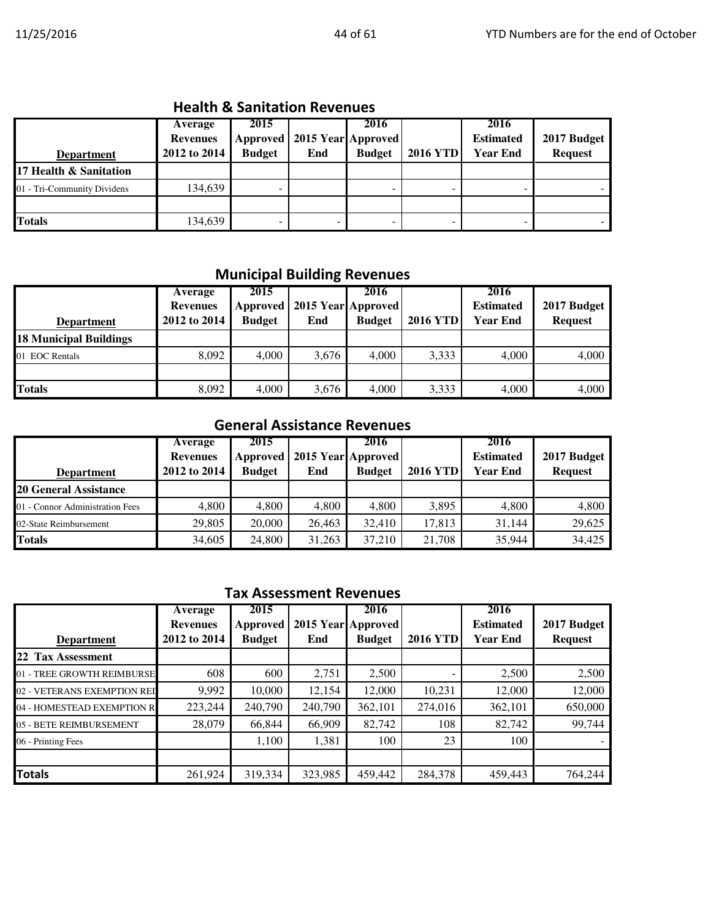## Health & Sanitation Revenues

| <b>Department</b>           | Average<br><b>Revenues</b><br>2012 to 2014 | 2015<br>Approved<br><b>Budget</b> | 2015 Year Approved<br>End | 2016<br><b>Budget</b> | <b>2016 YTD</b> | 2016<br><b>Estimated</b><br><b>Year End</b> | 2017 Budget<br><b>Request</b> |
|-----------------------------|--------------------------------------------|-----------------------------------|---------------------------|-----------------------|-----------------|---------------------------------------------|-------------------------------|
| 17 Health & Sanitation      |                                            |                                   |                           |                       |                 |                                             |                               |
| 01 - Tri-Community Dividens | 134,639                                    | -                                 |                           |                       | -               | -                                           |                               |
|                             |                                            |                                   |                           |                       |                 |                                             |                               |
| <b>Totals</b>               | 134,639                                    | -                                 |                           |                       | -               | -                                           |                               |

#### Municipal Building Revenues

| <b>Department</b>             | Average<br><b>Revenues</b><br>2012 to 2014 | 2015<br>Approved<br><b>Budget</b> | End   | 2016<br>2015 Year Approved<br><b>Budget</b> | <b>2016 YTD</b> | 2016<br><b>Estimated</b><br><b>Year End</b> | 2017 Budget<br><b>Request</b> |
|-------------------------------|--------------------------------------------|-----------------------------------|-------|---------------------------------------------|-----------------|---------------------------------------------|-------------------------------|
| <b>18 Municipal Buildings</b> |                                            |                                   |       |                                             |                 |                                             |                               |
| 01 EOC Rentals                | 8,092                                      | 4.000                             | 3,676 | 4.000                                       | 3,333           | 4,000                                       | 4,000                         |
|                               |                                            |                                   |       |                                             |                 |                                             |                               |
| <b>Totals</b>                 | 8,092                                      | 4,000                             | 3,676 | 4,000                                       | 3,333           | 4,000                                       | 4,000                         |

## General Assistance Revenues

| <b>Department</b>               | Average<br><b>Revenues</b><br>2012 to 2014 | 2015<br>Approved<br><b>Budget</b> | End    | 2016<br>2015 Year Approved<br><b>Budget</b> | <b>2016 YTD</b> | 2016<br><b>Estimated</b><br><b>Year End</b> | 2017 Budget<br><b>Request</b> |
|---------------------------------|--------------------------------------------|-----------------------------------|--------|---------------------------------------------|-----------------|---------------------------------------------|-------------------------------|
| <b>20 General Assistance</b>    |                                            |                                   |        |                                             |                 |                                             |                               |
| 01 - Connor Administration Fees | 4,800                                      | 4,800                             | 4,800  | 4,800                                       | 3,895           | 4.800                                       | 4,800                         |
| 02-State Reimbursement          | 29,805                                     | 20,000                            | 26,463 | 32,410                                      | 17,813          | 31.144                                      | 29,625                        |
| <b>Totals</b>                   | 34,605                                     | 24,800                            | 31,263 | 37,210                                      | 21,708          | 35,944                                      | 34,425                        |

## Tax Assessment Revenues

| <b>Department</b>           | Average<br><b>Revenues</b><br>2012 to 2014 | 2015<br><b>Approved</b><br><b>Budget</b> | End     | 2016<br>2015 Year Approved<br><b>Budget</b> | <b>2016 YTD</b> | 2016<br><b>Estimated</b><br><b>Year End</b> | 2017 Budget<br><b>Request</b> |
|-----------------------------|--------------------------------------------|------------------------------------------|---------|---------------------------------------------|-----------------|---------------------------------------------|-------------------------------|
| 22 Tax Assessment           |                                            |                                          |         |                                             |                 |                                             |                               |
| 01 - TREE GROWTH REIMBURSE  | 608                                        | 600                                      | 2,751   | 2,500                                       |                 | 2,500                                       | 2,500                         |
| 02 - VETERANS EXEMPTION REI | 9,992                                      | 10,000                                   | 12,154  | 12,000                                      | 10,231          | 12,000                                      | 12,000                        |
| 04 - HOMESTEAD EXEMPTION R  | 223,244                                    | 240,790                                  | 240,790 | 362,101                                     | 274,016         | 362,101                                     | 650,000                       |
| 05 - BETE REIMBURSEMENT     | 28,079                                     | 66,844                                   | 66,909  | 82,742                                      | 108             | 82,742                                      | 99,744                        |
| 06 - Printing Fees          |                                            | 1,100                                    | 1,381   | 100                                         | 23              | 100                                         |                               |
|                             |                                            |                                          |         |                                             |                 |                                             |                               |
| <b>Totals</b>               | 261,924                                    | 319,334                                  | 323,985 | 459,442                                     | 284,378         | 459,443                                     | 764,244                       |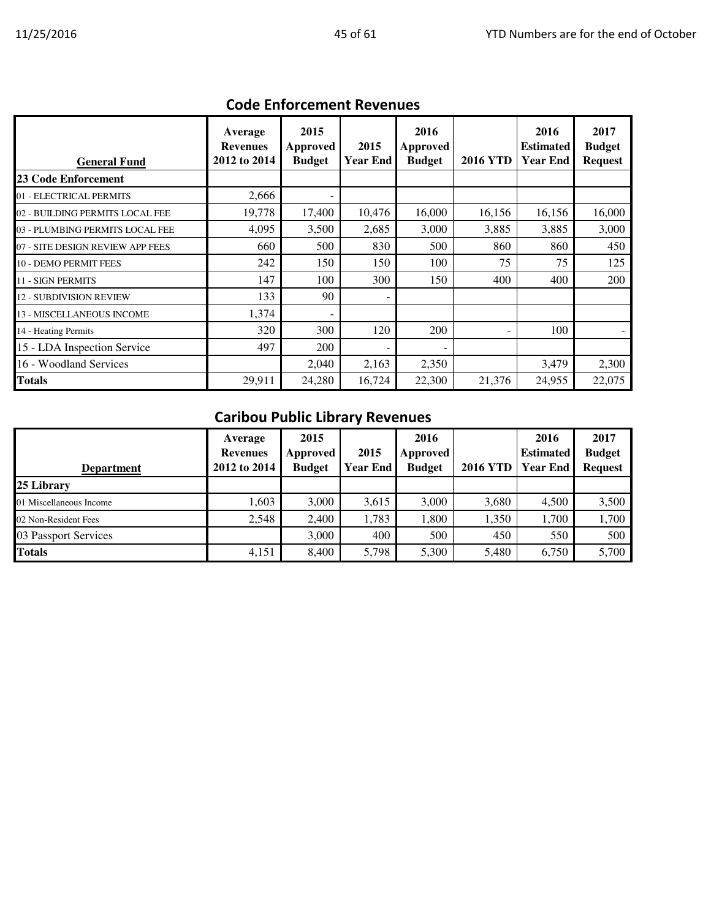| <b>General Fund</b>              | Average<br><b>Revenues</b><br>2012 to 2014 | 2015<br>Approved<br><b>Budget</b> | 2015<br>Year End | 2016<br>Approved<br><b>Budget</b> | <b>2016 YTD</b> | 2016<br><b>Estimated</b><br><b>Year End</b> | 2017<br><b>Budget</b><br><b>Request</b> |
|----------------------------------|--------------------------------------------|-----------------------------------|------------------|-----------------------------------|-----------------|---------------------------------------------|-----------------------------------------|
| <b>23 Code Enforcement</b>       |                                            |                                   |                  |                                   |                 |                                             |                                         |
| 01 - ELECTRICAL PERMITS          | 2,666                                      |                                   |                  |                                   |                 |                                             |                                         |
| 02 - BUILDING PERMITS LOCAL FEE  | 19,778                                     | 17,400                            | 10,476           | 16,000                            | 16,156          | 16,156                                      | 16,000                                  |
| 03 - PLUMBING PERMITS LOCAL FEE  | 4,095                                      | 3,500                             | 2,685            | 3,000                             | 3,885           | 3,885                                       | 3,000                                   |
| 07 - SITE DESIGN REVIEW APP FEES | 660                                        | 500                               | 830              | 500                               | 860             | 860                                         | 450                                     |
| 10 - DEMO PERMIT FEES            | 242                                        | 150                               | 150              | 100                               | 75              | 75                                          | 125                                     |
| <b>11 - SIGN PERMITS</b>         | 147                                        | 100                               | 300              | 150                               | 400             | 400                                         | 200                                     |
| <b>12 - SUBDIVISION REVIEW</b>   | 133                                        | 90                                |                  |                                   |                 |                                             |                                         |
| 13 - MISCELLANEOUS INCOME        | 1,374                                      |                                   |                  |                                   |                 |                                             |                                         |
| 14 - Heating Permits             | 320                                        | 300                               | 120              | 200                               |                 | 100                                         |                                         |
| 15 - LDA Inspection Service      | 497                                        | 200                               |                  |                                   |                 |                                             |                                         |
| 16 - Woodland Services           |                                            | 2,040                             | 2,163            | 2,350                             |                 | 3,479                                       | 2,300                                   |
| Totals                           | 29,911                                     | 24,280                            | 16,724           | 22,300                            | 21,376          | 24,955                                      | 22,075                                  |

## Code Enforcement Revenues

# Caribou Public Library Revenues

| <b>Department</b>       | Average<br><b>Revenues</b><br>2012 to 2014 | 2015<br>Approved<br><b>Budget</b> | 2015<br><b>Year End</b> | 2016<br>Approved<br><b>Budget</b> | <b>2016 YTD</b> | 2016<br><b>Estimated</b><br>Year End | 2017<br><b>Budget</b><br><b>Request</b> |
|-------------------------|--------------------------------------------|-----------------------------------|-------------------------|-----------------------------------|-----------------|--------------------------------------|-----------------------------------------|
| 25 Library              |                                            |                                   |                         |                                   |                 |                                      |                                         |
| 01 Miscellaneous Income | 1,603                                      | 3,000                             | 3,615                   | 3,000                             | 3,680           | 4,500                                | 3,500                                   |
| 02 Non-Resident Fees    | 2,548                                      | 2,400                             | 1,783                   | 1,800                             | 1,350           | 1.700                                | 1,700                                   |
| 03 Passport Services    |                                            | 3,000                             | 400                     | 500                               | 450             | 550                                  | 500                                     |
| <b>Totals</b>           | 4,151                                      | 8,400                             | 5,798                   | 5,300                             | 5,480           | 6,750                                | 5,700                                   |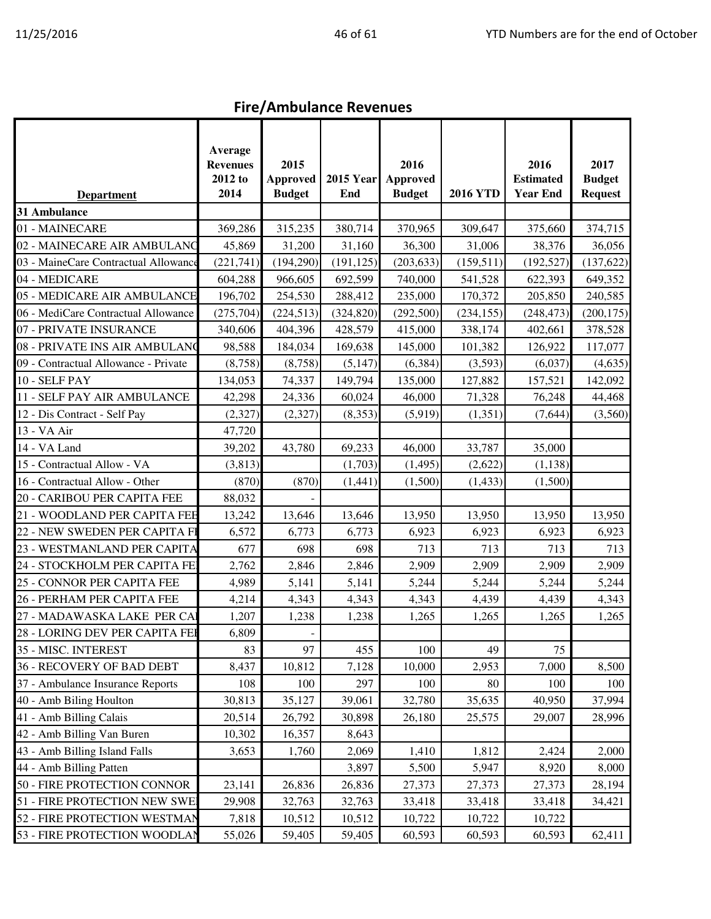# Fire/Ambulance Revenues

|                                      | Average<br><b>Revenues</b><br>2012 to | 2015<br><b>Approved</b> | <b>2015 Year</b> | 2016<br>Approved |                 | 2016<br><b>Estimated</b> | 2017<br><b>Budget</b> |
|--------------------------------------|---------------------------------------|-------------------------|------------------|------------------|-----------------|--------------------------|-----------------------|
| <b>Department</b>                    | 2014                                  | <b>Budget</b>           | End              | <b>Budget</b>    | <b>2016 YTD</b> | <b>Year End</b>          | <b>Request</b>        |
| 31 Ambulance                         |                                       |                         |                  |                  |                 |                          |                       |
| 01 - MAINECARE                       | 369,286                               | 315,235                 | 380,714          | 370,965          | 309,647         | 375,660                  | 374,715               |
| 02 - MAINECARE AIR AMBULANC          | 45,869                                | 31,200                  | 31,160           | 36,300           | 31,006          | 38,376                   | 36,056                |
| 03 - MaineCare Contractual Allowance | (221,741)                             | (194, 290)              | (191, 125)       | (203, 633)       | (159, 511)      | (192, 527)               | (137, 622)            |
| 04 - MEDICARE                        | 604,288                               | 966,605                 | 692,599          | 740,000          | 541,528         | 622,393                  | 649,352               |
| 05 - MEDICARE AIR AMBULANCE          | 196,702                               | 254,530                 | 288,412          | 235,000          | 170,372         | 205,850                  | 240,585               |
| 06 - MediCare Contractual Allowance  | (275, 704)                            | (224, 513)              | (324, 820)       | (292, 500)       | (234, 155)      | (248, 473)               | (200, 175)            |
| 07 - PRIVATE INSURANCE               | 340,606                               | 404,396                 | 428,579          | 415,000          | 338,174         | 402,661                  | 378,528               |
| 08 - PRIVATE INS AIR AMBULANO        | 98,588                                | 184,034                 | 169,638          | 145,000          | 101,382         | 126,922                  | 117,077               |
| 09 - Contractual Allowance - Private | (8,758)                               | (8,758)                 | (5, 147)         | (6, 384)         | (3,593)         | (6,037)                  | (4,635)               |
| 10 - SELF PAY                        | 134,053                               | 74,337                  | 149,794          | 135,000          | 127,882         | 157,521                  | 142,092               |
| 11 - SELF PAY AIR AMBULANCE          | 42,298                                | 24,336                  | 60,024           | 46,000           | 71,328          | 76,248                   | 44,468                |
| 12 - Dis Contract - Self Pay         | (2,327)                               | (2,327)                 | (8,353)          | (5,919)          | (1,351)         | (7,644)                  | (3,560)               |
| 13 - VA Air                          | 47,720                                |                         |                  |                  |                 |                          |                       |
| 14 - VA Land                         | 39,202                                | 43,780                  | 69,233           | 46,000           | 33,787          | 35,000                   |                       |
| 15 - Contractual Allow - VA          | (3, 813)                              |                         | (1,703)          | (1, 495)         | (2,622)         | (1, 138)                 |                       |
| 16 - Contractual Allow - Other       | (870)                                 | (870)                   | (1, 441)         | (1,500)          | (1, 433)        | (1,500)                  |                       |
| 20 - CARIBOU PER CAPITA FEE          | 88,032                                |                         |                  |                  |                 |                          |                       |
| 21 - WOODLAND PER CAPITA FEE         | 13,242                                | 13,646                  | 13,646           | 13,950           | 13,950          | 13,950                   | 13,950                |
| 22 - NEW SWEDEN PER CAPITA FI        | 6,572                                 | 6,773                   | 6,773            | 6,923            | 6,923           | 6,923                    | 6,923                 |
| 23 - WESTMANLAND PER CAPITA          | 677                                   | 698                     | 698              | 713              | 713             | 713                      | 713                   |
| 24 - STOCKHOLM PER CAPITA FE         | 2,762                                 | 2,846                   | 2,846            | 2,909            | 2,909           | 2,909                    | 2,909                 |
| 25 - CONNOR PER CAPITA FEE           | 4,989                                 | 5,141                   | 5,141            | 5,244            | 5,244           | 5,244                    | 5,244                 |
| 26 - PERHAM PER CAPITA FEE           | 4,214                                 | 4,343                   | 4,343            | 4,343            | 4,439           | 4,439                    | 4,343                 |
| 27 - MADAWASKA LAKE PER CAI          | 1,207                                 | 1,238                   | 1,238            | 1,265            | 1,265           | 1,265                    | 1,265                 |
| 28 - LORING DEV PER CAPITA FEI       | 6,809                                 |                         |                  |                  |                 |                          |                       |
| 35 - MISC. INTEREST                  | 83                                    | 97                      | 455              | 100              | 49              | 75                       |                       |
| 36 - RECOVERY OF BAD DEBT            | 8,437                                 | 10,812                  | 7,128            | 10,000           | 2,953           | 7,000                    | 8,500                 |
| 37 - Ambulance Insurance Reports     | 108                                   | 100                     | 297              | 100              | 80              | 100                      | 100                   |
| 40 - Amb Biling Houlton              | 30,813                                | 35,127                  | 39,061           | 32,780           | 35,635          | 40,950                   | 37,994                |
| 41 - Amb Billing Calais              | 20,514                                | 26,792                  | 30,898           | 26,180           | 25,575          | 29,007                   | 28,996                |
| 42 - Amb Billing Van Buren           | 10,302                                | 16,357                  | 8,643            |                  |                 |                          |                       |
| 43 - Amb Billing Island Falls        | 3,653                                 | 1,760                   | 2,069            | 1,410            | 1,812           | 2,424                    | 2,000                 |
| 44 - Amb Billing Patten              |                                       |                         | 3,897            | 5,500            | 5,947           | 8,920                    | 8,000                 |
| 50 - FIRE PROTECTION CONNOR          | 23,141                                | 26,836                  | 26,836           | 27,373           | 27,373          | 27,373                   | 28,194                |
| 51 - FIRE PROTECTION NEW SWE         | 29,908                                | 32,763                  | 32,763           | 33,418           | 33,418          | 33,418                   | 34,421                |
| 52 - FIRE PROTECTION WESTMAN         | 7,818                                 | 10,512                  | 10,512           | 10,722           | 10,722          | 10,722                   |                       |
| 53 - FIRE PROTECTION WOODLAN         | 55,026                                | 59,405                  | 59,405           | 60,593           | 60,593          | 60,593                   | 62,411                |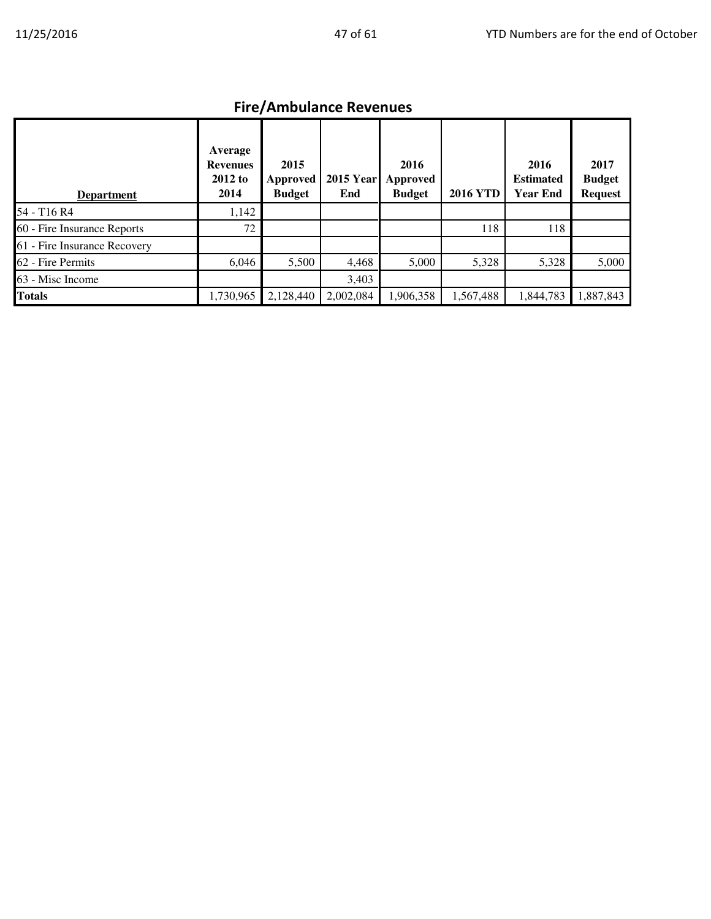# Fire/Ambulance Revenues

| <b>Department</b>            | Average<br><b>Revenues</b><br>2012 to<br>2014 | 2015<br><b>Approved</b><br><b>Budget</b> | <b>2015 Year</b><br>End | 2016<br>Approved<br><b>Budget</b> | <b>2016 YTD</b> | 2016<br><b>Estimated</b><br><b>Year End</b> | 2017<br><b>Budget</b><br><b>Request</b> |
|------------------------------|-----------------------------------------------|------------------------------------------|-------------------------|-----------------------------------|-----------------|---------------------------------------------|-----------------------------------------|
| 54 - T16 R4                  | 1,142                                         |                                          |                         |                                   |                 |                                             |                                         |
| 60 - Fire Insurance Reports  | 72                                            |                                          |                         |                                   | 118             | 118                                         |                                         |
| 61 - Fire Insurance Recovery |                                               |                                          |                         |                                   |                 |                                             |                                         |
| 62 - Fire Permits            | 6,046                                         | 5,500                                    | 4,468                   | 5,000                             | 5,328           | 5,328                                       | 5,000                                   |
| 63 - Misc Income             |                                               |                                          | 3,403                   |                                   |                 |                                             |                                         |
| <b>Totals</b>                | 1,730,965                                     | 2,128,440                                | 2,002,084               | 1,906,358                         | 1,567,488       | 1,844,783                                   | 1,887,843                               |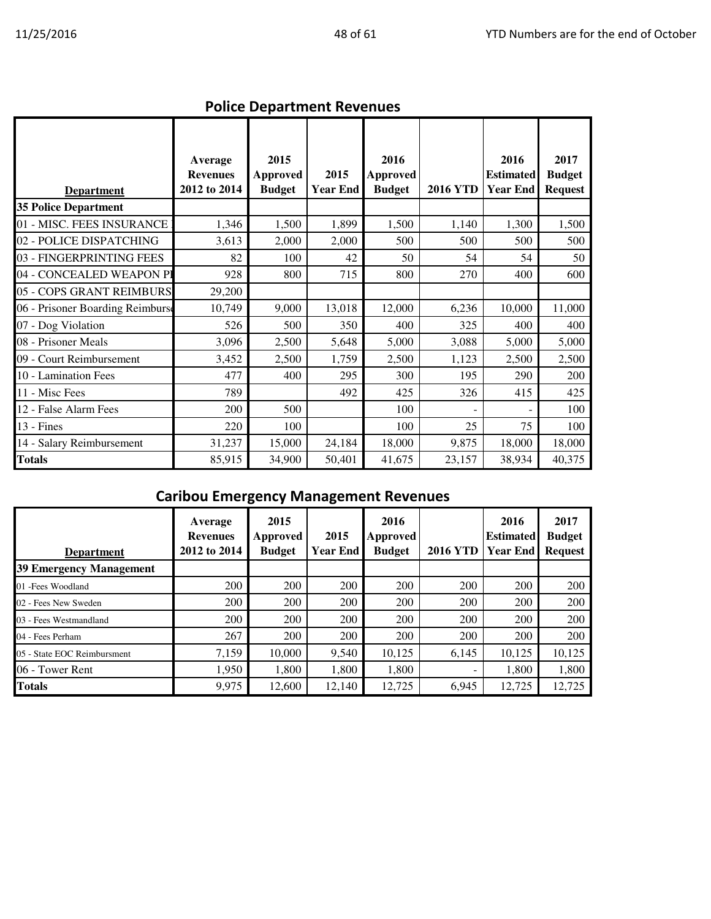|                                  |                                            | POILLE DEPARTMENT REVENUES               |                         |                                          |                 |                                             |                                         |
|----------------------------------|--------------------------------------------|------------------------------------------|-------------------------|------------------------------------------|-----------------|---------------------------------------------|-----------------------------------------|
| <b>Department</b>                | Average<br><b>Revenues</b><br>2012 to 2014 | 2015<br><b>Approved</b><br><b>Budget</b> | 2015<br><b>Year End</b> | 2016<br><b>Approved</b><br><b>Budget</b> | <b>2016 YTD</b> | 2016<br><b>Estimated</b><br><b>Year End</b> | 2017<br><b>Budget</b><br><b>Request</b> |
| <b>35 Police Department</b>      |                                            |                                          |                         |                                          |                 |                                             |                                         |
| 01 - MISC. FEES INSURANCE        | 1,346                                      | 1,500                                    | 1,899                   | 1,500                                    | 1,140           | 1,300                                       | 1,500                                   |
| 02 - POLICE DISPATCHING          | 3,613                                      | 2,000                                    | 2,000                   | 500                                      | 500             | 500                                         | 500                                     |
| 03 - FINGERPRINTING FEES         | 82                                         | 100                                      | 42                      | 50                                       | 54              | 54                                          | 50                                      |
| 04 - CONCEALED WEAPON PI         | 928                                        | 800                                      | 715                     | 800                                      | 270             | 400                                         | 600                                     |
| 05 - COPS GRANT REIMBURS         | 29,200                                     |                                          |                         |                                          |                 |                                             |                                         |
| 06 - Prisoner Boarding Reimburse | 10,749                                     | 9,000                                    | 13,018                  | 12,000                                   | 6,236           | 10,000                                      | 11,000                                  |
| 07 - Dog Violation               | 526                                        | 500                                      | 350                     | 400                                      | 325             | 400                                         | 400                                     |
| 08 - Prisoner Meals              | 3,096                                      | 2,500                                    | 5,648                   | 5,000                                    | 3,088           | 5,000                                       | 5,000                                   |
| 09 - Court Reimbursement         | 3,452                                      | 2,500                                    | 1,759                   | 2,500                                    | 1,123           | 2,500                                       | 2,500                                   |
| 10 - Lamination Fees             | 477                                        | 400                                      | 295                     | 300                                      | 195             | 290                                         | 200                                     |
| 11 - Misc Fees                   | 789                                        |                                          | 492                     | 425                                      | 326             | 415                                         | 425                                     |
| 12 - False Alarm Fees            | 200                                        | 500                                      |                         | 100                                      |                 |                                             | 100                                     |
| 13 - Fines                       | 220                                        | 100                                      |                         | 100                                      | 25              | 75                                          | 100                                     |
| 14 - Salary Reimbursement        | 31,237                                     | 15,000                                   | 24,184                  | 18,000                                   | 9,875           | 18,000                                      | 18,000                                  |
| Totals                           | 85,915                                     | 34,900                                   | 50,401                  | 41,675                                   | 23,157          | 38,934                                      | 40,375                                  |

#### Police Department Revenues

# Caribou Emergency Management Revenues

| <b>Department</b>              | Average<br><b>Revenues</b><br>2012 to 2014 | 2015<br>Approved<br><b>Budget</b> | 2015<br><b>Year End</b> | 2016<br>Approved<br><b>Budget</b> | <b>2016 YTD</b> | 2016<br><b>Estimated</b><br><b>I</b> Year End | 2017<br><b>Budget</b><br><b>Request</b> |
|--------------------------------|--------------------------------------------|-----------------------------------|-------------------------|-----------------------------------|-----------------|-----------------------------------------------|-----------------------------------------|
| <b>39 Emergency Management</b> |                                            |                                   |                         |                                   |                 |                                               |                                         |
| 01 - Fees Woodland             | 200                                        | 200                               | 200                     | 200                               | 200             | 200                                           | 200                                     |
| 02 - Fees New Sweden           | 200                                        | 200                               | 200                     | 200                               | 200             | 200                                           | 200                                     |
| 03 - Fees Westmandland         | 200                                        | 200                               | 200                     | 200                               | 200             | 200                                           | 200                                     |
| 04 - Fees Perham               | 267                                        | 200                               | 200                     | 200                               | 200             | 200                                           | 200                                     |
| 05 - State EOC Reimbursment    | 7,159                                      | 10,000                            | 9,540                   | 10,125                            | 6,145           | 10,125                                        | 10,125                                  |
| 06 - Tower Rent                | 1,950                                      | 1.800                             | 1,800                   | 1,800                             |                 | 1.800                                         | 1,800                                   |
| <b>Totals</b>                  | 9,975                                      | 12,600                            | 12,140                  | 12,725                            | 6,945           | 12,725                                        | 12,725                                  |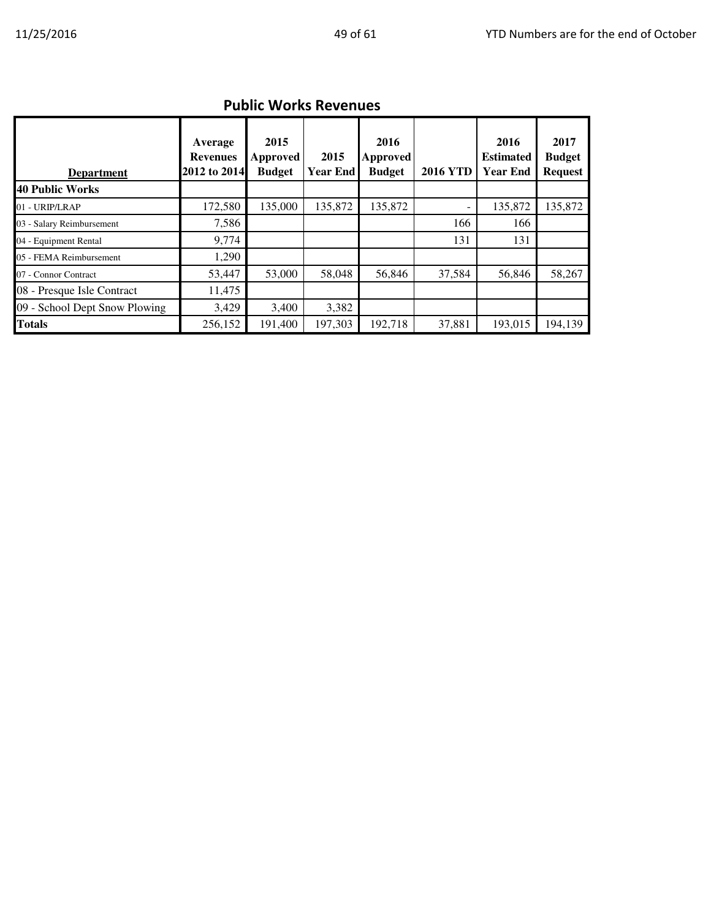|  | <b>Public Works Revenues</b> |  |
|--|------------------------------|--|
|--|------------------------------|--|

| <b>Department</b>             | Average<br><b>Revenues</b><br>2012 to 2014 | 2015<br>Approved<br><b>Budget</b> | 2015<br>Year End | 2016<br><b>Approved</b><br><b>Budget</b> | <b>2016 YTD</b> | 2016<br><b>Estimated</b><br><b>Year End</b> | 2017<br><b>Budget</b><br><b>Request</b> |
|-------------------------------|--------------------------------------------|-----------------------------------|------------------|------------------------------------------|-----------------|---------------------------------------------|-----------------------------------------|
| 40 Public Works               |                                            |                                   |                  |                                          |                 |                                             |                                         |
| 01 - URIP/LRAP                | 172,580                                    | 135,000                           | 135,872          | 135,872                                  |                 | 135,872                                     | 135,872                                 |
| 03 - Salary Reimbursement     | 7,586                                      |                                   |                  |                                          | 166             | 166                                         |                                         |
| 04 - Equipment Rental         | 9,774                                      |                                   |                  |                                          | 131             | 131                                         |                                         |
| 05 - FEMA Reimbursement       | 1,290                                      |                                   |                  |                                          |                 |                                             |                                         |
| 07 - Connor Contract          | 53,447                                     | 53,000                            | 58,048           | 56,846                                   | 37,584          | 56,846                                      | 58,267                                  |
| 08 - Presque Isle Contract    | 11,475                                     |                                   |                  |                                          |                 |                                             |                                         |
| 09 - School Dept Snow Plowing | 3,429                                      | 3,400                             | 3,382            |                                          |                 |                                             |                                         |
| <b>Totals</b>                 | 256,152                                    | 191,400                           | 197.303          | 192,718                                  | 37,881          | 193,015                                     | 194,139                                 |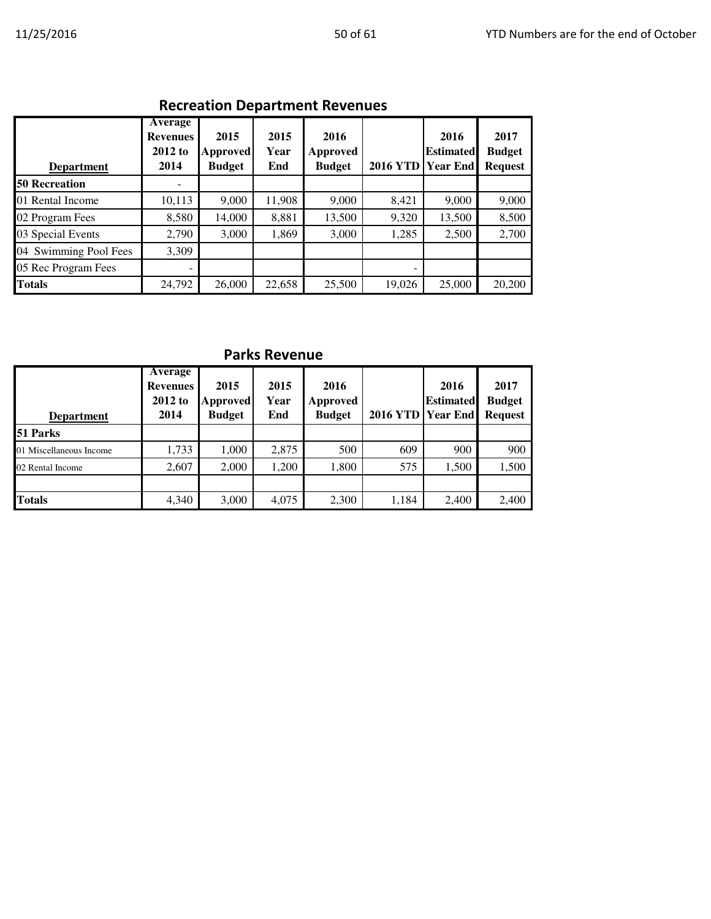## Recreation Department Revenues

| <b>Department</b>     | Average<br><b>Revenues</b><br>2012 to<br>2014 | 2015<br><b>Approved</b><br><b>Budget</b> | 2015<br>Year<br>End | 2016<br>Approved<br><b>Budget</b> | 2016 YTD Year End | 2016<br><b>Estimated</b> | 2017<br><b>Budget</b><br><b>Request</b> |
|-----------------------|-----------------------------------------------|------------------------------------------|---------------------|-----------------------------------|-------------------|--------------------------|-----------------------------------------|
| <b>50 Recreation</b>  |                                               |                                          |                     |                                   |                   |                          |                                         |
| 01 Rental Income      | 10,113                                        | 9,000                                    | 11,908              | 9,000                             | 8,421             | 9,000                    | 9,000                                   |
| 02 Program Fees       | 8,580                                         | 14,000                                   | 8,881               | 13,500                            | 9,320             | 13,500                   | 8,500                                   |
| 03 Special Events     | 2,790                                         | 3,000                                    | 1,869               | 3,000                             | 1,285             | 2,500                    | 2,700                                   |
| 04 Swimming Pool Fees | 3,309                                         |                                          |                     |                                   |                   |                          |                                         |
| 05 Rec Program Fees   | $\overline{\phantom{a}}$                      |                                          |                     |                                   |                   |                          |                                         |
| <b>Totals</b>         | 24,792                                        | 26,000                                   | 22,658              | 25,500                            | 19,026            | 25,000                   | 20,200                                  |

### Parks Revenue

| <b>Department</b>       | Average<br><b>Revenues</b><br>2012 to<br>2014 | 2015<br>Approved<br><b>Budget</b> | 2015<br>Year<br>End | 2016<br>Approved<br><b>Budget</b> | 2016 YTD Year End | 2016<br><b>Estimated</b> | 2017<br><b>Budget</b><br><b>Request</b> |
|-------------------------|-----------------------------------------------|-----------------------------------|---------------------|-----------------------------------|-------------------|--------------------------|-----------------------------------------|
| <b>51 Parks</b>         |                                               |                                   |                     |                                   |                   |                          |                                         |
| 01 Miscellaneous Income | 1,733                                         | 1,000                             | 2,875               | 500                               | 609               | 900                      | 900                                     |
| 02 Rental Income        | 2,607                                         | 2,000                             | 1.200               | 1,800                             | 575               | 1,500                    | 1,500                                   |
|                         |                                               |                                   |                     |                                   |                   |                          |                                         |
| <b>Totals</b>           | 4,340                                         | 3,000                             | 4,075               | 2,300                             | 1,184             | 2,400                    | 2,400                                   |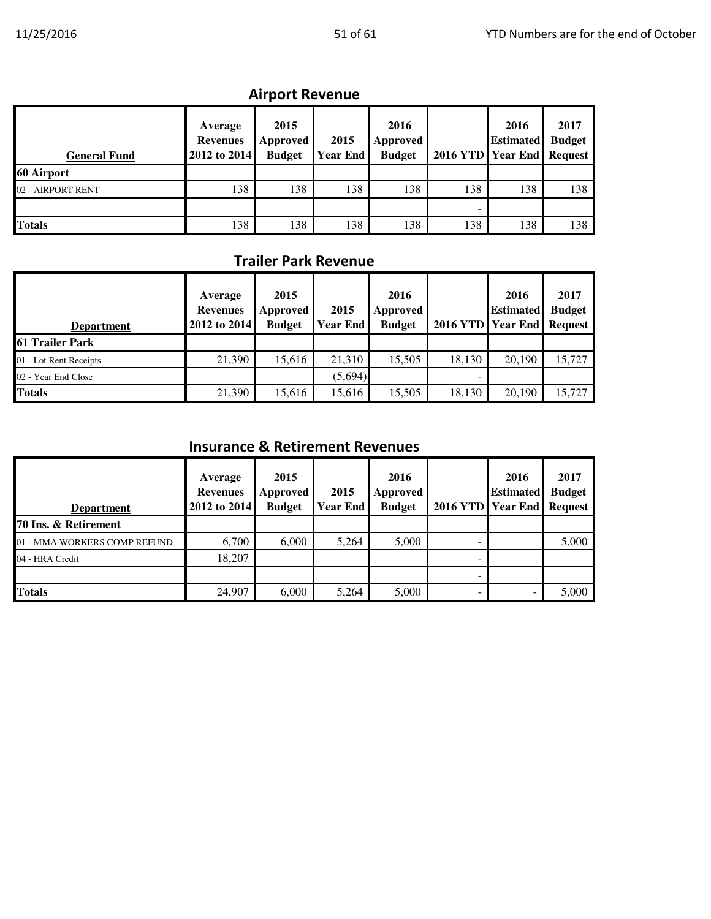## Airport Revenue

| <b>General Fund</b> | Average<br><b>Revenues</b><br>2012 to 2014 | 2015<br>Approved<br><b>Budget</b> | 2015<br><b>Year End</b> | 2016<br>Approved<br><b>Budget</b> | 2016 YTD Year End Request | 2016<br><b>Estimated</b> | 2017<br><b>Budget</b> |
|---------------------|--------------------------------------------|-----------------------------------|-------------------------|-----------------------------------|---------------------------|--------------------------|-----------------------|
| 60 Airport          |                                            |                                   |                         |                                   |                           |                          |                       |
| 02 - AIRPORT RENT   | 138                                        | 138                               | 138                     | 138                               | 138                       | 138                      | 138                   |
|                     |                                            |                                   |                         |                                   | ۰                         |                          |                       |
| <b>Totals</b>       | 138                                        | 138                               | 138                     | 138                               | 138                       | 138                      | 138                   |

## Trailer Park Revenue

| <b>Department</b>      | Average<br><b>Revenues</b><br>2012 to 2014 | 2015<br>Approved<br><b>Budget</b> | 2015<br><b>Year End</b> | 2016<br>Approved<br><b>Budget</b> | 2016 YTD Year End Request | 2016<br><b>Estimated</b> | 2017<br><b>Budget</b> |
|------------------------|--------------------------------------------|-----------------------------------|-------------------------|-----------------------------------|---------------------------|--------------------------|-----------------------|
| <b>61 Trailer Park</b> |                                            |                                   |                         |                                   |                           |                          |                       |
| 01 - Lot Rent Receipts | 21,390                                     | 15,616                            | 21,310                  | 15.505                            | 18,130                    | 20,190                   | 15,727                |
| 02 - Year End Close    |                                            |                                   | (5,694)                 |                                   |                           |                          |                       |
| <b>Totals</b>          | 21,390                                     | 15,616                            | 15.616                  | 15,505                            | 18,130                    | 20,190                   | 15,727                |

### Insurance & Retirement Revenues

| <b>Department</b>            | Average<br><b>Revenues</b><br>2012 to 2014 | 2015<br>Approved<br><b>Budget</b> | 2015<br>Year End | 2016<br>Approved<br><b>Budget</b> | 2016 YTD Year End Request | 2016<br><b>Estimated</b> | 2017<br><b>Budget</b> |
|------------------------------|--------------------------------------------|-----------------------------------|------------------|-----------------------------------|---------------------------|--------------------------|-----------------------|
| 70 Ins. & Retirement         |                                            |                                   |                  |                                   |                           |                          |                       |
| 01 - MMA WORKERS COMP REFUND | 6,700                                      | 6,000                             | 5,264            | 5,000                             |                           |                          | 5,000                 |
| 04 - HRA Credit              | 18,207                                     |                                   |                  |                                   |                           |                          |                       |
|                              |                                            |                                   |                  |                                   | -                         |                          |                       |
| <b>Totals</b>                | 24,907                                     | 6.000                             | 5,264            | 5,000                             | -                         |                          | 5.000                 |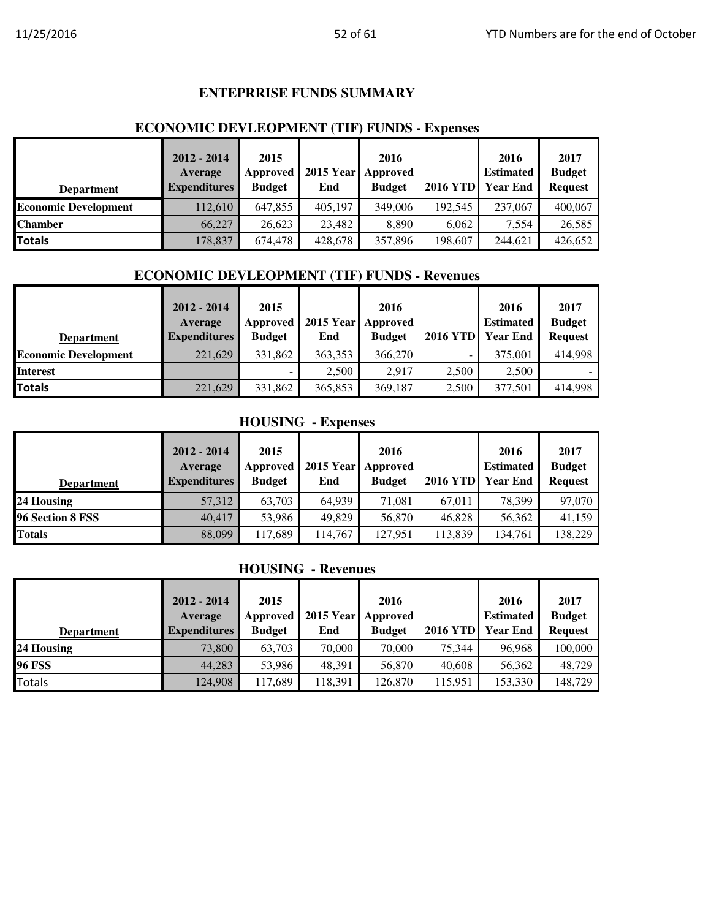#### **ENTEPRRISE FUNDS SUMMARY**

#### **ECONOMIC DEVLEOPMENT (TIF) FUNDS - Expenses**

| <b>Department</b>           | $2012 - 2014$<br>Average<br><b>Expenditures</b> | 2015<br>Approved<br><b>Budget</b> | <b>2015 Year</b><br>End | 2016<br>Approved<br><b>Budget</b> | <b>2016 YTD</b> | 2016<br><b>Estimated</b><br><b>Year End</b> | 2017<br><b>Budget</b><br><b>Request</b> |
|-----------------------------|-------------------------------------------------|-----------------------------------|-------------------------|-----------------------------------|-----------------|---------------------------------------------|-----------------------------------------|
| <b>Economic Development</b> | 112,610                                         | 647,855                           | 405.197                 | 349,006                           | 192.545         | 237,067                                     | 400,067                                 |
| <b>Chamber</b>              | 66,227                                          | 26,623                            | 23,482                  | 8.890                             | 6.062           | 7.554                                       | 26,585                                  |
| Totals                      | 178,837                                         | 674,478                           | 428,678                 | 357,896                           | 198,607         | 244,621                                     | 426,652                                 |

#### **ECONOMIC DEVLEOPMENT (TIF) FUNDS - Revenues**

|                             | $2012 - 2014$       | 2015          |         | 2016               |                 | 2016             | 2017           |
|-----------------------------|---------------------|---------------|---------|--------------------|-----------------|------------------|----------------|
|                             | Average             | Approved      |         | 2015 Year Approved |                 | <b>Estimated</b> | <b>Budget</b>  |
| <b>Department</b>           | <b>Expenditures</b> | <b>Budget</b> | End     | <b>Budget</b>      | <b>2016 YTD</b> | <b>Year End</b>  | <b>Request</b> |
| <b>Economic Development</b> | 221,629             | 331,862       | 363,353 | 366,270            | -               | 375,001          | 414,998        |
| <b>Interest</b>             |                     |               | 2,500   | 2.917              | 2,500           | 2,500            |                |
| <b>Totals</b>               | 221,629             | 331,862       | 365,853 | 369,187            | 2,500           | 377,501          | 414,998        |

#### **HOUSING - Expenses**

| <b>Department</b> | $2012 - 2014$<br>Average<br><b>Expenditures</b> | 2015<br>Approved<br><b>Budget</b> | End     | 2016<br>2015 Year Approved<br><b>Budget</b> | <b>2016 YTD</b> | 2016<br><b>Estimated</b><br><b>Year End</b> | 2017<br><b>Budget</b><br><b>Request</b> |
|-------------------|-------------------------------------------------|-----------------------------------|---------|---------------------------------------------|-----------------|---------------------------------------------|-----------------------------------------|
| 24 Housing        | 57,312                                          | 63.703                            | 64.939  | 71.081                                      | 67,011          | 78,399                                      | 97,070                                  |
| 96 Section 8 FSS  | 40,417                                          | 53,986                            | 49,829  | 56,870                                      | 46.828          | 56,362                                      | 41,159                                  |
| <b>Totals</b>     | 88,099                                          | 117,689                           | 114.767 | 127,951                                     | 113,839         | 134,761                                     | 138,229                                 |

#### **HOUSING - Revenues**

|                   | $2012 - 2014$<br>Average | 2015<br>Approved |         | 2016<br>2015 Year Approved |                 | 2016<br><b>Estimated</b> | 2017<br><b>Budget</b> |
|-------------------|--------------------------|------------------|---------|----------------------------|-----------------|--------------------------|-----------------------|
| <b>Department</b> | <b>Expenditures</b>      | <b>Budget</b>    | End     | <b>Budget</b>              | <b>2016 YTD</b> | Year End                 | <b>Request</b>        |
| 24 Housing        | 73,800                   | 63,703           | 70,000  | 70,000                     | 75.344          | 96,968                   | 100,000               |
| <b>96 FSS</b>     | 44,283                   | 53,986           | 48.391  | 56,870                     | 40,608          | 56,362                   | 48,729                |
| <b>Totals</b>     | 124,908                  | 117,689          | 118,391 | 126,870                    | 115,951         | 153,330                  | 148,729               |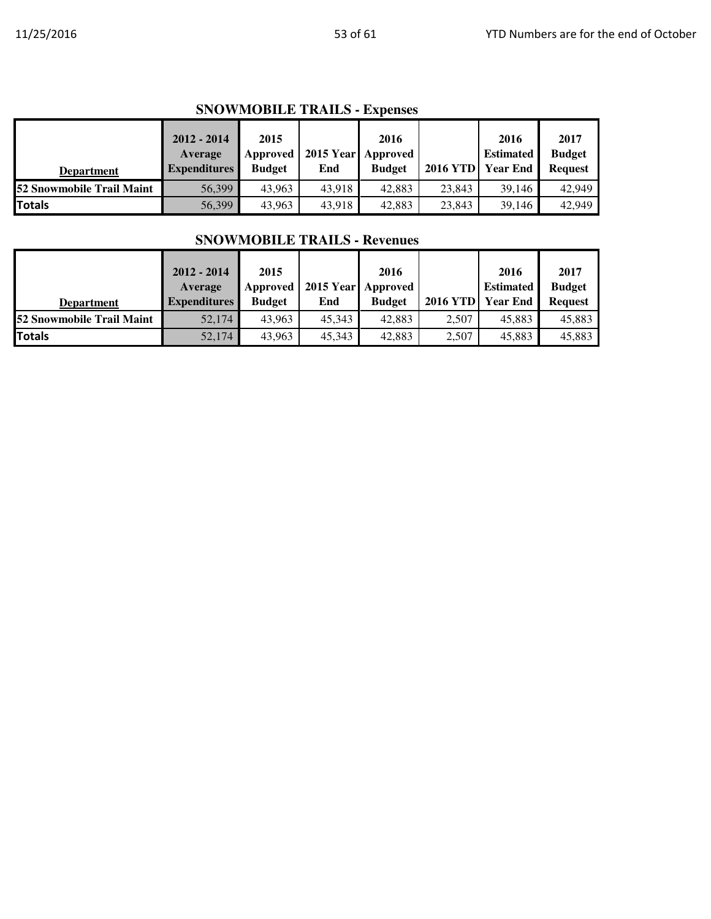| <b>Department</b>                | $2012 - 2014$<br>Average<br><b>Expenditures</b> | 2015<br>Approved<br><b>Budget</b> | End    | 2016<br>2015 Year Approved<br><b>Budget</b> | <b>2016 YTD</b> | 2016<br><b>Estimated</b><br><b>Year End</b> | 2017<br><b>Budget</b><br><b>Request</b> |
|----------------------------------|-------------------------------------------------|-----------------------------------|--------|---------------------------------------------|-----------------|---------------------------------------------|-----------------------------------------|
| <b>52 Snowmobile Trail Maint</b> | 56,399                                          | 43.963                            | 43.918 | 42,883                                      | 23,843          | 39.146                                      | 42,949                                  |
| <b>Totals</b>                    | 56,399                                          | 43,963                            | 43,918 | 42,883                                      | 23,843          | 39,146                                      | 42,949                                  |

| <b>Department</b>         | $2012 - 2014$<br>Average<br><b>Expenditures</b> | 2015<br>Approved<br><b>Budget</b> | End    | 2016<br>2015 Year Approved<br><b>Budget</b> | <b>2016 YTD</b> | 2016<br><b>Estimated</b><br><b>Year End</b> | 2017<br><b>Budget</b><br><b>Request</b> |
|---------------------------|-------------------------------------------------|-----------------------------------|--------|---------------------------------------------|-----------------|---------------------------------------------|-----------------------------------------|
| 52 Snowmobile Trail Maint | 52,174                                          | 43.963                            | 45,343 | 42,883                                      | 2.507           | 45,883                                      | 45,883                                  |
| Totals                    | 52,174                                          | 43,963                            | 45,343 | 42,883                                      | 2,507           | 45,883                                      | 45,883                                  |

#### **SNOWMOBILE TRAILS - Revenues**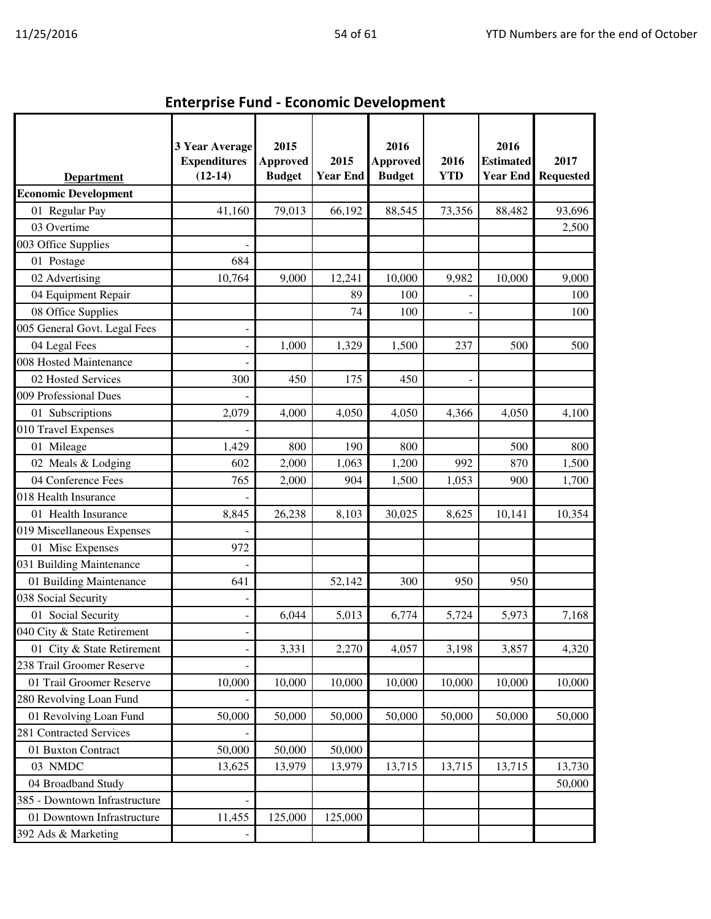| <b>Enterprise Fund - Economic Development</b> |  |
|-----------------------------------------------|--|

|                               | <b>3 Year Average</b>            | 2015                             |                         | 2016                             |                    | 2016                                |                          |
|-------------------------------|----------------------------------|----------------------------------|-------------------------|----------------------------------|--------------------|-------------------------------------|--------------------------|
| <b>Department</b>             | <b>Expenditures</b><br>$(12-14)$ | <b>Approved</b><br><b>Budget</b> | 2015<br><b>Year End</b> | <b>Approved</b><br><b>Budget</b> | 2016<br><b>YTD</b> | <b>Estimated</b><br><b>Year End</b> | 2017<br><b>Requested</b> |
| <b>Economic Development</b>   |                                  |                                  |                         |                                  |                    |                                     |                          |
| 01 Regular Pay                | 41,160                           | 79,013                           | 66,192                  | 88,545                           | 73,356             | 88,482                              | 93,696                   |
| 03 Overtime                   |                                  |                                  |                         |                                  |                    |                                     | 2,500                    |
| 003 Office Supplies           |                                  |                                  |                         |                                  |                    |                                     |                          |
| 01 Postage                    | 684                              |                                  |                         |                                  |                    |                                     |                          |
| 02 Advertising                | 10,764                           | 9,000                            | 12,241                  | 10,000                           | 9,982              | 10,000                              | 9,000                    |
| 04 Equipment Repair           |                                  |                                  | 89                      | 100                              |                    |                                     | 100                      |
| 08 Office Supplies            |                                  |                                  | 74                      | 100                              |                    |                                     | 100                      |
| 005 General Govt. Legal Fees  |                                  |                                  |                         |                                  |                    |                                     |                          |
| 04 Legal Fees                 |                                  | 1,000                            | 1,329                   | 1,500                            | 237                | 500                                 | 500                      |
| 008 Hosted Maintenance        |                                  |                                  |                         |                                  |                    |                                     |                          |
| 02 Hosted Services            | 300                              | 450                              | 175                     | 450                              |                    |                                     |                          |
| 009 Professional Dues         |                                  |                                  |                         |                                  |                    |                                     |                          |
| 01 Subscriptions              | 2,079                            | 4,000                            | 4,050                   | 4,050                            | 4,366              | 4,050                               | 4,100                    |
| 010 Travel Expenses           |                                  |                                  |                         |                                  |                    |                                     |                          |
| 01 Mileage                    | 1,429                            | 800                              | 190                     | 800                              |                    | 500                                 | 800                      |
| 02 Meals & Lodging            | 602                              | 2,000                            | 1,063                   | 1,200                            | 992                | 870                                 | 1,500                    |
| 04 Conference Fees            | 765                              | 2,000                            | 904                     | 1,500                            | 1,053              | 900                                 | 1,700                    |
| 018 Health Insurance          |                                  |                                  |                         |                                  |                    |                                     |                          |
| 01 Health Insurance           | 8,845                            | 26,238                           | 8,103                   | 30,025                           | 8,625              | 10,141                              | 10,354                   |
| 019 Miscellaneous Expenses    |                                  |                                  |                         |                                  |                    |                                     |                          |
| 01 Misc Expenses              | 972                              |                                  |                         |                                  |                    |                                     |                          |
| 031 Building Maintenance      |                                  |                                  |                         |                                  |                    |                                     |                          |
| 01 Building Maintenance       | 641                              |                                  | 52,142                  | 300                              | 950                | 950                                 |                          |
| 038 Social Security           |                                  |                                  |                         |                                  |                    |                                     |                          |
| 01 Social Security            |                                  | 6,044                            | 5,013                   | 6,774                            | 5,724              | 5,973                               | 7,168                    |
| 040 City & State Retirement   |                                  |                                  |                         |                                  |                    |                                     |                          |
| 01 City & State Retirement    |                                  | 3,331                            | 2,270                   | 4,057                            | 3,198              | 3,857                               | 4,320                    |
| 238 Trail Groomer Reserve     |                                  |                                  |                         |                                  |                    |                                     |                          |
| 01 Trail Groomer Reserve      | 10,000                           | 10,000                           | 10,000                  | 10,000                           | 10,000             | 10,000                              | 10,000                   |
| 280 Revolving Loan Fund       |                                  |                                  |                         |                                  |                    |                                     |                          |
| 01 Revolving Loan Fund        | 50,000                           | 50,000                           | 50,000                  | 50,000                           | 50,000             | 50,000                              | 50,000                   |
| 281 Contracted Services       |                                  |                                  |                         |                                  |                    |                                     |                          |
| 01 Buxton Contract            | 50,000                           | 50,000                           | 50,000                  |                                  |                    |                                     |                          |
| 03 NMDC                       | 13,625                           | 13,979                           | 13,979                  | 13,715                           | 13,715             | 13,715                              | 13,730                   |
| 04 Broadband Study            |                                  |                                  |                         |                                  |                    |                                     | 50,000                   |
| 385 - Downtown Infrastructure |                                  |                                  |                         |                                  |                    |                                     |                          |
| 01 Downtown Infrastructure    | 11,455                           | 125,000                          | 125,000                 |                                  |                    |                                     |                          |
| 392 Ads & Marketing           |                                  |                                  |                         |                                  |                    |                                     |                          |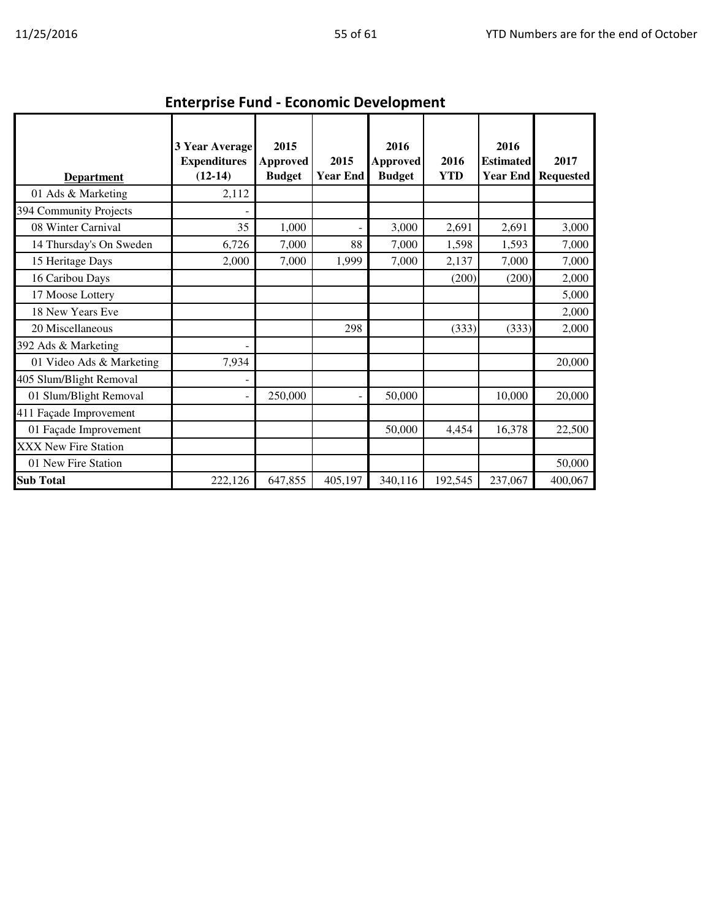| <b>Department</b>        | <b>3 Year Average</b><br><b>Expenditures</b><br>$(12-14)$ | 2015<br><b>Approved</b><br><b>Budget</b> | 2015<br><b>Year End</b> | 2016<br><b>Approved</b><br><b>Budget</b> | 2016<br><b>YTD</b> | 2016<br><b>Estimated</b><br><b>Year End</b> | 2017<br><b>Requested</b> |  |  |  |  |
|--------------------------|-----------------------------------------------------------|------------------------------------------|-------------------------|------------------------------------------|--------------------|---------------------------------------------|--------------------------|--|--|--|--|
| 01 Ads & Marketing       | 2,112                                                     |                                          |                         |                                          |                    |                                             |                          |  |  |  |  |
| 394 Community Projects   |                                                           |                                          |                         |                                          |                    |                                             |                          |  |  |  |  |
| 08 Winter Carnival       | 35                                                        | 1,000                                    | -                       | 3,000                                    | 2,691              | 2,691                                       | 3,000                    |  |  |  |  |
| 14 Thursday's On Sweden  | 6,726                                                     | 7,000                                    | 88                      | 7,000                                    | 1,598              | 1,593                                       | 7,000                    |  |  |  |  |
| 15 Heritage Days         | 2,000                                                     | 7,000                                    | 1,999                   | 7,000                                    | 2,137              | 7,000                                       | 7,000                    |  |  |  |  |
| 16 Caribou Days          |                                                           |                                          |                         |                                          | (200)              | (200)                                       | 2,000                    |  |  |  |  |
| 17 Moose Lottery         |                                                           |                                          |                         |                                          |                    |                                             | 5,000                    |  |  |  |  |
| 18 New Years Eve         |                                                           |                                          |                         |                                          |                    |                                             | 2,000                    |  |  |  |  |
| 20 Miscellaneous         |                                                           |                                          | 298                     |                                          | (333)              | (333)                                       | 2,000                    |  |  |  |  |
| 392 Ads & Marketing      |                                                           |                                          |                         |                                          |                    |                                             |                          |  |  |  |  |
| 01 Video Ads & Marketing | 7,934                                                     |                                          |                         |                                          |                    |                                             | 20,000                   |  |  |  |  |
| 405 Slum/Blight Removal  |                                                           |                                          |                         |                                          |                    |                                             |                          |  |  |  |  |
| 01 Slum/Blight Removal   |                                                           | 250,000                                  | ÷                       | 50,000                                   |                    | 10,000                                      | 20,000                   |  |  |  |  |
| 411 Façade Improvement   |                                                           |                                          |                         |                                          |                    |                                             |                          |  |  |  |  |
| 01 Façade Improvement    |                                                           |                                          |                         | 50,000                                   | 4,454              | 16,378                                      | 22,500                   |  |  |  |  |
| XXX New Fire Station     |                                                           |                                          |                         |                                          |                    |                                             |                          |  |  |  |  |
| 01 New Fire Station      |                                                           |                                          |                         |                                          |                    |                                             | 50,000                   |  |  |  |  |
| <b>Sub Total</b>         | 222,126                                                   | 647,855                                  | 405,197                 | 340,116                                  | 192,545            | 237,067                                     | 400,067                  |  |  |  |  |

Enterprise Fund - Economic Development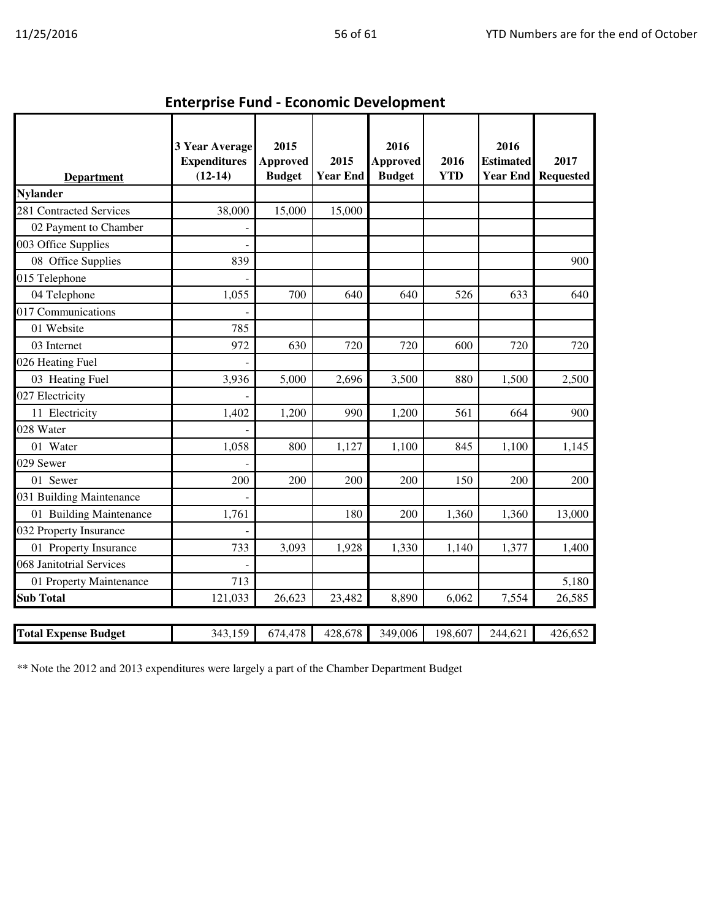| <b>Department</b>           | 3 Year Average<br><b>Expenditures</b><br>$(12-14)$ | 2015<br><b>Approved</b><br><b>Budget</b> | 2015<br><b>Year End</b> | 2016<br><b>Approved</b><br><b>Budget</b> | 2016<br><b>YTD</b> | 2016<br><b>Estimated</b><br><b>Year End</b> | 2017<br><b>Requested</b> |
|-----------------------------|----------------------------------------------------|------------------------------------------|-------------------------|------------------------------------------|--------------------|---------------------------------------------|--------------------------|
| <b>Nylander</b>             |                                                    |                                          |                         |                                          |                    |                                             |                          |
| 281 Contracted Services     | 38,000                                             | 15,000                                   | 15,000                  |                                          |                    |                                             |                          |
| 02 Payment to Chamber       |                                                    |                                          |                         |                                          |                    |                                             |                          |
| 003 Office Supplies         |                                                    |                                          |                         |                                          |                    |                                             |                          |
| 08 Office Supplies          | 839                                                |                                          |                         |                                          |                    |                                             | 900                      |
| 015 Telephone               |                                                    |                                          |                         |                                          |                    |                                             |                          |
| 04 Telephone                | 1,055                                              | 700                                      | 640                     | 640                                      | 526                | 633                                         | 640                      |
| 017 Communications          |                                                    |                                          |                         |                                          |                    |                                             |                          |
| 01 Website                  | 785                                                |                                          |                         |                                          |                    |                                             |                          |
| 03 Internet                 | 972                                                | 630                                      | 720                     | 720                                      | 600                | 720                                         | 720                      |
| 026 Heating Fuel            |                                                    |                                          |                         |                                          |                    |                                             |                          |
| 03 Heating Fuel             | 3,936                                              | 5,000                                    | 2,696                   | 3,500                                    | 880                | 1,500                                       | 2,500                    |
| 027 Electricity             |                                                    |                                          |                         |                                          |                    |                                             |                          |
| 11 Electricity              | 1,402                                              | 1,200                                    | 990                     | 1,200                                    | 561                | 664                                         | 900                      |
| 028 Water                   |                                                    |                                          |                         |                                          |                    |                                             |                          |
| 01 Water                    | 1,058                                              | 800                                      | 1,127                   | 1,100                                    | 845                | 1,100                                       | 1,145                    |
| 029 Sewer                   |                                                    |                                          |                         |                                          |                    |                                             |                          |
| 01 Sewer                    | 200                                                | 200                                      | 200                     | 200                                      | 150                | 200                                         | 200                      |
| 031 Building Maintenance    |                                                    |                                          |                         |                                          |                    |                                             |                          |
| 01 Building Maintenance     | 1,761                                              |                                          | 180                     | 200                                      | 1,360              | 1,360                                       | 13,000                   |
| 032 Property Insurance      |                                                    |                                          |                         |                                          |                    |                                             |                          |
| 01 Property Insurance       | 733                                                | 3,093                                    | 1,928                   | 1,330                                    | 1,140              | 1,377                                       | 1,400                    |
| 068 Janitotrial Services    |                                                    |                                          |                         |                                          |                    |                                             |                          |
| 01 Property Maintenance     | 713                                                |                                          |                         |                                          |                    |                                             | 5,180                    |
| <b>Sub Total</b>            | 121,033                                            | 26,623                                   | 23,482                  | 8,890                                    | 6,062              | 7,554                                       | 26,585                   |
|                             |                                                    |                                          |                         |                                          |                    |                                             |                          |
| <b>Total Expense Budget</b> | 343,159                                            | 674,478                                  | 428,678                 | 349,006                                  | 198,607            | 244,621                                     | 426,652                  |

Enterprise Fund - Economic Development

\*\* Note the 2012 and 2013 expenditures were largely a part of the Chamber Department Budget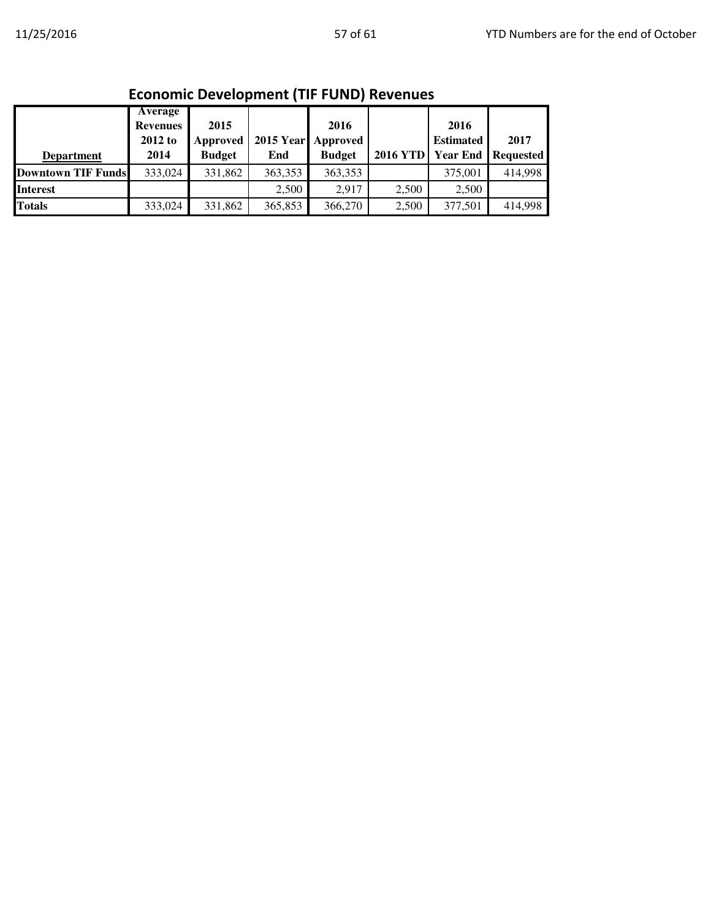| LCONONIC DEVEIOPINENT (THE FORD) REVENUES |                 |               |         |                    |                 |                  |                           |  |  |
|-------------------------------------------|-----------------|---------------|---------|--------------------|-----------------|------------------|---------------------------|--|--|
|                                           | Average         |               |         |                    |                 |                  |                           |  |  |
|                                           | <b>Revenues</b> | 2015          |         | 2016               |                 | 2016             |                           |  |  |
|                                           | $2012$ to       | Approved      |         | 2015 Year Approved |                 | <b>Estimated</b> | 2017                      |  |  |
| <b>Department</b>                         | 2014            | <b>Budget</b> | End     | <b>Budget</b>      | <b>2016 YTD</b> |                  | <b>Year End Requested</b> |  |  |
| <b>Downtown TIF Funds</b>                 | 333,024         | 331,862       | 363,353 | 363,353            |                 | 375,001          | 414.998                   |  |  |
| <b>Interest</b>                           |                 |               | 2.500   | 2.917              | 2.500           | 2.500            |                           |  |  |
| <b>Totals</b>                             | 333,024         | 331,862       | 365,853 | 366,270            | 2.500           | 377,501          | 414,998                   |  |  |

#### Economic Development (TIF FUND) Revenues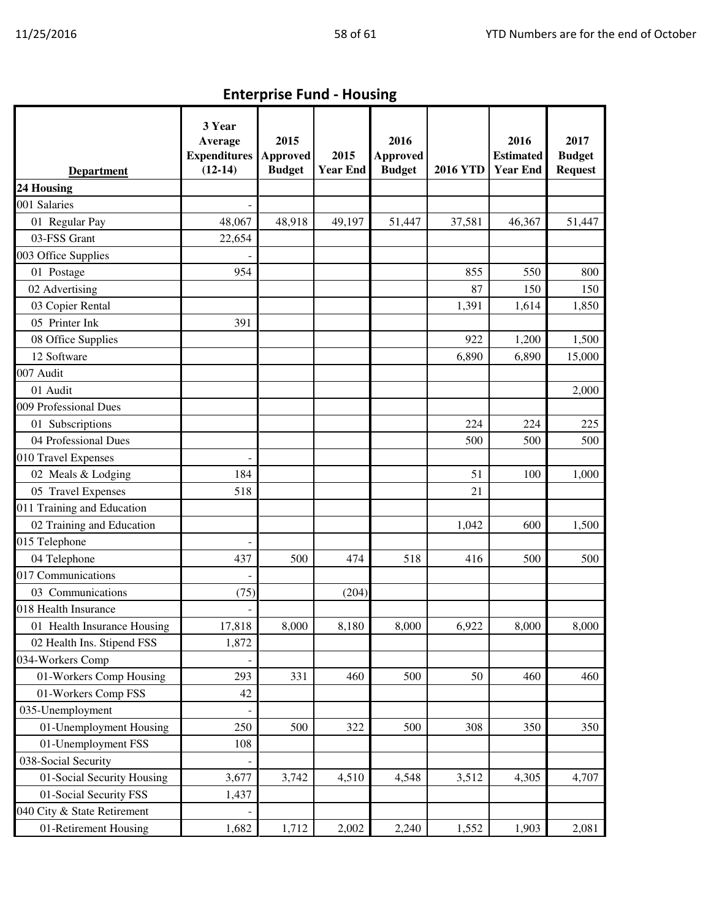| <b>Department</b>           | 3 Year<br>Average<br><b>Expenditures</b><br>$(12-14)$ | 2015<br>Approved<br><b>Budget</b> | 2015<br><b>Year End</b> | 2016<br><b>Approved</b><br><b>Budget</b> | <b>2016 YTD</b> | 2016<br><b>Estimated</b><br><b>Year End</b> | 2017<br><b>Budget</b><br><b>Request</b> |
|-----------------------------|-------------------------------------------------------|-----------------------------------|-------------------------|------------------------------------------|-----------------|---------------------------------------------|-----------------------------------------|
| 24 Housing                  |                                                       |                                   |                         |                                          |                 |                                             |                                         |
| 001 Salaries                |                                                       |                                   |                         |                                          |                 |                                             |                                         |
| 01 Regular Pay              | 48,067                                                | 48,918                            | 49,197                  | 51,447                                   | 37,581          | 46,367                                      | 51,447                                  |
| 03-FSS Grant                | 22,654                                                |                                   |                         |                                          |                 |                                             |                                         |
| 003 Office Supplies         |                                                       |                                   |                         |                                          |                 |                                             |                                         |
| 01 Postage                  | 954                                                   |                                   |                         |                                          | 855             | 550                                         | 800                                     |
| 02 Advertising              |                                                       |                                   |                         |                                          | 87              | 150                                         | 150                                     |
| 03 Copier Rental            |                                                       |                                   |                         |                                          | 1,391           | 1,614                                       | 1,850                                   |
| 05 Printer Ink              | 391                                                   |                                   |                         |                                          |                 |                                             |                                         |
| 08 Office Supplies          |                                                       |                                   |                         |                                          | 922             | 1,200                                       | 1,500                                   |
| 12 Software                 |                                                       |                                   |                         |                                          | 6,890           | 6,890                                       | 15,000                                  |
| 007 Audit                   |                                                       |                                   |                         |                                          |                 |                                             |                                         |
| 01 Audit                    |                                                       |                                   |                         |                                          |                 |                                             | 2,000                                   |
| 009 Professional Dues       |                                                       |                                   |                         |                                          |                 |                                             |                                         |
| 01 Subscriptions            |                                                       |                                   |                         |                                          | 224             | 224                                         | 225                                     |
| 04 Professional Dues        |                                                       |                                   |                         |                                          | 500             | 500                                         | 500                                     |
| 010 Travel Expenses         |                                                       |                                   |                         |                                          |                 |                                             |                                         |
| 02 Meals & Lodging          | 184                                                   |                                   |                         |                                          | 51              | 100                                         | 1,000                                   |
| 05 Travel Expenses          | 518                                                   |                                   |                         |                                          | 21              |                                             |                                         |
| 011 Training and Education  |                                                       |                                   |                         |                                          |                 |                                             |                                         |
| 02 Training and Education   |                                                       |                                   |                         |                                          | 1,042           | 600                                         | 1,500                                   |
| 015 Telephone               |                                                       |                                   |                         |                                          |                 |                                             |                                         |
| 04 Telephone                | 437                                                   | 500                               | 474                     | 518                                      | 416             | 500                                         | 500                                     |
| 017 Communications          |                                                       |                                   |                         |                                          |                 |                                             |                                         |
| 03 Communications           | (75)                                                  |                                   | (204)                   |                                          |                 |                                             |                                         |
| 018 Health Insurance        |                                                       |                                   |                         |                                          |                 |                                             |                                         |
| 01 Health Insurance Housing | 17,818                                                | 8,000                             | 8,180                   | 8,000                                    | 6,922           | 8,000                                       | 8,000                                   |
| 02 Health Ins. Stipend FSS  | 1,872                                                 |                                   |                         |                                          |                 |                                             |                                         |
| 034-Workers Comp            |                                                       |                                   |                         |                                          |                 |                                             |                                         |
| 01-Workers Comp Housing     | 293                                                   | 331                               | 460                     | 500                                      | 50              | 460                                         | 460                                     |
| 01-Workers Comp FSS         | 42                                                    |                                   |                         |                                          |                 |                                             |                                         |
| 035-Unemployment            |                                                       |                                   |                         |                                          |                 |                                             |                                         |
| 01-Unemployment Housing     | 250                                                   | 500                               | 322                     | 500                                      | 308             | 350                                         | 350                                     |
| 01-Unemployment FSS         | 108                                                   |                                   |                         |                                          |                 |                                             |                                         |
| 038-Social Security         |                                                       |                                   |                         |                                          |                 |                                             |                                         |
| 01-Social Security Housing  | 3,677                                                 | 3,742                             | 4,510                   | 4,548                                    | 3,512           | 4,305                                       | 4,707                                   |
| 01-Social Security FSS      | 1,437                                                 |                                   |                         |                                          |                 |                                             |                                         |
| 040 City & State Retirement |                                                       |                                   |                         |                                          |                 |                                             |                                         |
| 01-Retirement Housing       | 1,682                                                 | 1,712                             | 2,002                   | 2,240                                    | 1,552           | 1,903                                       | 2,081                                   |

Enterprise Fund - Housing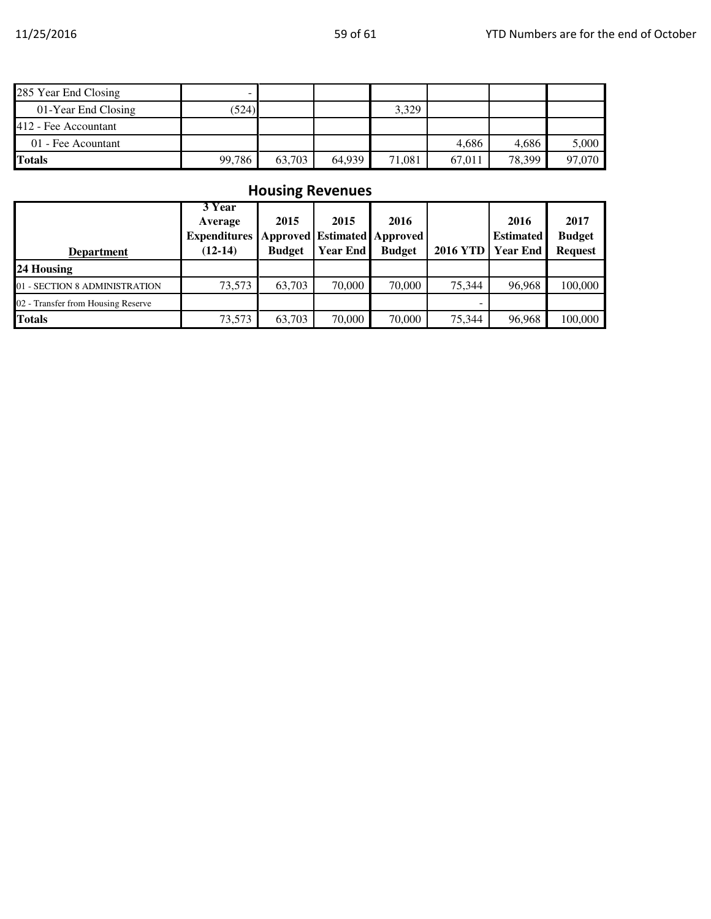| 285 Year End Closing |        |        |        |        |        |        |        |
|----------------------|--------|--------|--------|--------|--------|--------|--------|
| 01-Year End Closing  | (524)  |        |        | 3,329  |        |        |        |
| 412 - Fee Accountant |        |        |        |        |        |        |        |
| 01 - Fee Acountant   |        |        |        |        | 4.686  | 4,686  | 5.000  |
| Totals               | 99,786 | 63.703 | 64.939 | 71,081 | 67,011 | 78,399 | 97,070 |

# Housing Revenues

| <b>Department</b>                  | 3 Year<br>Average<br><b>Expenditures</b><br>$(12-14)$ | 2015<br><b>Budget</b> | 2015<br>Approved Estimated Approved<br><b>Year End</b> | 2016<br><b>Budget</b> | <b>2016 YTD</b> | 2016<br><b>Estimated</b><br><b>Year End</b> | 2017<br><b>Budget</b><br><b>Request</b> |
|------------------------------------|-------------------------------------------------------|-----------------------|--------------------------------------------------------|-----------------------|-----------------|---------------------------------------------|-----------------------------------------|
| 24 Housing                         |                                                       |                       |                                                        |                       |                 |                                             |                                         |
| 01 - SECTION 8 ADMINISTRATION      | 73,573                                                | 63,703                | 70,000                                                 | 70,000                | 75.344          | 96,968                                      | 100,000                                 |
| 02 - Transfer from Housing Reserve |                                                       |                       |                                                        |                       |                 |                                             |                                         |
| <b>Totals</b>                      | 73,573                                                | 63,703                | 70,000                                                 | 70,000                | 75,344          | 96,968                                      | 100,000                                 |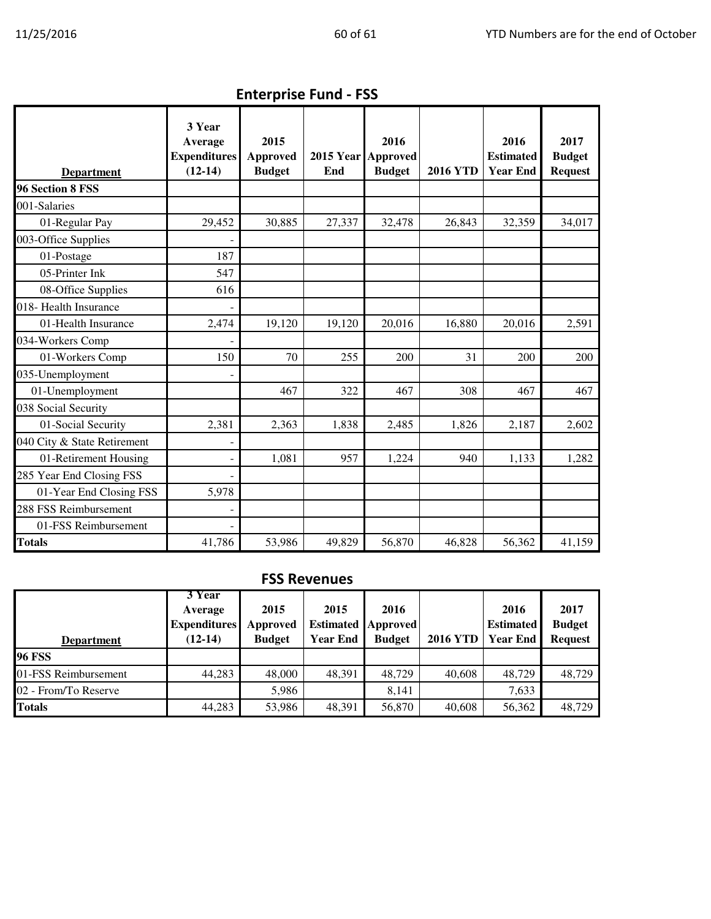| <b>Department</b>           | 3 Year<br>Average<br><b>Expenditures</b><br>$(12-14)$ | 2015<br><b>Approved</b><br><b>Budget</b> | 2015 Year Approved<br>End | 2016<br><b>Budget</b> | <b>2016 YTD</b> | 2016<br><b>Estimated</b><br><b>Year End</b> | 2017<br><b>Budget</b><br><b>Request</b> |
|-----------------------------|-------------------------------------------------------|------------------------------------------|---------------------------|-----------------------|-----------------|---------------------------------------------|-----------------------------------------|
| 96 Section 8 FSS            |                                                       |                                          |                           |                       |                 |                                             |                                         |
| 001-Salaries                |                                                       |                                          |                           |                       |                 |                                             |                                         |
| 01-Regular Pay              | 29,452                                                | 30,885                                   | 27,337                    | 32,478                | 26,843          | 32,359                                      | 34,017                                  |
| 003-Office Supplies         |                                                       |                                          |                           |                       |                 |                                             |                                         |
| 01-Postage                  | 187                                                   |                                          |                           |                       |                 |                                             |                                         |
| 05-Printer Ink              | 547                                                   |                                          |                           |                       |                 |                                             |                                         |
| 08-Office Supplies          | 616                                                   |                                          |                           |                       |                 |                                             |                                         |
| 018- Health Insurance       |                                                       |                                          |                           |                       |                 |                                             |                                         |
| 01-Health Insurance         | 2,474                                                 | 19,120                                   | 19,120                    | 20,016                | 16,880          | 20,016                                      | 2,591                                   |
| 034-Workers Comp            |                                                       |                                          |                           |                       |                 |                                             |                                         |
| 01-Workers Comp             | 150                                                   | 70                                       | 255                       | 200                   | 31              | 200                                         | 200                                     |
| 035-Unemployment            |                                                       |                                          |                           |                       |                 |                                             |                                         |
| 01-Unemployment             |                                                       | 467                                      | 322                       | 467                   | 308             | 467                                         | 467                                     |
| 038 Social Security         |                                                       |                                          |                           |                       |                 |                                             |                                         |
| 01-Social Security          | 2,381                                                 | 2,363                                    | 1,838                     | 2,485                 | 1,826           | 2,187                                       | 2,602                                   |
| 040 City & State Retirement |                                                       |                                          |                           |                       |                 |                                             |                                         |
| 01-Retirement Housing       |                                                       | 1,081                                    | 957                       | 1,224                 | 940             | 1,133                                       | 1,282                                   |
| 285 Year End Closing FSS    |                                                       |                                          |                           |                       |                 |                                             |                                         |
| 01-Year End Closing FSS     | 5,978                                                 |                                          |                           |                       |                 |                                             |                                         |
| 288 FSS Reimbursement       |                                                       |                                          |                           |                       |                 |                                             |                                         |
| 01-FSS Reimbursement        |                                                       |                                          |                           |                       |                 |                                             |                                         |
| <b>Totals</b>               | 41,786                                                | 53,986                                   | 49,829                    | 56,870                | 46,828          | 56,362                                      | 41,159                                  |

Enterprise Fund - FSS

## FSS Revenues

| <b>Department</b>    | 3 Year<br>Average<br><b>Expenditures</b><br>$(12-14)$ | 2015<br>Approved<br><b>Budget</b> | 2015<br><b>Year End</b> | 2016<br><b>Estimated Approved</b><br><b>Budget</b> | <b>2016 YTD</b> | 2016<br><b>Estimated</b><br><b>Year End</b> | 2017<br><b>Budget</b><br><b>Request</b> |
|----------------------|-------------------------------------------------------|-----------------------------------|-------------------------|----------------------------------------------------|-----------------|---------------------------------------------|-----------------------------------------|
| <b>96 FSS</b>        |                                                       |                                   |                         |                                                    |                 |                                             |                                         |
| 01-FSS Reimbursement | 44,283                                                | 48,000                            | 48,391                  | 48.729                                             | 40,608          | 48.729                                      | 48,729                                  |
| 02 - From/To Reserve |                                                       | 5.986                             |                         | 8.141                                              |                 | 7,633                                       |                                         |
| <b>Totals</b>        | 44,283                                                | 53,986                            | 48,391                  | 56,870                                             | 40,608          | 56,362                                      | 48,729                                  |